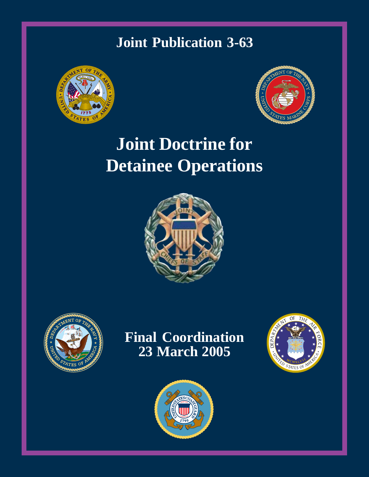# **Joint Publication 3-63**





# **Joint Doctrine for Detainee Operations**





# **Final Coordination 23 March 2005**



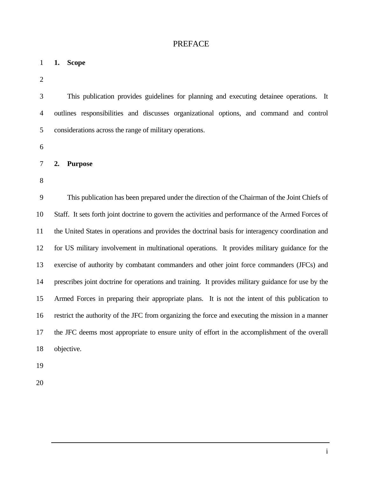# PREFACE

| $\mathbf{1}$   | 1. Scope                                                                                            |
|----------------|-----------------------------------------------------------------------------------------------------|
| $\overline{2}$ |                                                                                                     |
| 3              | This publication provides guidelines for planning and executing detainee operations. It             |
| 4              | outlines responsibilities and discusses organizational options, and command and control             |
| 5              | considerations across the range of military operations.                                             |
| 6              |                                                                                                     |
| 7              | 2.<br><b>Purpose</b>                                                                                |
| 8              |                                                                                                     |
| 9              | This publication has been prepared under the direction of the Chairman of the Joint Chiefs of       |
| 10             | Staff. It sets forth joint doctrine to govern the activities and performance of the Armed Forces of |
| 11             | the United States in operations and provides the doctrinal basis for interagency coordination and   |
| 12             | for US military involvement in multinational operations. It provides military guidance for the      |
| 13             | exercise of authority by combatant commanders and other joint force commanders (JFCs) and           |
| 14             | prescribes joint doctrine for operations and training. It provides military guidance for use by the |
| 15             | Armed Forces in preparing their appropriate plans. It is not the intent of this publication to      |
| 16             | restrict the authority of the JFC from organizing the force and executing the mission in a manner   |
| 17             | the JFC deems most appropriate to ensure unity of effort in the accomplishment of the overall       |
| 18             | objective.                                                                                          |
| 19             |                                                                                                     |
|                |                                                                                                     |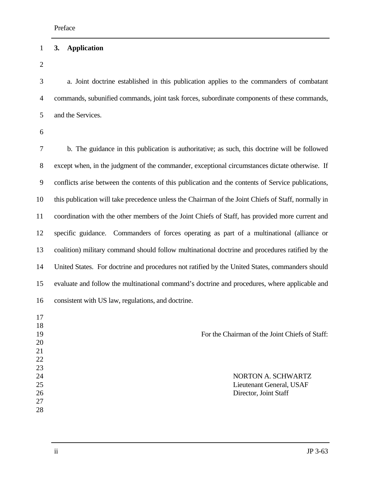#### 1 **3. Application**

2

3 a. Joint doctrine established in this publication applies to the commanders of combatant 4 commands, subunified commands, joint task forces, subordinate components of these commands, 5 and the Services.

6

7 b. The guidance in this publication is authoritative; as such, this doctrine will be followed 8 except when, in the judgment of the commander, exceptional circumstances dictate otherwise. If 9 conflicts arise between the contents of this publication and the contents of Service publications, 10 this publication will take precedence unless the Chairman of the Joint Chiefs of Staff, normally in 11 coordination with the other members of the Joint Chiefs of Staff, has provided more current and 12 specific guidance. Commanders of forces operating as part of a multinational (alliance or 13 coalition) military command should follow multinational doctrine and procedures ratified by the 14 United States. For doctrine and procedures not ratified by the United States, commanders should 15 evaluate and follow the multinational command's doctrine and procedures, where applicable and 16 consistent with US law, regulations, and doctrine.

| 17 |                                                |
|----|------------------------------------------------|
| 18 |                                                |
| 19 | For the Chairman of the Joint Chiefs of Staff: |
| 20 |                                                |
| 21 |                                                |
| 22 |                                                |
| 23 |                                                |
| 24 | NORTON A. SCHWARTZ                             |
| 25 | Lieutenant General, USAF                       |
| 26 | Director, Joint Staff                          |
| 27 |                                                |
| 28 |                                                |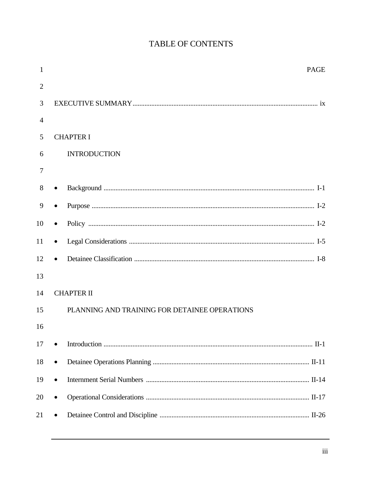| <b>TABLE OF CONTENTS</b> |
|--------------------------|
|--------------------------|

| 1              | <b>PAGE</b>                                   |
|----------------|-----------------------------------------------|
| $\overline{2}$ |                                               |
| 3              |                                               |
| 4              |                                               |
| 5              | <b>CHAPTER I</b>                              |
| 6              | <b>INTRODUCTION</b>                           |
| 7              |                                               |
| 8              |                                               |
| 9              |                                               |
| 10             |                                               |
| 11             |                                               |
| 12             |                                               |
| 13             |                                               |
| 14             | <b>CHAPTER II</b>                             |
| 15             | PLANNING AND TRAINING FOR DETAINEE OPERATIONS |
| 16             |                                               |
| 17             |                                               |
| 18             | $\bullet$                                     |
| 19             | ٠                                             |
| 20             | $\bullet$                                     |
| 21             | $\bullet$                                     |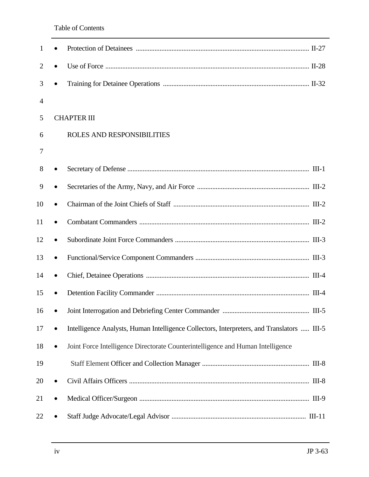Table of Contents

| 1              |                                                                                            |
|----------------|--------------------------------------------------------------------------------------------|
| $\overline{2}$ |                                                                                            |
| 3              |                                                                                            |
| $\overline{4}$ |                                                                                            |
| 5              | <b>CHAPTER III</b>                                                                         |
| 6              | <b>ROLES AND RESPONSIBILITIES</b>                                                          |
| 7              |                                                                                            |
| 8              |                                                                                            |
| 9              |                                                                                            |
| 10             |                                                                                            |
| 11             |                                                                                            |
| 12             |                                                                                            |
| 13             |                                                                                            |
| 14             |                                                                                            |
| 15             |                                                                                            |
| 16             |                                                                                            |
| 17             | Intelligence Analysts, Human Intelligence Collectors, Interpreters, and Translators  III-5 |
| 18             | Joint Force Intelligence Directorate Counterintelligence and Human Intelligence            |
| 19             |                                                                                            |
| 20             |                                                                                            |
| 21             |                                                                                            |
| 22             | ٠                                                                                          |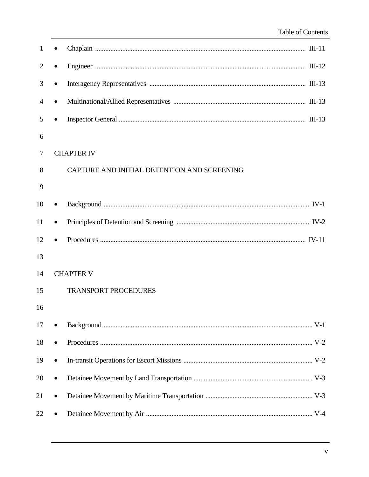| 1  |           |                                             |
|----|-----------|---------------------------------------------|
| 2  |           |                                             |
| 3  |           |                                             |
| 4  |           |                                             |
| 5  |           |                                             |
| 6  |           |                                             |
| 7  |           | <b>CHAPTER IV</b>                           |
| 8  |           | CAPTURE AND INITIAL DETENTION AND SCREENING |
| 9  |           |                                             |
| 10 |           |                                             |
| 11 |           |                                             |
|    |           |                                             |
| 12 |           |                                             |
| 13 |           |                                             |
| 14 |           | <b>CHAPTER V</b>                            |
| 15 |           | <b>TRANSPORT PROCEDURES</b>                 |
| 16 |           |                                             |
| 17 |           |                                             |
| 18 | $\bullet$ |                                             |
| 19 | $\bullet$ |                                             |
| 20 | ٠         |                                             |
| 21 | ٠         |                                             |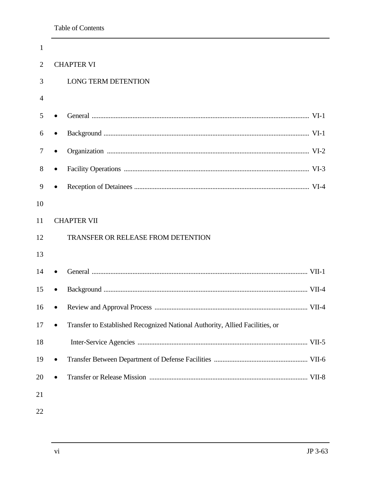Table of Contents

| 1              |                                                                              |
|----------------|------------------------------------------------------------------------------|
| $\overline{2}$ | <b>CHAPTER VI</b>                                                            |
| 3              | <b>LONG TERM DETENTION</b>                                                   |
| $\overline{4}$ |                                                                              |
| 5              |                                                                              |
| 6              |                                                                              |
| 7              |                                                                              |
| 8              |                                                                              |
| 9              |                                                                              |
| 10             |                                                                              |
| 11             | <b>CHAPTER VII</b>                                                           |
| 12             | <b>TRANSFER OR RELEASE FROM DETENTION</b>                                    |
| 13             |                                                                              |
| 14             |                                                                              |
| 15             |                                                                              |
|                | $\bullet$                                                                    |
| 16             | $\bullet$                                                                    |
| 17             | Transfer to Established Recognized National Authority, Allied Facilities, or |
| 18             |                                                                              |
| 19             |                                                                              |
| 20             |                                                                              |
| 21             |                                                                              |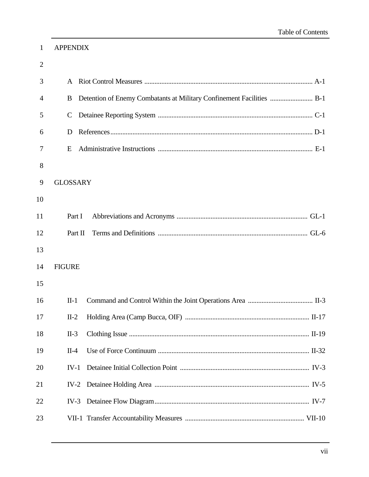| $\mathbf{1}$   | <b>APPENDIX</b> |                                                                       |  |
|----------------|-----------------|-----------------------------------------------------------------------|--|
| $\overline{2}$ |                 |                                                                       |  |
| 3              | $\mathsf{A}$    |                                                                       |  |
| $\overline{4}$ | B               | Detention of Enemy Combatants at Military Confinement Facilities  B-1 |  |
| 5              | $\mathcal{C}$   |                                                                       |  |
| 6              | D               |                                                                       |  |
| 7              | E               |                                                                       |  |
| 8              |                 |                                                                       |  |
| 9              | <b>GLOSSARY</b> |                                                                       |  |
| 10             |                 |                                                                       |  |
| 11             | Part I          |                                                                       |  |
| 12             | Part II         |                                                                       |  |
| 13             |                 |                                                                       |  |
| 14             | <b>FIGURE</b>   |                                                                       |  |
| 15             |                 |                                                                       |  |
| 16             | $II-1$          |                                                                       |  |
| 17             | $II-2$          |                                                                       |  |
| 18             | $II-3$          |                                                                       |  |
| 19             | $II-4$          |                                                                       |  |
| 20             | $IV-1$          |                                                                       |  |
| 21             |                 |                                                                       |  |
| 22             | $IV-3$          |                                                                       |  |
| 23             |                 |                                                                       |  |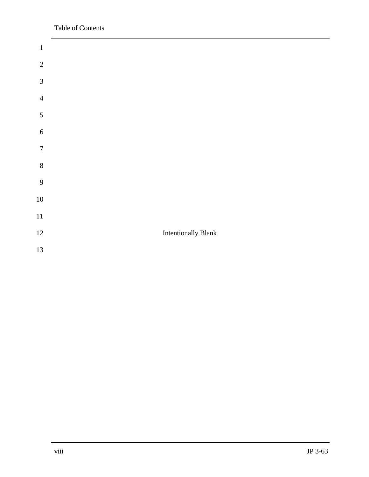| $\mathbf{1}$     |                            |
|------------------|----------------------------|
| $\sqrt{2}$       |                            |
| $\mathfrak{Z}$   |                            |
| $\overline{4}$   |                            |
| $\overline{5}$   |                            |
| $\sqrt{6}$       |                            |
| $\boldsymbol{7}$ |                            |
| $\,8\,$          |                            |
| $\overline{9}$   |                            |
| $10\,$           |                            |
| 11               |                            |
| 12               | <b>Intentionally Blank</b> |
| 13               |                            |
|                  |                            |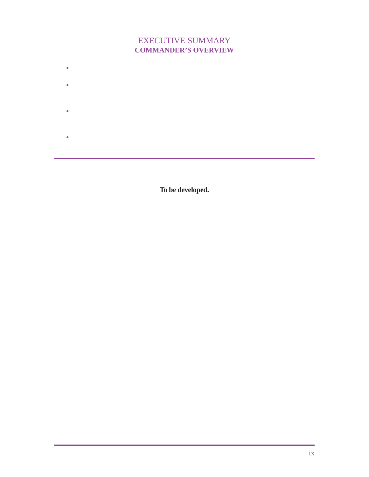#### EXECUTIVE SUMMARY **COMMANDER'S OVERVIEW**

- <span id="page-9-0"></span>**•**
- **•**

**•**

- 
- 
- **•**

**To be developed.**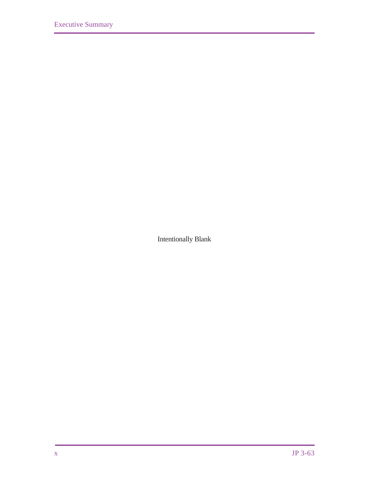Intentionally Blank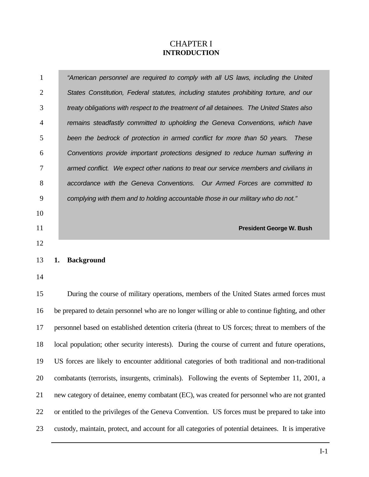#### CHAPTER I **INTRODUCTION**

<span id="page-11-0"></span>

| $\mathbf{1}$   | "American personnel are required to comply with all US laws, including the United         |
|----------------|-------------------------------------------------------------------------------------------|
| $\overline{2}$ | States Constitution, Federal statutes, including statutes prohibiting torture, and our    |
| 3              | treaty obligations with respect to the treatment of all detainees. The United States also |
| $\overline{4}$ | remains steadfastly committed to upholding the Geneva Conventions, which have             |
| 5              | been the bedrock of protection in armed conflict for more than 50 years. These            |
| 6              | Conventions provide important protections designed to reduce human suffering in           |
| 7              | armed conflict. We expect other nations to treat our service members and civilians in     |
| 8              | accordance with the Geneva Conventions. Our Armed Forces are committed to                 |
| 9              | complying with them and to holding accountable those in our military who do not."         |
| 10             |                                                                                           |
| 11             | <b>President George W. Bush</b>                                                           |
| 12             |                                                                                           |
| 13<br>1.       | <b>Background</b>                                                                         |

14

15 During the course of military operations, members of the United States armed forces must 16 be prepared to detain personnel who are no longer willing or able to continue fighting, and other 17 personnel based on established detention criteria (threat to US forces; threat to members of the 18 local population; other security interests). During the course of current and future operations, 19 US forces are likely to encounter additional categories of both traditional and non-traditional 20 combatants (terrorists, insurgents, criminals). Following the events of September 11, 2001, a 21 new category of detainee, enemy combatant (EC), was created for personnel who are not granted 22 or entitled to the privileges of the Geneva Convention. US forces must be prepared to take into 23 custody, maintain, protect, and account for all categories of potential detainees. It is imperative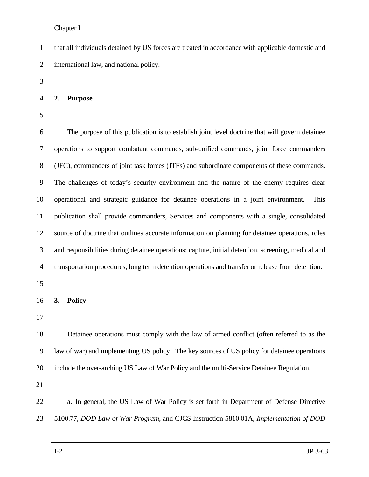<span id="page-12-0"></span>

| $\mathbf{1}$   | that all individuals detained by US forces are treated in accordance with applicable domestic and   |
|----------------|-----------------------------------------------------------------------------------------------------|
| $\overline{2}$ | international law, and national policy.                                                             |
| 3              |                                                                                                     |
| 4              | 2. Purpose                                                                                          |
| 5              |                                                                                                     |
| 6              | The purpose of this publication is to establish joint level doctrine that will govern detainee      |
| 7              | operations to support combatant commands, sub-unified commands, joint force commanders              |
| $8\,$          | (JFC), commanders of joint task forces (JTFs) and subordinate components of these commands.         |
| $\mathbf{9}$   | The challenges of today's security environment and the nature of the enemy requires clear           |
| 10             | operational and strategic guidance for detainee operations in a joint environment.<br>This          |
| 11             | publication shall provide commanders, Services and components with a single, consolidated           |
| 12             | source of doctrine that outlines accurate information on planning for detainee operations, roles    |
| 13             | and responsibilities during detainee operations; capture, initial detention, screening, medical and |
| 14             | transportation procedures, long term detention operations and transfer or release from detention.   |
| 15             |                                                                                                     |
| 16             | 3.<br><b>Policy</b>                                                                                 |
| 17             |                                                                                                     |
| 18             | Detainee operations must comply with the law of armed conflict (often referred to as the            |
| 19             | law of war) and implementing US policy. The key sources of US policy for detainee operations        |
| 20             | include the over-arching US Law of War Policy and the multi-Service Detainee Regulation.            |
| 21             |                                                                                                     |
| 22             | a. In general, the US Law of War Policy is set forth in Department of Defense Directive             |
| 23             | 5100.77, DOD Law of War Program, and CJCS Instruction 5810.01A, Implementation of DOD               |
|                |                                                                                                     |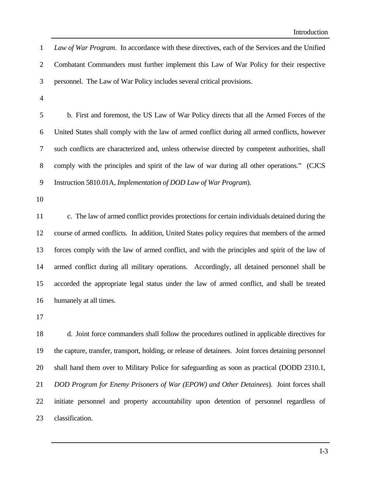| $\mathbf{1}$   | Law of War Program. In accordance with these directives, each of the Services and the Unified        |
|----------------|------------------------------------------------------------------------------------------------------|
| $\overline{2}$ | Combatant Commanders must further implement this Law of War Policy for their respective              |
| 3              | personnel. The Law of War Policy includes several critical provisions.                               |
| $\overline{4}$ |                                                                                                      |
| 5              | b. First and foremost, the US Law of War Policy directs that all the Armed Forces of the             |
| 6              | United States shall comply with the law of armed conflict during all armed conflicts, however        |
| $\tau$         | such conflicts are characterized and, unless otherwise directed by competent authorities, shall      |
| 8              | comply with the principles and spirit of the law of war during all other operations." (CJCS          |
| 9              | Instruction 5810.01A, Implementation of DOD Law of War Program).                                     |
| 10             |                                                                                                      |
| 11             | c. The law of armed conflict provides protections for certain individuals detained during the        |
| 12             | course of armed conflicts. In addition, United States policy requires that members of the armed      |
| 13             | forces comply with the law of armed conflict, and with the principles and spirit of the law of       |
| 14             | armed conflict during all military operations. Accordingly, all detained personnel shall be          |
| 15             | accorded the appropriate legal status under the law of armed conflict, and shall be treated          |
| 16             | humanely at all times.                                                                               |
| 17             |                                                                                                      |
| 18             | d. Joint force commanders shall follow the procedures outlined in applicable directives for          |
| 19             | the capture, transfer, transport, holding, or release of detainees. Joint forces detaining personnel |
| 20             | shall hand them over to Military Police for safeguarding as soon as practical (DODD 2310.1,          |
| 21             | DOD Program for Enemy Prisoners of War (EPOW) and Other Detainees). Joint forces shall               |
| 22             | initiate personnel and property accountability upon detention of personnel regardless of             |
| 23             | classification.                                                                                      |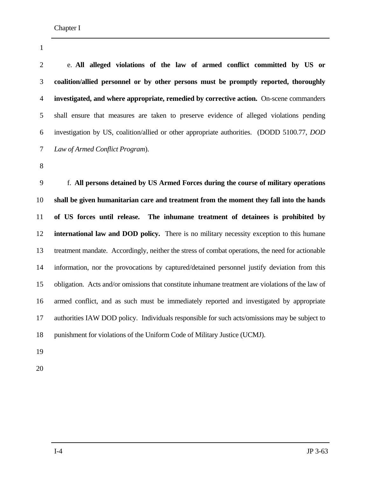1

2 e. **All alleged violations of the law of armed conflict committed by US or**  3 **coalition/allied personnel or by other persons must be promptly reported, thoroughly**  4 **investigated, and where appropriate, remedied by corrective action.** On-scene commanders 5 shall ensure that measures are taken to preserve evidence of alleged violations pending 6 investigation by US, coalition/allied or other appropriate authorities. (DODD 5100.77, *DOD*  7 *Law of Armed Conflict Program*).

8

9 f. **All persons detained by US Armed Forces during the course of military operations**  10 **shall be given humanitarian care and treatment from the moment they fall into the hands**  11 **of US forces until release. The inhumane treatment of detainees is prohibited by**  12 **international law and DOD policy.** There is no military necessity exception to this humane 13 treatment mandate. Accordingly, neither the stress of combat operations, the need for actionable 14 information, nor the provocations by captured/detained personnel justify deviation from this 15 obligation. Acts and/or omissions that constitute inhumane treatment are violations of the law of 16 armed conflict, and as such must be immediately reported and investigated by appropriate 17 authorities IAW DOD policy. Individuals responsible for such acts/omissions may be subject to 18 punishment for violations of the Uniform Code of Military Justice (UCMJ).

19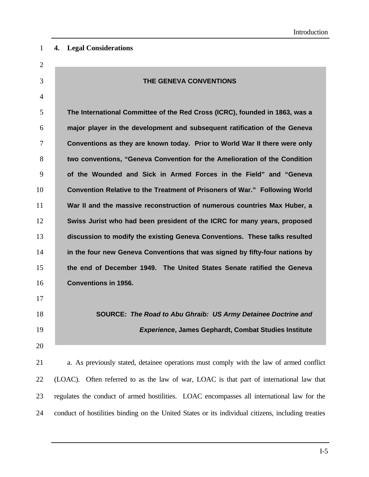## <span id="page-15-0"></span>**4. Legal Considerations**

| $\overline{2}$ |                                                                                                    |
|----------------|----------------------------------------------------------------------------------------------------|
| 3              | THE GENEVA CONVENTIONS                                                                             |
| $\overline{4}$ |                                                                                                    |
| 5              | The International Committee of the Red Cross (ICRC), founded in 1863, was a                        |
| 6              | major player in the development and subsequent ratification of the Geneva                          |
| 7              | Conventions as they are known today. Prior to World War II there were only                         |
| 8              | two conventions, "Geneva Convention for the Amelioration of the Condition                          |
| 9              | of the Wounded and Sick in Armed Forces in the Field" and "Geneva                                  |
| 10             | Convention Relative to the Treatment of Prisoners of War." Following World                         |
| 11             | War II and the massive reconstruction of numerous countries Max Huber, a                           |
| 12             | Swiss Jurist who had been president of the ICRC for many years, proposed                           |
| 13             | discussion to modify the existing Geneva Conventions. These talks resulted                         |
| 14             | in the four new Geneva Conventions that was signed by fifty-four nations by                        |
| 15             | the end of December 1949. The United States Senate ratified the Geneva                             |
| 16             | <b>Conventions in 1956.</b>                                                                        |
| 17             |                                                                                                    |
| 18             | SOURCE: The Road to Abu Ghraib: US Army Detainee Doctrine and                                      |
| 19             | <b>Experience, James Gephardt, Combat Studies Institute</b>                                        |
| 20             |                                                                                                    |
| 21             | a. As previously stated, detainee operations must comply with the law of armed conflict            |
| 22             | (LOAC). Often referred to as the law of war, LOAC is that part of international law that           |
| 23             | regulates the conduct of armed hostilities. LOAC encompasses all international law for the         |
| 24             | conduct of hostilities binding on the United States or its individual citizens, including treaties |
|                |                                                                                                    |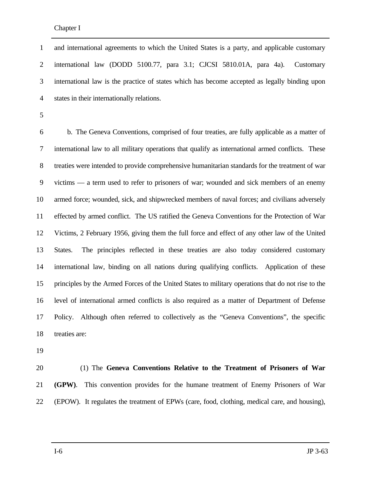| $\mathbf{1}$     | and international agreements to which the United States is a party, and applicable customary       |
|------------------|----------------------------------------------------------------------------------------------------|
| $\overline{2}$   | international law (DODD 5100.77, para 3.1; CJCSI 5810.01A, para 4a).<br>Customary                  |
| 3                | international law is the practice of states which has become accepted as legally binding upon      |
| $\overline{4}$   | states in their internationally relations.                                                         |
| 5                |                                                                                                    |
| 6                | b. The Geneva Conventions, comprised of four treaties, are fully applicable as a matter of         |
| 7                | international law to all military operations that qualify as international armed conflicts. These  |
| 8                | treaties were intended to provide comprehensive humanitarian standards for the treatment of war    |
| $\boldsymbol{9}$ | victims — a term used to refer to prisoners of war; wounded and sick members of an enemy           |
| 10               | armed force; wounded, sick, and shipwrecked members of naval forces; and civilians adversely       |
| 11               | effected by armed conflict. The US ratified the Geneva Conventions for the Protection of War       |
| 12               | Victims, 2 February 1956, giving them the full force and effect of any other law of the United     |
| 13               | The principles reflected in these treaties are also today considered customary<br>States.          |
| 14               | international law, binding on all nations during qualifying conflicts. Application of these        |
| 15               | principles by the Armed Forces of the United States to military operations that do not rise to the |
| 16               | level of international armed conflicts is also required as a matter of Department of Defense       |
| 17               | Policy. Although often referred to collectively as the "Geneva Conventions", the specific          |
| 18               | treaties are:                                                                                      |

19

20 (1) The **Geneva Conventions Relative to the Treatment of Prisoners of War**  21 **(GPW)**. This convention provides for the humane treatment of Enemy Prisoners of War 22 (EPOW). It regulates the treatment of EPWs (care, food, clothing, medical care, and housing),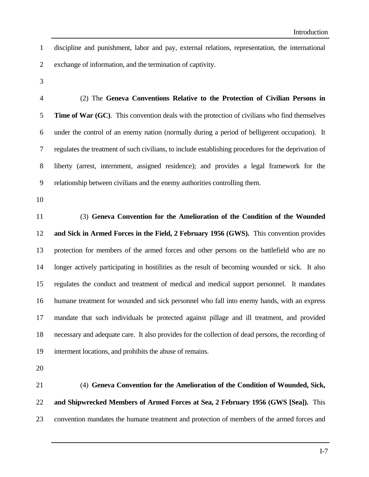1 discipline and punishment, labor and pay, external relations, representation, the international 2 exchange of information, and the termination of captivity.

3

4 (2) The **Geneva Conventions Relative to the Protection of Civilian Persons in**  5 **Time of War (GC)**. This convention deals with the protection of civilians who find themselves 6 under the control of an enemy nation (normally during a period of belligerent occupation). It 7 regulates the treatment of such civilians, to include establishing procedures for the deprivation of 8 liberty (arrest, internment, assigned residence); and provides a legal framework for the 9 relationship between civilians and the enemy authorities controlling them.

10

11 (3) **Geneva Convention for the Amelioration of the Condition of the Wounded**  12 **and Sick in Armed Forces in the Field, 2 February 1956 (GWS).** This convention provides 13 protection for members of the armed forces and other persons on the battlefield who are no 14 longer actively participating in hostilities as the result of becoming wounded or sick. It also 15 regulates the conduct and treatment of medical and medical support personnel. It mandates 16 humane treatment for wounded and sick personnel who fall into enemy hands, with an express 17 mandate that such individuals be protected against pillage and ill treatment, and provided 18 necessary and adequate care. It also provides for the collection of dead persons, the recording of 19 interment locations, and prohibits the abuse of remains.

20

21 (4) **Geneva Convention for the Amelioration of the Condition of Wounded, Sick,**  22 **and Shipwrecked Members of Armed Forces at Sea, 2 February 1956 (GWS [Sea]).** This 23 convention mandates the humane treatment and protection of members of the armed forces and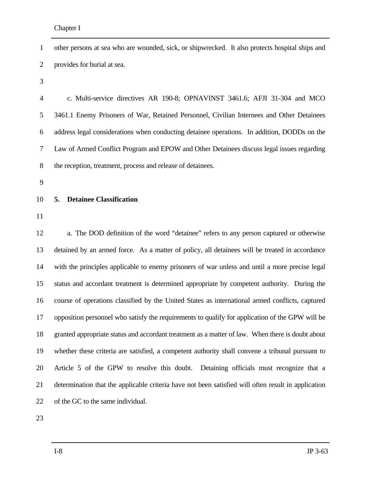<span id="page-18-0"></span>

| $\mathbf{1}$   | other persons at sea who are wounded, sick, or shipwrecked. It also protects hospital ships and     |
|----------------|-----------------------------------------------------------------------------------------------------|
| $\overline{2}$ | provides for burial at sea.                                                                         |
| 3              |                                                                                                     |
| 4              | c. Multi-service directives AR 190-8; OPNAVINST 3461.6; AFJI 31-304 and MCO                         |
| 5              | 3461.1 Enemy Prisoners of War, Retained Personnel, Civilian Internees and Other Detainees           |
| 6              | address legal considerations when conducting detainee operations. In addition, DODDs on the         |
| 7              | Law of Armed Conflict Program and EPOW and Other Detainees discuss legal issues regarding           |
| 8              | the reception, treatment, process and release of detainees.                                         |
| 9              |                                                                                                     |
| 10             | <b>Detainee Classification</b><br>5.                                                                |
| 11             |                                                                                                     |
| 12             | a. The DOD definition of the word "detainee" refers to any person captured or otherwise             |
| 13             | detained by an armed force. As a matter of policy, all detainees will be treated in accordance      |
| 14             | with the principles applicable to enemy prisoners of war unless and until a more precise legal      |
| 15             | status and accordant treatment is determined appropriate by competent authority. During the         |
| 16             | course of operations classified by the United States as international armed conflicts, captured     |
| 17             | opposition personnel who satisfy the requirements to qualify for application of the GPW will be     |
| 18             | granted appropriate status and accordant treatment as a matter of law. When there is doubt about    |
| 19             | whether these criteria are satisfied, a competent authority shall convene a tribunal pursuant to    |
| 20             | Article 5 of the GPW to resolve this doubt. Detaining officials must recognize that a               |
| 21             | determination that the applicable criteria have not been satisfied will often result in application |
| 22             | of the GC to the same individual.                                                                   |
| 23             |                                                                                                     |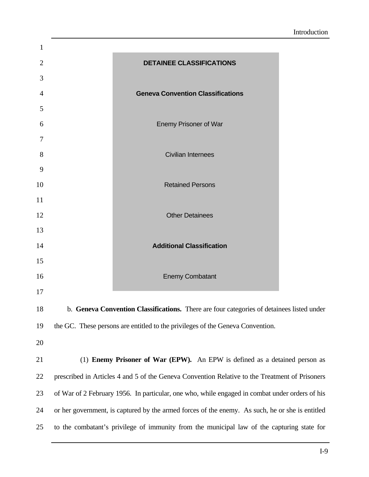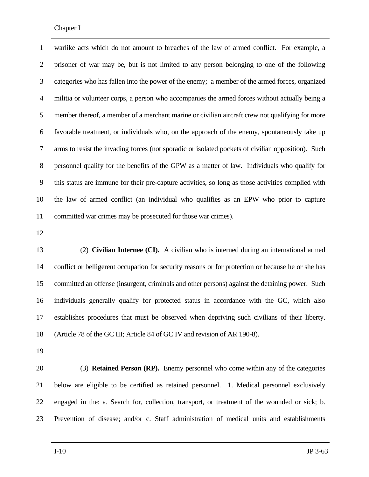1 warlike acts which do not amount to breaches of the law of armed conflict. For example, a 2 prisoner of war may be, but is not limited to any person belonging to one of the following 3 categories who has fallen into the power of the enemy; a member of the armed forces, organized 4 militia or volunteer corps, a person who accompanies the armed forces without actually being a 5 member thereof, a member of a merchant marine or civilian aircraft crew not qualifying for more 6 favorable treatment, or individuals who, on the approach of the enemy, spontaneously take up 7 arms to resist the invading forces (not sporadic or isolated pockets of civilian opposition). Such 8 personnel qualify for the benefits of the GPW as a matter of law. Individuals who qualify for 9 this status are immune for their pre-capture activities, so long as those activities complied with 10 the law of armed conflict (an individual who qualifies as an EPW who prior to capture 11 committed war crimes may be prosecuted for those war crimes).

12

13 (2) **Civilian Internee (CI).** A civilian who is interned during an international armed 14 conflict or belligerent occupation for security reasons or for protection or because he or she has 15 committed an offense (insurgent, criminals and other persons) against the detaining power. Such 16 individuals generally qualify for protected status in accordance with the GC, which also 17 establishes procedures that must be observed when depriving such civilians of their liberty. 18 (Article 78 of the GC III; Article 84 of GC IV and revision of AR 190-8).

19

20 (3) **Retained Person (RP).** Enemy personnel who come within any of the categories 21 below are eligible to be certified as retained personnel. 1. Medical personnel exclusively 22 engaged in the: a. Search for, collection, transport, or treatment of the wounded or sick; b. 23 Prevention of disease; and/or c. Staff administration of medical units and establishments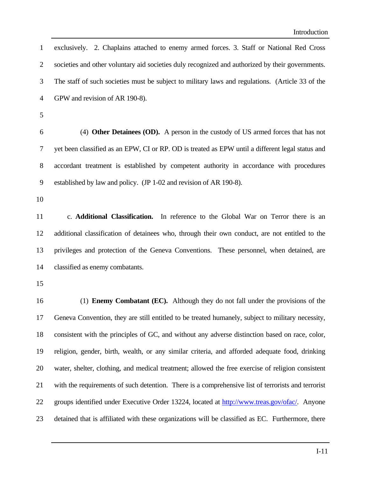| $\mathbf{1}$   | exclusively. 2. Chaplains attached to enemy armed forces. 3. Staff or National Red Cross           |
|----------------|----------------------------------------------------------------------------------------------------|
| $\overline{2}$ | societies and other voluntary aid societies duly recognized and authorized by their governments.   |
| 3              | The staff of such societies must be subject to military laws and regulations. (Article 33 of the   |
| $\overline{4}$ | GPW and revision of AR 190-8).                                                                     |
| 5              |                                                                                                    |
| 6              | (4) Other Detainees (OD). A person in the custody of US armed forces that has not                  |
| 7              | yet been classified as an EPW, CI or RP. OD is treated as EPW until a different legal status and   |
| $8\,$          | accordant treatment is established by competent authority in accordance with procedures            |
| 9              | established by law and policy. (JP 1-02 and revision of AR 190-8).                                 |
| 10             |                                                                                                    |
| 11             | c. Additional Classification. In reference to the Global War on Terror there is an                 |
| 12             | additional classification of detainees who, through their own conduct, are not entitled to the     |
| 13             | privileges and protection of the Geneva Conventions. These personnel, when detained, are           |
| 14             | classified as enemy combatants.                                                                    |
| 15             |                                                                                                    |
| 16             | (1) Enemy Combatant (EC). Although they do not fall under the provisions of the                    |
| 17             | Geneva Convention, they are still entitled to be treated humanely, subject to military necessity,  |
| 18             | consistent with the principles of GC, and without any adverse distinction based on race, color,    |
| 19             | religion, gender, birth, wealth, or any similar criteria, and afforded adequate food, drinking     |
| 20             | water, shelter, clothing, and medical treatment; allowed the free exercise of religion consistent  |
| 21             | with the requirements of such detention. There is a comprehensive list of terrorists and terrorist |
| 22             | groups identified under Executive Order 13224, located at http://www.treas.gov/ofac/. Anyone       |
| 23             | detained that is affiliated with these organizations will be classified as EC. Furthermore, there  |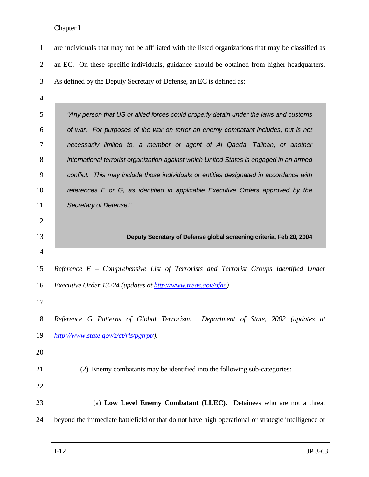| $\mathbf{1}$   | are individuals that may not be affiliated with the listed organizations that may be classified as |
|----------------|----------------------------------------------------------------------------------------------------|
| $\overline{2}$ | an EC. On these specific individuals, guidance should be obtained from higher headquarters.        |
| 3              | As defined by the Deputy Secretary of Defense, an EC is defined as:                                |
| $\overline{4}$ |                                                                                                    |
| 5              | "Any person that US or allied forces could properly detain under the laws and customs              |
| 6              | of war. For purposes of the war on terror an enemy combatant includes, but is not                  |
| 7              | necessarily limited to, a member or agent of AI Qaeda, Taliban, or another                         |
| 8              | international terrorist organization against which United States is engaged in an armed            |
| 9              | conflict. This may include those individuals or entities designated in accordance with             |
| 10             | references E or G, as identified in applicable Executive Orders approved by the                    |
| 11             | Secretary of Defense."                                                                             |
| 12             |                                                                                                    |
| 13             | Deputy Secretary of Defense global screening criteria, Feb 20, 2004                                |
|                |                                                                                                    |
| 14             |                                                                                                    |
| 15             | Reference E - Comprehensive List of Terrorists and Terrorist Groups Identified Under               |
| 16             | Executive Order 13224 (updates at http://www.treas.gov/ofac)                                       |
| 17             |                                                                                                    |
| 18             | Reference G Patterns of Global Terrorism. Department of State, 2002 (updates at                    |
| 19             | http://www.state.gov/s/ct/rls/pgtrpt/).                                                            |
| 20             |                                                                                                    |
| 21             | (2) Enemy combatants may be identified into the following sub-categories:                          |
| 22             |                                                                                                    |
| 23             | (a) Low Level Enemy Combatant (LLEC). Detainees who are not a threat                               |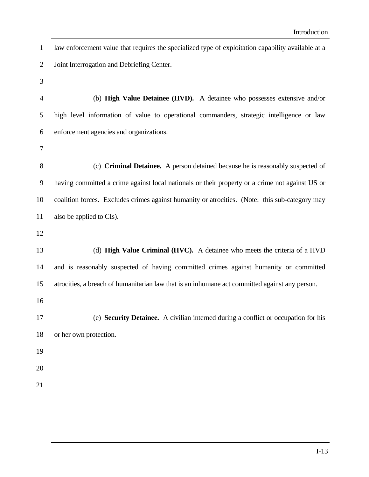| $\mathbf{1}$   | law enforcement value that requires the specialized type of exploitation capability available at a |
|----------------|----------------------------------------------------------------------------------------------------|
| $\overline{2}$ | Joint Interrogation and Debriefing Center.                                                         |
| 3              |                                                                                                    |
| $\overline{4}$ | (b) <b>High Value Detainee (HVD).</b> A detainee who possesses extensive and/or                    |
| 5              | high level information of value to operational commanders, strategic intelligence or law           |
| 6              | enforcement agencies and organizations.                                                            |
| 7              |                                                                                                    |
| 8              | (c) Criminal Detainee. A person detained because he is reasonably suspected of                     |
| 9              | having committed a crime against local nationals or their property or a crime not against US or    |
| 10             | coalition forces. Excludes crimes against humanity or atrocities. (Note: this sub-category may     |
| 11             | also be applied to CIs).                                                                           |
| 12             |                                                                                                    |
| 13             | (d) High Value Criminal (HVC). A detainee who meets the criteria of a HVD                          |
| 14             | and is reasonably suspected of having committed crimes against humanity or committed               |
| 15             | atrocities, a breach of humanitarian law that is an inhumane act committed against any person.     |
| 16             |                                                                                                    |
| 17             | (e) Security Detainee. A civilian interned during a conflict or occupation for his                 |
| 18             | or her own protection.                                                                             |
| 19             |                                                                                                    |
| 20             |                                                                                                    |
| 21             |                                                                                                    |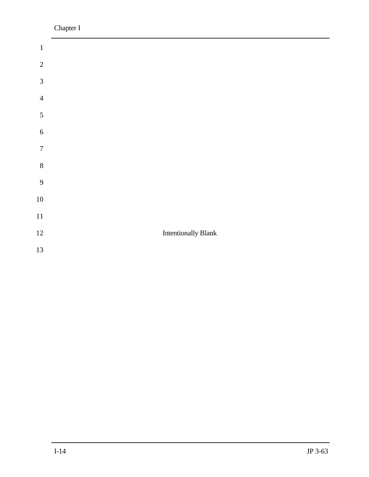| $\mathbf{1}$     |                            |
|------------------|----------------------------|
| $\overline{2}$   |                            |
| $\mathfrak{Z}$   |                            |
| $\overline{4}$   |                            |
| $\sqrt{5}$       |                            |
| $\sqrt{6}$       |                            |
| $\boldsymbol{7}$ |                            |
| $\,8\,$          |                            |
| 9                |                            |
| 10               |                            |
| 11               |                            |
| 12               | <b>Intentionally Blank</b> |
| 13               |                            |
|                  |                            |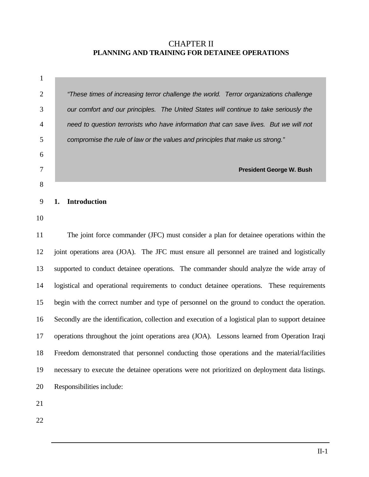CHAPTER II **PLANNING AND TRAINING FOR DETAINEE OPERATIONS** 

<span id="page-25-0"></span>

| $\mathbf{1}$   |                                                                                                    |
|----------------|----------------------------------------------------------------------------------------------------|
| $\overline{2}$ | "These times of increasing terror challenge the world. Terror organizations challenge              |
| 3              | our comfort and our principles. The United States will continue to take seriously the              |
| $\overline{4}$ | need to question terrorists who have information that can save lives. But we will not              |
| 5              | compromise the rule of law or the values and principles that make us strong."                      |
| 6              |                                                                                                    |
| 7              | <b>President George W. Bush</b>                                                                    |
| 8              |                                                                                                    |
| 9              | <b>Introduction</b><br>1.                                                                          |
| 10             |                                                                                                    |
| 11             | The joint force commander (JFC) must consider a plan for detainee operations within the            |
| 12             | joint operations area (JOA). The JFC must ensure all personnel are trained and logistically        |
| 13             | supported to conduct detainee operations. The commander should analyze the wide array of           |
| 14             | logistical and operational requirements to conduct detainee operations. These requirements         |
| 15             | begin with the correct number and type of personnel on the ground to conduct the operation.        |
| 16             | Secondly are the identification, collection and execution of a logistical plan to support detainee |
| 17             | operations throughout the joint operations area (JOA). Lessons learned from Operation Iraqi        |
| 18             | Freedom demonstrated that personnel conducting those operations and the material/facilities        |

19 necessary to execute the detainee operations were not prioritized on deployment data listings.

20 Responsibilities include:

21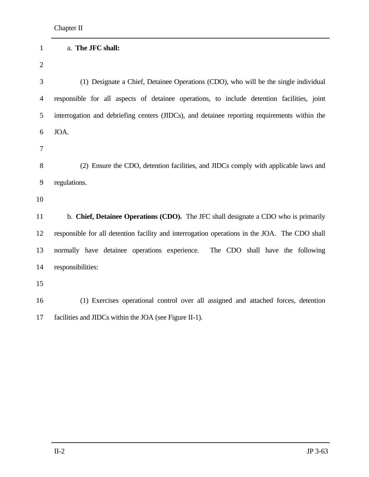1 a. **The JFC shall:** 2 3 (1) Designate a Chief, Detainee Operations (CDO), who will be the single individual 4 responsible for all aspects of detainee operations, to include detention facilities, joint 5 interrogation and debriefing centers (JIDCs), and detainee reporting requirements within the 6 JOA. 7 8 (2) Ensure the CDO, detention facilities, and JIDCs comply with applicable laws and 9 regulations. 10 11 b. **Chief, Detainee Operations (CDO).** The JFC shall designate a CDO who is primarily 12 responsible for all detention facility and interrogation operations in the JOA. The CDO shall 13 normally have detainee operations experience. The CDO shall have the following 14 responsibilities: 15 16 (1) Exercises operational control over all assigned and attached forces, detention 17 facilities and JIDCs within the JOA (see Figure II-1).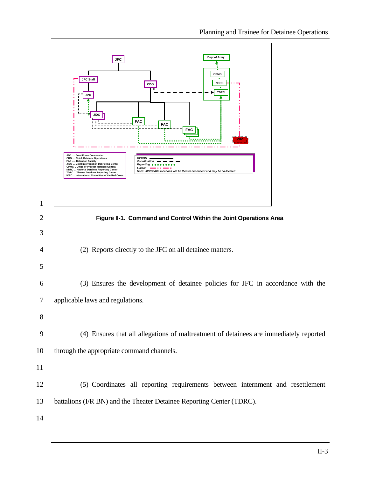<span id="page-27-0"></span>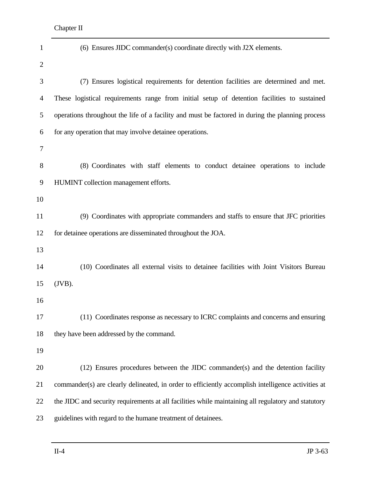| 1              | (6) Ensures JIDC commander(s) coordinate directly with J2X elements.                                |
|----------------|-----------------------------------------------------------------------------------------------------|
| $\overline{c}$ |                                                                                                     |
| 3              | (7) Ensures logistical requirements for detention facilities are determined and met.                |
| 4              | These logistical requirements range from initial setup of detention facilities to sustained         |
| 5              | operations throughout the life of a facility and must be factored in during the planning process    |
| 6              | for any operation that may involve detainee operations.                                             |
| 7              |                                                                                                     |
| 8              | (8) Coordinates with staff elements to conduct detainee operations to include                       |
| 9              | HUMINT collection management efforts.                                                               |
| 10             |                                                                                                     |
| 11             | (9) Coordinates with appropriate commanders and staffs to ensure that JFC priorities                |
| 12             | for detainee operations are disseminated throughout the JOA.                                        |
| 13             |                                                                                                     |
| 14             | (10) Coordinates all external visits to detainee facilities with Joint Visitors Bureau              |
| 15             | $(JVB)$ .                                                                                           |
| 16             |                                                                                                     |
| 17             | (11) Coordinates response as necessary to ICRC complaints and concerns and ensuring                 |
| 18             | they have been addressed by the command.                                                            |
| 19             |                                                                                                     |
| 20             | (12) Ensures procedures between the JIDC commander(s) and the detention facility                    |
| 21             | commander(s) are clearly delineated, in order to efficiently accomplish intelligence activities at  |
| 22             | the JIDC and security requirements at all facilities while maintaining all regulatory and statutory |
| 23             | guidelines with regard to the humane treatment of detainees.                                        |
|                |                                                                                                     |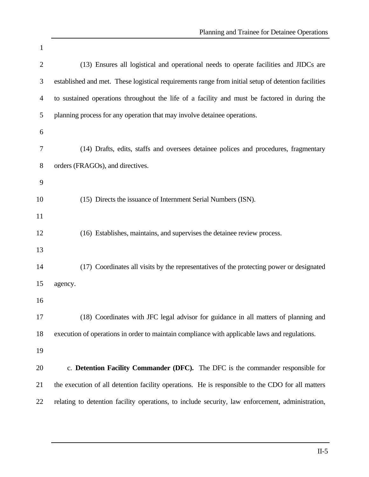| 1              |                                                                                                     |
|----------------|-----------------------------------------------------------------------------------------------------|
| $\overline{2}$ | (13) Ensures all logistical and operational needs to operate facilities and JIDCs are               |
| 3              | established and met. These logistical requirements range from initial setup of detention facilities |
| 4              | to sustained operations throughout the life of a facility and must be factored in during the        |
| 5              | planning process for any operation that may involve detainee operations.                            |
| 6              |                                                                                                     |
| 7              | (14) Drafts, edits, staffs and oversees detainee polices and procedures, fragmentary                |
| 8              | orders (FRAGOs), and directives.                                                                    |
| 9              |                                                                                                     |
| 10             | (15) Directs the issuance of Internment Serial Numbers (ISN).                                       |
| 11             |                                                                                                     |
| 12             | (16) Establishes, maintains, and supervises the detainee review process.                            |
| 13             |                                                                                                     |
| 14             | (17) Coordinates all visits by the representatives of the protecting power or designated            |
| 15             | agency.                                                                                             |
| 16             |                                                                                                     |
| 17             | (18) Coordinates with JFC legal advisor for guidance in all matters of planning and                 |
| 18             | execution of operations in order to maintain compliance with applicable laws and regulations.       |
| 19             |                                                                                                     |
| 20             | c. Detention Facility Commander (DFC). The DFC is the commander responsible for                     |
| 21             | the execution of all detention facility operations. He is responsible to the CDO for all matters    |
| 22             | relating to detention facility operations, to include security, law enforcement, administration,    |
|                |                                                                                                     |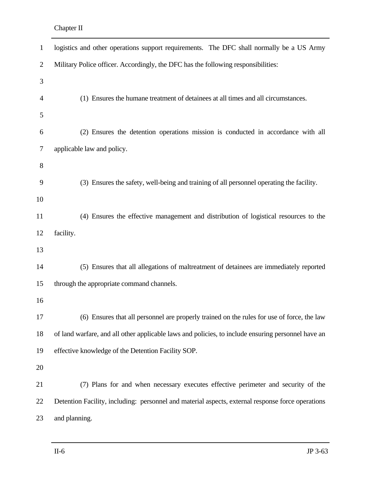| $\mathbf{1}$   | logistics and other operations support requirements. The DFC shall normally be a US Army           |
|----------------|----------------------------------------------------------------------------------------------------|
| $\overline{c}$ | Military Police officer. Accordingly, the DFC has the following responsibilities:                  |
| 3              |                                                                                                    |
| 4              | (1) Ensures the humane treatment of detainees at all times and all circumstances.                  |
| 5              |                                                                                                    |
| 6              | (2) Ensures the detention operations mission is conducted in accordance with all                   |
| 7              | applicable law and policy.                                                                         |
| 8              |                                                                                                    |
| 9              | (3) Ensures the safety, well-being and training of all personnel operating the facility.           |
| 10             |                                                                                                    |
| 11             | (4) Ensures the effective management and distribution of logistical resources to the               |
| 12             | facility.                                                                                          |
| 13             |                                                                                                    |
| 14             | (5) Ensures that all allegations of maltreatment of detainees are immediately reported             |
| 15             | through the appropriate command channels.                                                          |
| 16             |                                                                                                    |
| 17             | (6) Ensures that all personnel are properly trained on the rules for use of force, the law         |
| 18             | of land warfare, and all other applicable laws and policies, to include ensuring personnel have an |
| 19             | effective knowledge of the Detention Facility SOP.                                                 |
| 20             |                                                                                                    |
| 21             | (7) Plans for and when necessary executes effective perimeter and security of the                  |
| 22             | Detention Facility, including: personnel and material aspects, external response force operations  |
| 23             | and planning.                                                                                      |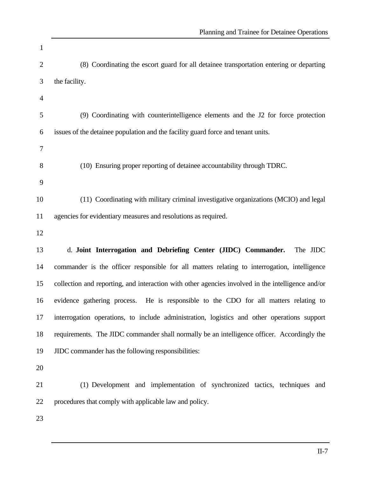| 1              |                                                                                                   |
|----------------|---------------------------------------------------------------------------------------------------|
| $\overline{2}$ | (8) Coordinating the escort guard for all detainee transportation entering or departing           |
| 3              | the facility.                                                                                     |
| 4              |                                                                                                   |
| 5              | (9) Coordinating with counterintelligence elements and the J2 for force protection                |
| 6              | issues of the detainee population and the facility guard force and tenant units.                  |
| 7              |                                                                                                   |
| 8              | (10) Ensuring proper reporting of detainee accountability through TDRC.                           |
| 9              |                                                                                                   |
| 10             | (11) Coordinating with military criminal investigative organizations (MCIO) and legal             |
| 11             | agencies for evidentiary measures and resolutions as required.                                    |
| 12             |                                                                                                   |
| 13             | d. Joint Interrogation and Debriefing Center (JIDC) Commander.<br>The JIDC                        |
|                |                                                                                                   |
| 14             | commander is the officer responsible for all matters relating to interrogation, intelligence      |
| 15             | collection and reporting, and interaction with other agencies involved in the intelligence and/or |
| 16             | He is responsible to the CDO for all matters relating to<br>evidence gathering process.           |
| 17             | interrogation operations, to include administration, logistics and other operations support       |
| 18             | requirements. The JIDC commander shall normally be an intelligence officer. Accordingly the       |
| 19             | JIDC commander has the following responsibilities:                                                |
| 20             |                                                                                                   |
|                | (1) Development and implementation of synchronized tactics, techniques and                        |
| 21<br>22       | procedures that comply with applicable law and policy.                                            |
| 23             |                                                                                                   |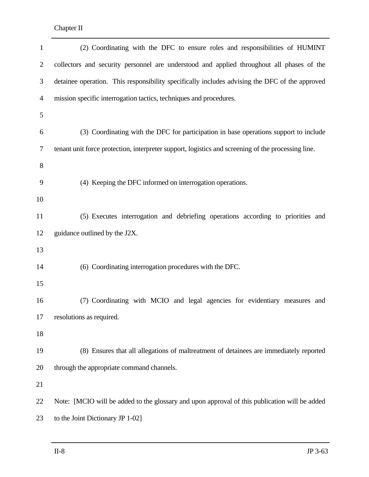| $\mathbf{1}$   | (2) Coordinating with the DFC to ensure roles and responsibilities of HUMINT                       |  |  |  |
|----------------|----------------------------------------------------------------------------------------------------|--|--|--|
| $\overline{2}$ | collectors and security personnel are understood and applied throughout all phases of the          |  |  |  |
| 3              | detainee operation. This responsibility specifically includes advising the DFC of the approved     |  |  |  |
| $\overline{4}$ | mission specific interrogation tactics, techniques and procedures.                                 |  |  |  |
| 5              |                                                                                                    |  |  |  |
| 6              | (3) Coordinating with the DFC for participation in base operations support to include              |  |  |  |
| 7              | tenant unit force protection, interpreter support, logistics and screening of the processing line. |  |  |  |
| 8              |                                                                                                    |  |  |  |
| 9              | (4) Keeping the DFC informed on interrogation operations.                                          |  |  |  |
| 10             |                                                                                                    |  |  |  |
| 11             | (5) Executes interrogation and debriefing operations according to priorities and                   |  |  |  |
| 12             | guidance outlined by the J2X.                                                                      |  |  |  |
| 13             |                                                                                                    |  |  |  |
| 14             | (6) Coordinating interrogation procedures with the DFC.                                            |  |  |  |
| 15             |                                                                                                    |  |  |  |
| 16             | (7) Coordinating with MCIO and legal agencies for evidentiary measures and                         |  |  |  |
| 17             | resolutions as required.                                                                           |  |  |  |
| 18             |                                                                                                    |  |  |  |
| 19             | (8) Ensures that all allegations of maltreatment of detainees are immediately reported             |  |  |  |
| 20             | through the appropriate command channels.                                                          |  |  |  |
| 21             |                                                                                                    |  |  |  |
| 22             | Note: [MCIO will be added to the glossary and upon approval of this publication will be added      |  |  |  |
| 23             | to the Joint Dictionary JP 1-02]                                                                   |  |  |  |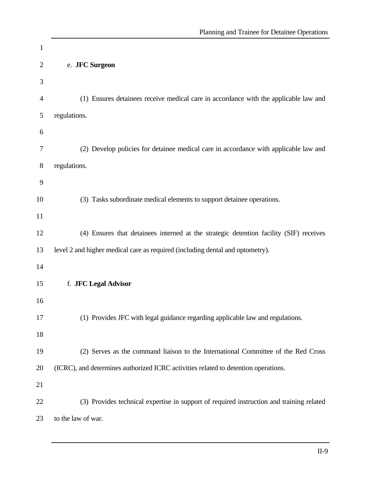| 1  |                                                                                          |  |  |  |
|----|------------------------------------------------------------------------------------------|--|--|--|
| 2  | e. JFC Surgeon                                                                           |  |  |  |
| 3  |                                                                                          |  |  |  |
| 4  | (1) Ensures detainees receive medical care in accordance with the applicable law and     |  |  |  |
| 5  | regulations.                                                                             |  |  |  |
| 6  |                                                                                          |  |  |  |
| 7  | (2) Develop policies for detainee medical care in accordance with applicable law and     |  |  |  |
| 8  | regulations.                                                                             |  |  |  |
| 9  |                                                                                          |  |  |  |
| 10 | (3) Tasks subordinate medical elements to support detainee operations.                   |  |  |  |
| 11 |                                                                                          |  |  |  |
| 12 | (4) Ensures that detainees interned at the strategic detention facility (SIF) receives   |  |  |  |
| 13 | level 2 and higher medical care as required (including dental and optometry).            |  |  |  |
| 14 |                                                                                          |  |  |  |
| 15 | f. JFC Legal Advisor                                                                     |  |  |  |
| 16 |                                                                                          |  |  |  |
| 17 | (1) Provides JFC with legal guidance regarding applicable law and regulations.           |  |  |  |
| 18 |                                                                                          |  |  |  |
| 19 | (2) Serves as the command liaison to the International Committee of the Red Cross        |  |  |  |
| 20 | (ICRC), and determines authorized ICRC activities related to detention operations.       |  |  |  |
| 21 |                                                                                          |  |  |  |
| 22 | (3) Provides technical expertise in support of required instruction and training related |  |  |  |
| 23 | to the law of war.                                                                       |  |  |  |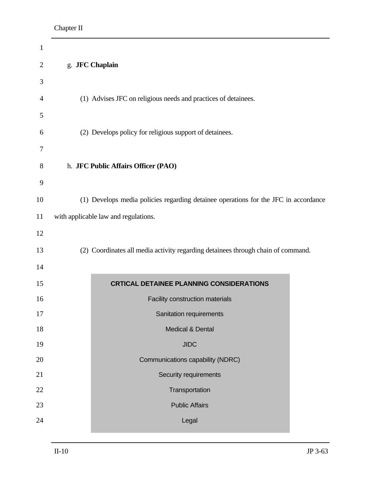| $\mathbf{1}$   |                                                                                  |                                                                                     |  |  |
|----------------|----------------------------------------------------------------------------------|-------------------------------------------------------------------------------------|--|--|
| $\overline{2}$ |                                                                                  | g. JFC Chaplain                                                                     |  |  |
| 3              |                                                                                  |                                                                                     |  |  |
| 4              |                                                                                  | (1) Advises JFC on religious needs and practices of detainees.                      |  |  |
| 5              |                                                                                  |                                                                                     |  |  |
| 6              |                                                                                  | (2) Develops policy for religious support of detainees.                             |  |  |
| 7              |                                                                                  |                                                                                     |  |  |
| 8              | h. JFC Public Affairs Officer (PAO)                                              |                                                                                     |  |  |
| 9              |                                                                                  |                                                                                     |  |  |
| 10             |                                                                                  | (1) Develops media policies regarding detainee operations for the JFC in accordance |  |  |
| 11             | with applicable law and regulations.                                             |                                                                                     |  |  |
| 12             |                                                                                  |                                                                                     |  |  |
| 13             | (2) Coordinates all media activity regarding detainees through chain of command. |                                                                                     |  |  |
| 14             |                                                                                  |                                                                                     |  |  |
| 15             |                                                                                  | <b>CRTICAL DETAINEE PLANNING CONSIDERATIONS</b>                                     |  |  |
| 16             |                                                                                  | Facility construction materials                                                     |  |  |
| 17             |                                                                                  | Sanitation requirements                                                             |  |  |
| 18             |                                                                                  | Medical & Dental                                                                    |  |  |
| 19             |                                                                                  | <b>JIDC</b>                                                                         |  |  |
| 20             |                                                                                  | Communications capability (NDRC)                                                    |  |  |
| 21             |                                                                                  | Security requirements                                                               |  |  |
| 22             |                                                                                  | Transportation                                                                      |  |  |
| 23             |                                                                                  | <b>Public Affairs</b>                                                               |  |  |
| 24             |                                                                                  | Legal                                                                               |  |  |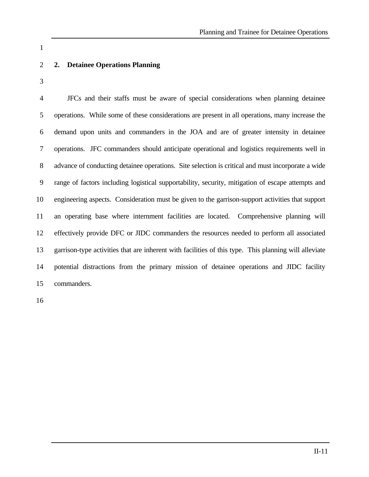<span id="page-35-0"></span>1

#### 2 **2. Detainee Operations Planning**

3

4 JFCs and their staffs must be aware of special considerations when planning detainee 5 operations. While some of these considerations are present in all operations, many increase the 6 demand upon units and commanders in the JOA and are of greater intensity in detainee 7 operations. JFC commanders should anticipate operational and logistics requirements well in 8 advance of conducting detainee operations. Site selection is critical and must incorporate a wide 9 range of factors including logistical supportability, security, mitigation of escape attempts and 10 engineering aspects. Consideration must be given to the garrison-support activities that support 11 an operating base where internment facilities are located. Comprehensive planning will 12 effectively provide DFC or JIDC commanders the resources needed to perform all associated 13 garrison-type activities that are inherent with facilities of this type. This planning will alleviate 14 potential distractions from the primary mission of detainee operations and JIDC facility 15 commanders.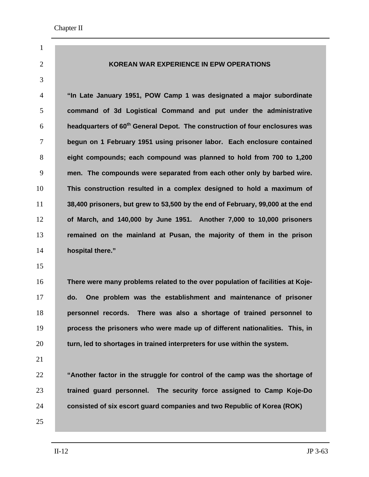| $\mathbf{1}$   |                                                                                         |
|----------------|-----------------------------------------------------------------------------------------|
| $\overline{2}$ | <b>KOREAN WAR EXPERIENCE IN EPW OPERATIONS</b>                                          |
| 3              |                                                                                         |
| $\overline{4}$ | "In Late January 1951, POW Camp 1 was designated a major subordinate                    |
| 5              | command of 3d Logistical Command and put under the administrative                       |
| 6              | headquarters of 60 <sup>th</sup> General Depot. The construction of four enclosures was |
| $\tau$         | begun on 1 February 1951 using prisoner labor. Each enclosure contained                 |
| 8              | eight compounds; each compound was planned to hold from 700 to 1,200                    |
| 9              | men. The compounds were separated from each other only by barbed wire.                  |
| 10             | This construction resulted in a complex designed to hold a maximum of                   |
| 11             | 38,400 prisoners, but grew to 53,500 by the end of February, 99,000 at the end          |
| 12             | of March, and 140,000 by June 1951. Another 7,000 to 10,000 prisoners                   |
| 13             | remained on the mainland at Pusan, the majority of them in the prison                   |
| 14             | hospital there."                                                                        |
| 15             |                                                                                         |
| 16             | There were many problems related to the over population of facilities at Koje-          |
| 17             | One problem was the establishment and maintenance of prisoner<br>do.                    |
| 18             | There was also a shortage of trained personnel to<br>personnel records.                 |
| 19             | process the prisoners who were made up of different nationalities. This, in             |
| 20             | turn, led to shortages in trained interpreters for use within the system.               |
| 21             |                                                                                         |
| 22             | "Another factor in the struggle for control of the camp was the shortage of             |
| 23             | trained guard personnel. The security force assigned to Camp Koje-Do                    |
| 24             | consisted of six escort guard companies and two Republic of Korea (ROK)                 |
| 25             |                                                                                         |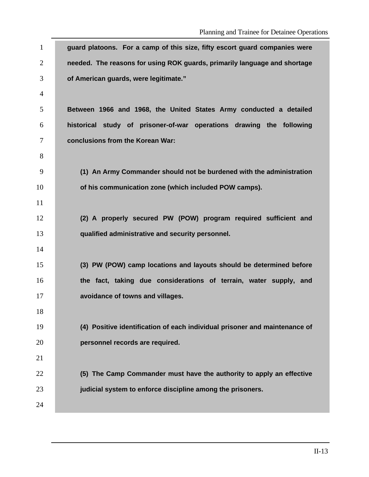| $\mathbf{1}$   | guard platoons. For a camp of this size, fifty escort guard companies were |
|----------------|----------------------------------------------------------------------------|
| $\overline{2}$ | needed. The reasons for using ROK guards, primarily language and shortage  |
| 3              | of American guards, were legitimate."                                      |
| $\overline{4}$ |                                                                            |
| 5              | Between 1966 and 1968, the United States Army conducted a detailed         |
| 6              | historical study of prisoner-of-war operations drawing the following       |
| 7              | conclusions from the Korean War:                                           |
| 8              |                                                                            |
| 9              | (1) An Army Commander should not be burdened with the administration       |
| 10             | of his communication zone (which included POW camps).                      |
| 11             |                                                                            |
| 12             | (2) A properly secured PW (POW) program required sufficient and            |
| 13             | qualified administrative and security personnel.                           |
| 14             |                                                                            |
| 15             | (3) PW (POW) camp locations and layouts should be determined before        |
| 16             | the fact, taking due considerations of terrain, water supply, and          |
| 17             | avoidance of towns and villages.                                           |
| 18             |                                                                            |
| 19             | (4) Positive identification of each individual prisoner and maintenance of |
| 20             | personnel records are required.                                            |
| 21             |                                                                            |
| 22             | (5) The Camp Commander must have the authority to apply an effective       |
| 23             | judicial system to enforce discipline among the prisoners.                 |
| 24             |                                                                            |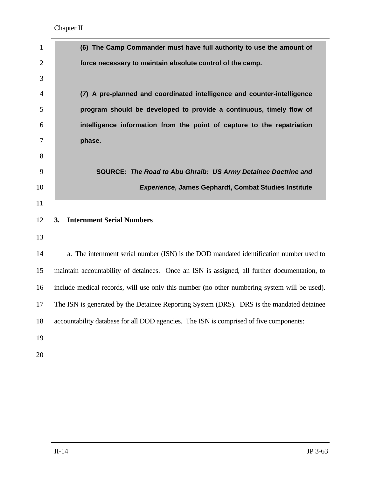| $\mathbf{1}$   | (6) The Camp Commander must have full authority to use the amount of                         |
|----------------|----------------------------------------------------------------------------------------------|
| $\overline{2}$ | force necessary to maintain absolute control of the camp.                                    |
| 3              |                                                                                              |
| 4              | (7) A pre-planned and coordinated intelligence and counter-intelligence                      |
| 5              | program should be developed to provide a continuous, timely flow of                          |
| 6              | intelligence information from the point of capture to the repatriation                       |
| 7              | phase.                                                                                       |
| 8              |                                                                                              |
| 9              | SOURCE: The Road to Abu Ghraib: US Army Detainee Doctrine and                                |
| 10             | <b>Experience, James Gephardt, Combat Studies Institute</b>                                  |
| 11             |                                                                                              |
| 12             | <b>Internment Serial Numbers</b><br><b>3.</b>                                                |
| 13             |                                                                                              |
| 14             | a. The internment serial number (ISN) is the DOD mandated identification number used to      |
| 15             | maintain accountability of detainees. Once an ISN is assigned, all further documentation, to |
| 16             | include medical records, will use only this number (no other numbering system will be used). |
| 17             | The ISN is generated by the Detainee Reporting System (DRS). DRS is the mandated detainee    |
| 18             | accountability database for all DOD agencies. The ISN is comprised of five components:       |
| 19             |                                                                                              |
| 20             |                                                                                              |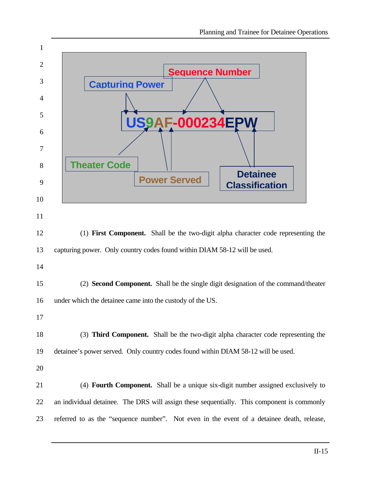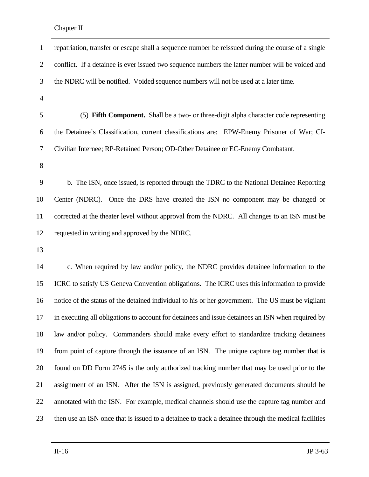| $\mathbf{1}$     | repatriation, transfer or escape shall a sequence number be reissued during the course of a single   |
|------------------|------------------------------------------------------------------------------------------------------|
| $\overline{2}$   | conflict. If a detainee is ever issued two sequence numbers the latter number will be voided and     |
| 3                | the NDRC will be notified. Voided sequence numbers will not be used at a later time.                 |
| $\overline{4}$   |                                                                                                      |
| 5                | (5) Fifth Component. Shall be a two- or three-digit alpha character code representing                |
| 6                | the Detainee's Classification, current classifications are: EPW-Enemy Prisoner of War; CI-           |
| 7                | Civilian Internee; RP-Retained Person; OD-Other Detainee or EC-Enemy Combatant.                      |
| 8                |                                                                                                      |
| $\boldsymbol{9}$ | b. The ISN, once issued, is reported through the TDRC to the National Detainee Reporting             |
| 10               | Center (NDRC). Once the DRS have created the ISN no component may be changed or                      |
| 11               | corrected at the theater level without approval from the NDRC. All changes to an ISN must be         |
| 12               | requested in writing and approved by the NDRC.                                                       |
| 13               |                                                                                                      |
| 14               | c. When required by law and/or policy, the NDRC provides detainee information to the                 |
| 15               | ICRC to satisfy US Geneva Convention obligations. The ICRC uses this information to provide          |
| 16               | notice of the status of the detained individual to his or her government. The US must be vigilant    |
| 17               | in executing all obligations to account for detainees and issue detainees an ISN when required by    |
| 18               | law and/or policy. Commanders should make every effort to standardize tracking detainees             |
| 19               | from point of capture through the issuance of an ISN. The unique capture tag number that is          |
| 20               | found on DD Form 2745 is the only authorized tracking number that may be used prior to the           |
| 21               | assignment of an ISN. After the ISN is assigned, previously generated documents should be            |
| 22               | annotated with the ISN. For example, medical channels should use the capture tag number and          |
| 23               | then use an ISN once that is issued to a detainee to track a detainee through the medical facilities |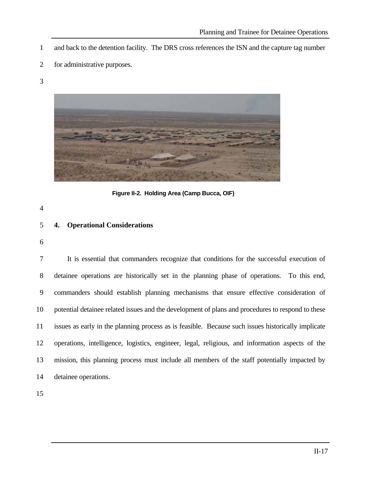- 1 and back to the detention facility. The DRS cross references the ISN and the capture tag number
- 2 for administrative purposes.
- 3



**Figure II-2. Holding Area (Camp Bucca, OIF)** 

4

## 5 **4. Operational Considerations**

6

7 It is essential that commanders recognize that conditions for the successful execution of 8 detainee operations are historically set in the planning phase of operations. To this end, 9 commanders should establish planning mechanisms that ensure effective consideration of 10 potential detainee related issues and the development of plans and procedures to respond to these 11 issues as early in the planning process as is feasible. Because such issues historically implicate 12 operations, intelligence, logistics, engineer, legal, religious, and information aspects of the 13 mission, this planning process must include all members of the staff potentially impacted by 14 detainee operations.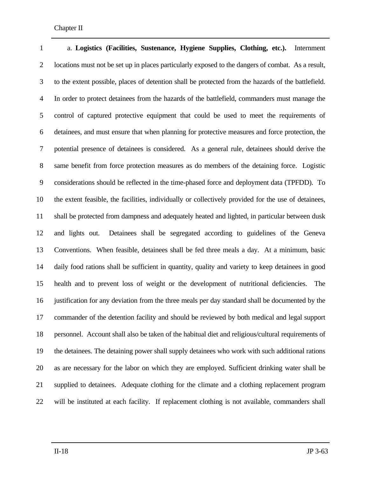1 a. **Logistics (Facilities, Sustenance, Hygiene Supplies, Clothing, etc.).** Internment 2 locations must not be set up in places particularly exposed to the dangers of combat. As a result, 3 to the extent possible, places of detention shall be protected from the hazards of the battlefield. 4 In order to protect detainees from the hazards of the battlefield, commanders must manage the 5 control of captured protective equipment that could be used to meet the requirements of 6 detainees, and must ensure that when planning for protective measures and force protection, the 7 potential presence of detainees is considered. As a general rule, detainees should derive the 8 same benefit from force protection measures as do members of the detaining force. Logistic 9 considerations should be reflected in the time-phased force and deployment data (TPFDD). To 10 the extent feasible, the facilities, individually or collectively provided for the use of detainees, 11 shall be protected from dampness and adequately heated and lighted, in particular between dusk 12 and lights out. Detainees shall be segregated according to guidelines of the Geneva 13 Conventions. When feasible, detainees shall be fed three meals a day. At a minimum, basic 14 daily food rations shall be sufficient in quantity, quality and variety to keep detainees in good 15 health and to prevent loss of weight or the development of nutritional deficiencies. The 16 justification for any deviation from the three meals per day standard shall be documented by the 17 commander of the detention facility and should be reviewed by both medical and legal support 18 personnel. Account shall also be taken of the habitual diet and religious/cultural requirements of 19 the detainees. The detaining power shall supply detainees who work with such additional rations 20 as are necessary for the labor on which they are employed. Sufficient drinking water shall be 21 supplied to detainees. Adequate clothing for the climate and a clothing replacement program 22 will be instituted at each facility. If replacement clothing is not available, commanders shall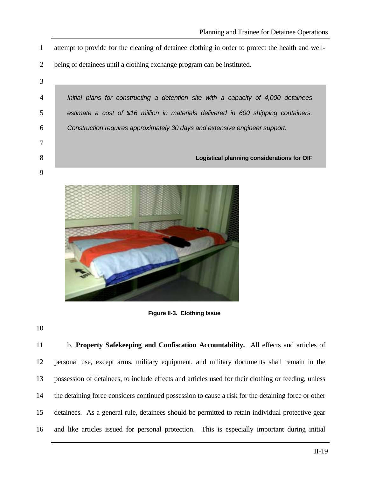1 attempt to provide for the cleaning of detainee clothing in order to protect the health and well-

2 being of detainees until a clothing exchange program can be instituted.

# 4 *Initial plans for constructing a detention site with a capacity of 4,000 detainees*  5 *estimate a cost of \$16 million in materials delivered in 600 shipping containers.*  6 *Construction requires approximately 30 days and extensive engineer support.*

8 **Logistical planning considerations for OIF** 



**Figure II-3. Clothing Issue** 

10

3

7

11 b. **Property Safekeeping and Confiscation Accountability.** All effects and articles of 12 personal use, except arms, military equipment, and military documents shall remain in the 13 possession of detainees, to include effects and articles used for their clothing or feeding, unless 14 the detaining force considers continued possession to cause a risk for the detaining force or other 15 detainees. As a general rule, detainees should be permitted to retain individual protective gear 16 and like articles issued for personal protection. This is especially important during initial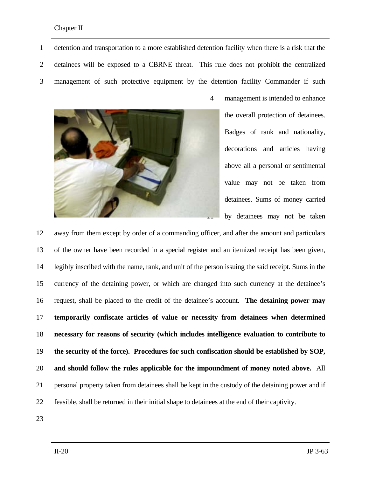1 detention and transportation to a more established detention facility when there is a risk that the 2 detainees will be exposed to a CBRNE threat. This rule does not prohibit the centralized 3 management of such protective equipment by the detention facility Commander if such



4 management is intended to enhance the overall protection of detainees. 6 Badges of rank and nationality, decorations and articles having above all a personal or sentimental value may not be taken from detainees. Sums of money carried by detainees may not be taken

12 away from them except by order of a commanding officer, and after the amount and particulars 13 of the owner have been recorded in a special register and an itemized receipt has been given, 14 legibly inscribed with the name, rank, and unit of the person issuing the said receipt. Sums in the 15 currency of the detaining power, or which are changed into such currency at the detainee's 16 request, shall be placed to the credit of the detainee's account. **The detaining power may**  17 **temporarily confiscate articles of value or necessity from detainees when determined**  18 **necessary for reasons of security (which includes intelligence evaluation to contribute to**  19 **the security of the force). Procedures for such confiscation should be established by SOP,**  20 **and should follow the rules applicable for the impoundment of money noted above.** All 21 personal property taken from detainees shall be kept in the custody of the detaining power and if 22 feasible, shall be returned in their initial shape to detainees at the end of their captivity.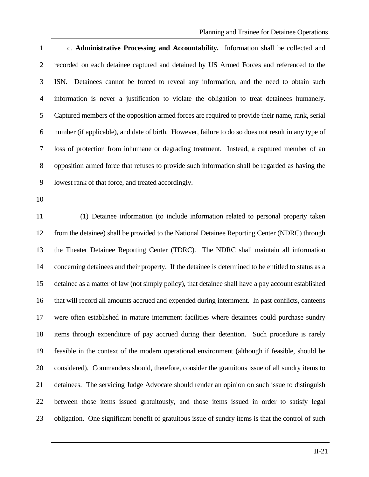1 c. **Administrative Processing and Accountability.** Information shall be collected and 2 recorded on each detainee captured and detained by US Armed Forces and referenced to the 3 ISN. Detainees cannot be forced to reveal any information, and the need to obtain such 4 information is never a justification to violate the obligation to treat detainees humanely. 5 Captured members of the opposition armed forces are required to provide their name, rank, serial 6 number (if applicable), and date of birth. However, failure to do so does not result in any type of 7 loss of protection from inhumane or degrading treatment. Instead, a captured member of an 8 opposition armed force that refuses to provide such information shall be regarded as having the 9 lowest rank of that force, and treated accordingly.

10

11 (1) Detainee information (to include information related to personal property taken 12 from the detainee) shall be provided to the National Detainee Reporting Center (NDRC) through 13 the Theater Detainee Reporting Center (TDRC). The NDRC shall maintain all information 14 concerning detainees and their property. If the detainee is determined to be entitled to status as a 15 detainee as a matter of law (not simply policy), that detainee shall have a pay account established 16 that will record all amounts accrued and expended during internment. In past conflicts, canteens 17 were often established in mature internment facilities where detainees could purchase sundry 18 items through expenditure of pay accrued during their detention. Such procedure is rarely 19 feasible in the context of the modern operational environment (although if feasible, should be 20 considered). Commanders should, therefore, consider the gratuitous issue of all sundry items to 21 detainees. The servicing Judge Advocate should render an opinion on such issue to distinguish 22 between those items issued gratuitously, and those items issued in order to satisfy legal 23 obligation. One significant benefit of gratuitous issue of sundry items is that the control of such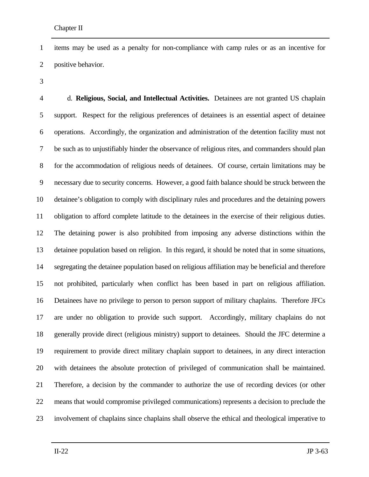1 items may be used as a penalty for non-compliance with camp rules or as an incentive for 2 positive behavior.

3

4 d. **Religious, Social, and Intellectual Activities.** Detainees are not granted US chaplain 5 support. Respect for the religious preferences of detainees is an essential aspect of detainee 6 operations. Accordingly, the organization and administration of the detention facility must not 7 be such as to unjustifiably hinder the observance of religious rites, and commanders should plan 8 for the accommodation of religious needs of detainees. Of course, certain limitations may be 9 necessary due to security concerns. However, a good faith balance should be struck between the 10 detainee's obligation to comply with disciplinary rules and procedures and the detaining powers 11 obligation to afford complete latitude to the detainees in the exercise of their religious duties. 12 The detaining power is also prohibited from imposing any adverse distinctions within the 13 detainee population based on religion. In this regard, it should be noted that in some situations, 14 segregating the detainee population based on religious affiliation may be beneficial and therefore 15 not prohibited, particularly when conflict has been based in part on religious affiliation. 16 Detainees have no privilege to person to person support of military chaplains. Therefore JFCs 17 are under no obligation to provide such support. Accordingly, military chaplains do not 18 generally provide direct (religious ministry) support to detainees. Should the JFC determine a 19 requirement to provide direct military chaplain support to detainees, in any direct interaction 20 with detainees the absolute protection of privileged of communication shall be maintained. 21 Therefore, a decision by the commander to authorize the use of recording devices (or other 22 means that would compromise privileged communications) represents a decision to preclude the 23 involvement of chaplains since chaplains shall observe the ethical and theological imperative to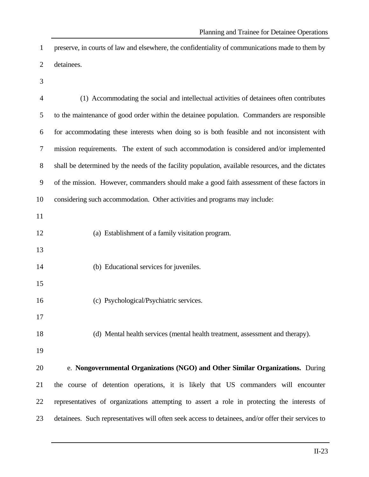1 preserve, in courts of law and elsewhere, the confidentiality of communications made to them by 2 detainees.

| $\overline{4}$ | (1) Accommodating the social and intellectual activities of detainees often contributes             |
|----------------|-----------------------------------------------------------------------------------------------------|
| 5              | to the maintenance of good order within the detainee population. Commanders are responsible         |
| 6              | for accommodating these interests when doing so is both feasible and not inconsistent with          |
| 7              | mission requirements. The extent of such accommodation is considered and/or implemented             |
| $8\,$          | shall be determined by the needs of the facility population, available resources, and the dictates  |
| 9              | of the mission. However, commanders should make a good faith assessment of these factors in         |
| 10             | considering such accommodation. Other activities and programs may include:                          |
| 11             |                                                                                                     |
| 12             | (a) Establishment of a family visitation program.                                                   |
| 13             |                                                                                                     |
| 14             | (b) Educational services for juveniles.                                                             |
| 15             |                                                                                                     |
| 16             | (c) Psychological/Psychiatric services.                                                             |
| 17             |                                                                                                     |
| 18             | (d) Mental health services (mental health treatment, assessment and therapy).                       |
| 19             |                                                                                                     |
| 20             | e. Nongovernmental Organizations (NGO) and Other Similar Organizations. During                      |
| 21             | the course of detention operations, it is likely that US commanders will encounter                  |
| 22             | representatives of organizations attempting to assert a role in protecting the interests of         |
| 23             | detainees. Such representatives will often seek access to detainees, and/or offer their services to |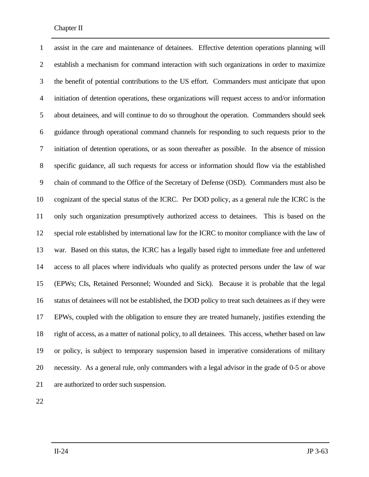1 assist in the care and maintenance of detainees. Effective detention operations planning will 2 establish a mechanism for command interaction with such organizations in order to maximize 3 the benefit of potential contributions to the US effort. Commanders must anticipate that upon 4 initiation of detention operations, these organizations will request access to and/or information 5 about detainees, and will continue to do so throughout the operation. Commanders should seek 6 guidance through operational command channels for responding to such requests prior to the 7 initiation of detention operations, or as soon thereafter as possible. In the absence of mission 8 specific guidance, all such requests for access or information should flow via the established 9 chain of command to the Office of the Secretary of Defense (OSD). Commanders must also be 10 cognizant of the special status of the ICRC. Per DOD policy, as a general rule the ICRC is the 11 only such organization presumptively authorized access to detainees. This is based on the 12 special role established by international law for the ICRC to monitor compliance with the law of 13 war. Based on this status, the ICRC has a legally based right to immediate free and unfettered 14 access to all places where individuals who qualify as protected persons under the law of war 15 (EPWs; CIs, Retained Personnel; Wounded and Sick). Because it is probable that the legal 16 status of detainees will not be established, the DOD policy to treat such detainees as if they were 17 EPWs, coupled with the obligation to ensure they are treated humanely, justifies extending the 18 right of access, as a matter of national policy, to all detainees. This access, whether based on law 19 or policy, is subject to temporary suspension based in imperative considerations of military 20 necessity. As a general rule, only commanders with a legal advisor in the grade of 0-5 or above 21 are authorized to order such suspension.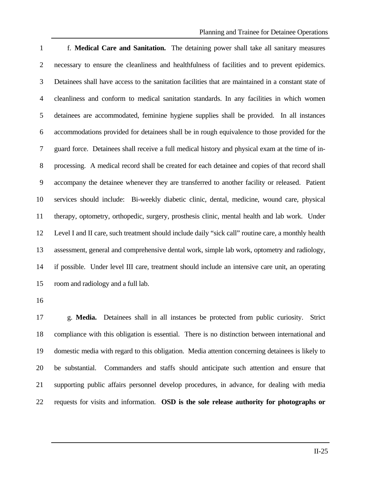1 f. **Medical Care and Sanitation.** The detaining power shall take all sanitary measures 2 necessary to ensure the cleanliness and healthfulness of facilities and to prevent epidemics. 3 Detainees shall have access to the sanitation facilities that are maintained in a constant state of 4 cleanliness and conform to medical sanitation standards. In any facilities in which women 5 detainees are accommodated, feminine hygiene supplies shall be provided. In all instances 6 accommodations provided for detainees shall be in rough equivalence to those provided for the 7 guard force. Detainees shall receive a full medical history and physical exam at the time of in-8 processing. A medical record shall be created for each detainee and copies of that record shall 9 accompany the detainee whenever they are transferred to another facility or released. Patient 10 services should include: Bi-weekly diabetic clinic, dental, medicine, wound care, physical 11 therapy, optometry, orthopedic, surgery, prosthesis clinic, mental health and lab work. Under 12 Level I and II care, such treatment should include daily "sick call" routine care, a monthly health 13 assessment, general and comprehensive dental work, simple lab work, optometry and radiology, 14 if possible. Under level III care, treatment should include an intensive care unit, an operating 15 room and radiology and a full lab.

16

17 g. **Media.** Detainees shall in all instances be protected from public curiosity.Strict 18 compliance with this obligation is essential. There is no distinction between international and 19 domestic media with regard to this obligation. Media attention concerning detainees is likely to 20 be substantial. Commanders and staffs should anticipate such attention and ensure that 21 supporting public affairs personnel develop procedures, in advance, for dealing with media 22 requests for visits and information. **OSD is the sole release authority for photographs or**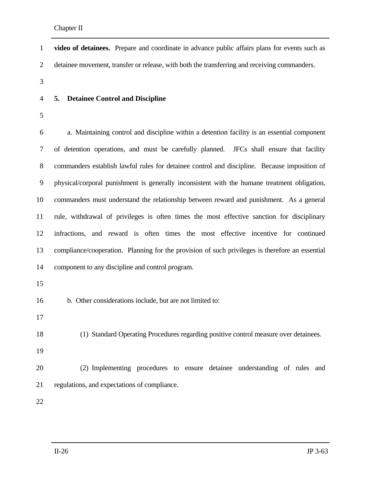| $\mathbf{1}$   | video of detainees. Prepare and coordinate in advance public affairs plans for events such as   |
|----------------|-------------------------------------------------------------------------------------------------|
| $\overline{2}$ | detainee movement, transfer or release, with both the transferring and receiving commanders.    |
| 3              |                                                                                                 |
| 4              | <b>5.</b> Detainee Control and Discipline                                                       |
| 5              |                                                                                                 |
| 6              | a. Maintaining control and discipline within a detention facility is an essential component     |
| 7              | of detention operations, and must be carefully planned. JFCs shall ensure that facility         |
| 8              | commanders establish lawful rules for detainee control and discipline. Because imposition of    |
| 9              | physical/corporal punishment is generally inconsistent with the humane treatment obligation,    |
| 10             | commanders must understand the relationship between reward and punishment. As a general         |
| 11             | rule, withdrawal of privileges is often times the most effective sanction for disciplinary      |
| 12             | infractions, and reward is often times the most effective incentive for continued               |
| 13             | compliance/cooperation. Planning for the provision of such privileges is therefore an essential |
| 14             | component to any discipline and control program.                                                |
| 15             |                                                                                                 |
| 16             | b. Other considerations include, but are not limited to:                                        |
| 17             |                                                                                                 |
| 18             | (1) Standard Operating Procedures regarding positive control measure over detainees.            |
| 19             |                                                                                                 |
| 20             | (2) Implementing procedures to ensure detainee understanding of rules and                       |
| 21             | regulations, and expectations of compliance.                                                    |
| 22             |                                                                                                 |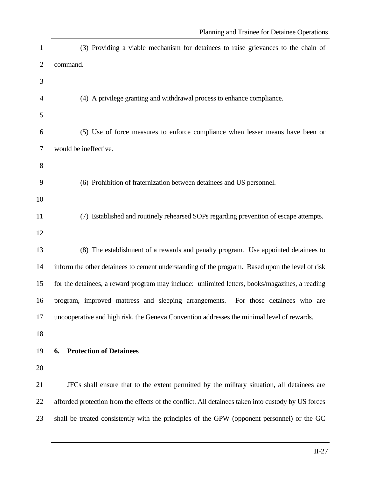| $\mathbf{1}$   | (3) Providing a viable mechanism for detainees to raise grievances to the chain of                  |
|----------------|-----------------------------------------------------------------------------------------------------|
| $\overline{2}$ | command.                                                                                            |
| 3              |                                                                                                     |
| 4              | (4) A privilege granting and withdrawal process to enhance compliance.                              |
| 5              |                                                                                                     |
| 6              | (5) Use of force measures to enforce compliance when lesser means have been or                      |
| 7              | would be ineffective.                                                                               |
| 8              |                                                                                                     |
| 9              | (6) Prohibition of fraternization between detainees and US personnel.                               |
| 10             |                                                                                                     |
| 11             | (7) Established and routinely rehearsed SOPs regarding prevention of escape attempts.               |
| 12             |                                                                                                     |
| 13             | (8) The establishment of a rewards and penalty program. Use appointed detainees to                  |
| 14             | inform the other detainees to cement understanding of the program. Based upon the level of risk     |
| 15             | for the detainees, a reward program may include: unlimited letters, books/magazines, a reading      |
| 16             | program, improved mattress and sleeping arrangements.<br>For those detainees who are                |
| 17             | uncooperative and high risk, the Geneva Convention addresses the minimal level of rewards.          |
| 18             |                                                                                                     |
| 19             | <b>Protection of Detainees</b><br>6.                                                                |
| 20             |                                                                                                     |
| 21             | JFCs shall ensure that to the extent permitted by the military situation, all detainees are         |
| 22             | afforded protection from the effects of the conflict. All detainees taken into custody by US forces |
| 23             | shall be treated consistently with the principles of the GPW (opponent personnel) or the GC         |
|                |                                                                                                     |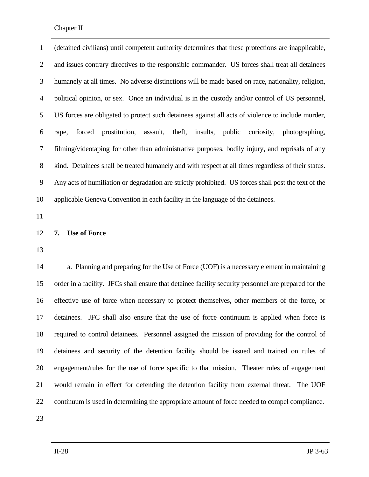1 (detained civilians) until competent authority determines that these protections are inapplicable, 2 and issues contrary directives to the responsible commander. US forces shall treat all detainees 3 humanely at all times. No adverse distinctions will be made based on race, nationality, religion, 4 political opinion, or sex. Once an individual is in the custody and/or control of US personnel, 5 US forces are obligated to protect such detainees against all acts of violence to include murder, 6 rape, forced prostitution, assault, theft, insults, public curiosity, photographing, 7 filming/videotaping for other than administrative purposes, bodily injury, and reprisals of any 8 kind. Detainees shall be treated humanely and with respect at all times regardless of their status. 9 Any acts of humiliation or degradation are strictly prohibited. US forces shall post the text of the 10 applicable Geneva Convention in each facility in the language of the detainees.

11

#### 12 **7. Use of Force**

13

14 a. Planning and preparing for the Use of Force (UOF) is a necessary element in maintaining 15 order in a facility. JFCs shall ensure that detainee facility security personnel are prepared for the 16 effective use of force when necessary to protect themselves, other members of the force, or 17 detainees. JFC shall also ensure that the use of force continuum is applied when force is 18 required to control detainees. Personnel assigned the mission of providing for the control of 19 detainees and security of the detention facility should be issued and trained on rules of 20 engagement/rules for the use of force specific to that mission. Theater rules of engagement 21 would remain in effect for defending the detention facility from external threat. The UOF 22 continuum is used in determining the appropriate amount of force needed to compel compliance.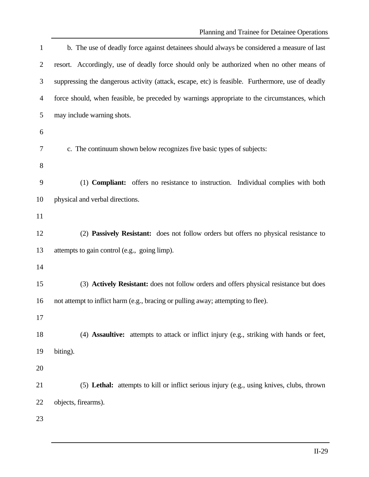| $\mathbf{1}$   | b. The use of deadly force against detainees should always be considered a measure of last       |
|----------------|--------------------------------------------------------------------------------------------------|
| $\overline{2}$ | resort. Accordingly, use of deadly force should only be authorized when no other means of        |
| 3              | suppressing the dangerous activity (attack, escape, etc) is feasible. Furthermore, use of deadly |
| 4              | force should, when feasible, be preceded by warnings appropriate to the circumstances, which     |
| 5              | may include warning shots.                                                                       |
| 6              |                                                                                                  |
| 7              | c. The continuum shown below recognizes five basic types of subjects:                            |
| 8              |                                                                                                  |
| 9              | (1) <b>Compliant:</b> offers no resistance to instruction. Individual complies with both         |
| 10             | physical and verbal directions.                                                                  |
| 11             |                                                                                                  |
| 12             | (2) Passively Resistant: does not follow orders but offers no physical resistance to             |
| 13             | attempts to gain control (e.g., going limp).                                                     |
| 14             |                                                                                                  |
| 15             | (3) Actively Resistant: does not follow orders and offers physical resistance but does           |
| 16             | not attempt to inflict harm (e.g., bracing or pulling away; attempting to flee).                 |
| 17             |                                                                                                  |
| 18             | (4) Assaultive: attempts to attack or inflict injury (e.g., striking with hands or feet,         |
| 19             | biting).                                                                                         |
| 20             |                                                                                                  |
| 21             | (5) Lethal: attempts to kill or inflict serious injury (e.g., using knives, clubs, thrown        |
| 22             | objects, firearms).                                                                              |
| 23             |                                                                                                  |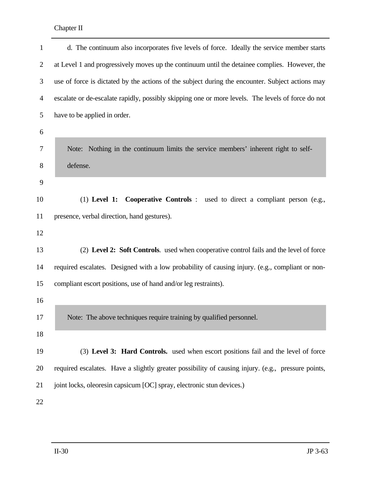| $\mathbf{1}$   | d. The continuum also incorporates five levels of force. Ideally the service member starts         |
|----------------|----------------------------------------------------------------------------------------------------|
| $\overline{c}$ | at Level 1 and progressively moves up the continuum until the detainee complies. However, the      |
| 3              | use of force is dictated by the actions of the subject during the encounter. Subject actions may   |
| $\overline{4}$ | escalate or de-escalate rapidly, possibly skipping one or more levels. The levels of force do not  |
| 5              | have to be applied in order.                                                                       |
| 6              |                                                                                                    |
| 7              | Note: Nothing in the continuum limits the service members' inherent right to self-                 |
| 8              | defense.                                                                                           |
| 9              |                                                                                                    |
| 10             | $(1)$ Level 1:<br><b>Cooperative Controls</b> : used to direct a compliant person (e.g.,           |
| 11             | presence, verbal direction, hand gestures).                                                        |
| 12             |                                                                                                    |
| 13             | (2) Level 2: Soft Controls. used when cooperative control fails and the level of force             |
| 14             | required escalates. Designed with a low probability of causing injury. (e.g., compliant or non-    |
| 15             | compliant escort positions, use of hand and/or leg restraints).                                    |
| 16             |                                                                                                    |
| 17             | Note: The above techniques require training by qualified personnel.                                |
| 18             |                                                                                                    |
| 19             | (3) Level 3: Hard Controls. used when escort positions fail and the level of force                 |
| 20             | required escalates. Have a slightly greater possibility of causing injury. (e.g., pressure points, |
| 21             | joint locks, oleoresin capsicum [OC] spray, electronic stun devices.)                              |
| 22             |                                                                                                    |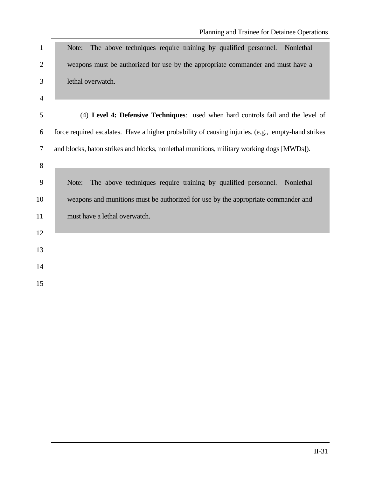| $\mathbf{1}$   | The above techniques require training by qualified personnel. Nonlethal<br>Note:                   |
|----------------|----------------------------------------------------------------------------------------------------|
| $\overline{2}$ | weapons must be authorized for use by the appropriate commander and must have a                    |
| 3              | lethal overwatch.                                                                                  |
| 4              |                                                                                                    |
| 5              | (4) Level 4: Defensive Techniques: used when hard controls fail and the level of                   |
| 6              | force required escalates. Have a higher probability of causing injuries. (e.g., empty-hand strikes |
| $\tau$         | and blocks, baton strikes and blocks, nonlethal munitions, military working dogs [MWDs]).          |
| 8              |                                                                                                    |
| 9              | The above techniques require training by qualified personnel.<br>Note:<br>Nonlethal                |
| 10             | weapons and munitions must be authorized for use by the appropriate commander and                  |
| 11             | must have a lethal overwatch.                                                                      |
| 12             |                                                                                                    |
| 13             |                                                                                                    |
| 14             |                                                                                                    |
| 15             |                                                                                                    |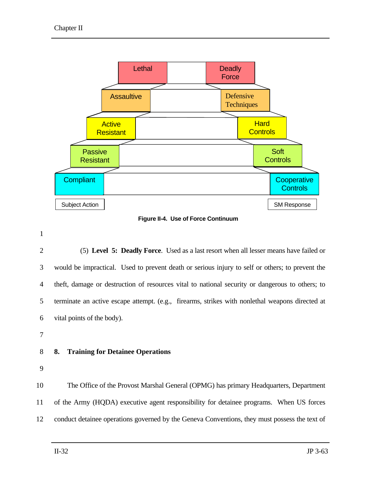

**Figure II-4. Use of Force Continuum** 

1

2 (5) **Level 5: Deadly Force**. Used as a last resort when all lesser means have failed or 3 would be impractical. Used to prevent death or serious injury to self or others; to prevent the 4 theft, damage or destruction of resources vital to national security or dangerous to others; to 5 terminate an active escape attempt. (e.g., firearms, strikes with nonlethal weapons directed at 6 vital points of the body).

7

## 8 **8. Training for Detainee Operations**

9

10 The Office of the Provost Marshal General (OPMG) has primary Headquarters, Department 11 of the Army (HQDA) executive agent responsibility for detainee programs. When US forces 12 conduct detainee operations governed by the Geneva Conventions, they must possess the text of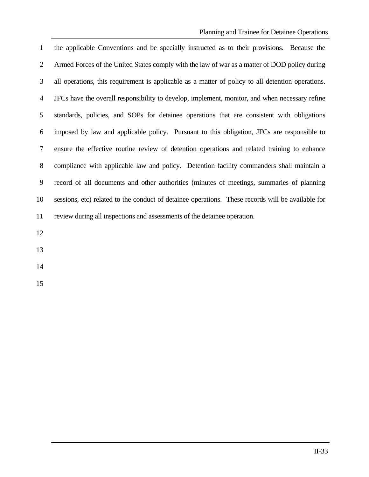1 the applicable Conventions and be specially instructed as to their provisions. Because the 2 Armed Forces of the United States comply with the law of war as a matter of DOD policy during 3 all operations, this requirement is applicable as a matter of policy to all detention operations. 4 JFCs have the overall responsibility to develop, implement, monitor, and when necessary refine 5 standards, policies, and SOPs for detainee operations that are consistent with obligations 6 imposed by law and applicable policy. Pursuant to this obligation, JFCs are responsible to 7 ensure the effective routine review of detention operations and related training to enhance 8 compliance with applicable law and policy. Detention facility commanders shall maintain a 9 record of all documents and other authorities (minutes of meetings, summaries of planning 10 sessions, etc) related to the conduct of detainee operations. These records will be available for 11 review during all inspections and assessments of the detainee operation.

12

13

14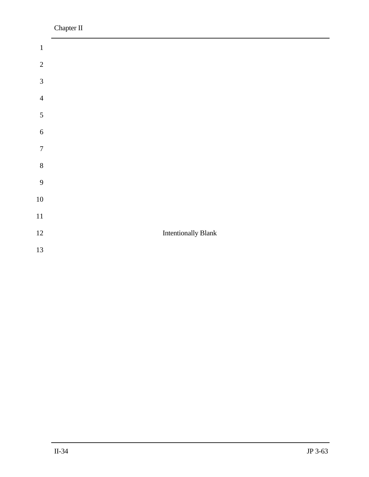| $\mathbf{1}$     |                            |
|------------------|----------------------------|
| $\overline{2}$   |                            |
| $\mathfrak{Z}$   |                            |
| $\overline{4}$   |                            |
| $\overline{5}$   |                            |
| $\sqrt{6}$       |                            |
| $\boldsymbol{7}$ |                            |
| $\,8\,$          |                            |
| 9                |                            |
| 10               |                            |
| $11\,$           |                            |
| 12               | <b>Intentionally Blank</b> |
| 13               |                            |
|                  |                            |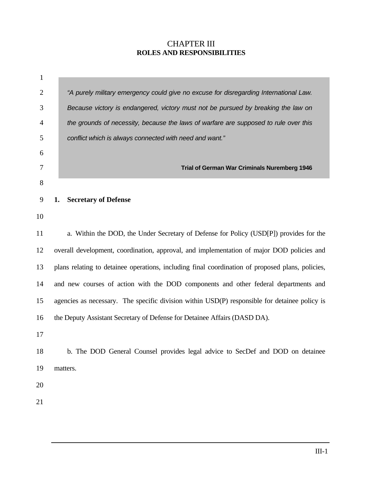## CHAPTER III **ROLES AND RESPONSIBILITIES**

| 1  |                                                                                                  |
|----|--------------------------------------------------------------------------------------------------|
|    |                                                                                                  |
| 2  | "A purely military emergency could give no excuse for disregarding International Law.            |
| 3  | Because victory is endangered, victory must not be pursued by breaking the law on                |
| 4  | the grounds of necessity, because the laws of warfare are supposed to rule over this             |
| 5  | conflict which is always connected with need and want."                                          |
| 6  |                                                                                                  |
| 7  | Trial of German War Criminals Nuremberg 1946                                                     |
| 8  |                                                                                                  |
| 9  | <b>Secretary of Defense</b><br>1.                                                                |
| 10 |                                                                                                  |
| 11 | a. Within the DOD, the Under Secretary of Defense for Policy (USD[P]) provides for the           |
| 12 | overall development, coordination, approval, and implementation of major DOD policies and        |
| 13 | plans relating to detainee operations, including final coordination of proposed plans, policies, |
| 14 | and new courses of action with the DOD components and other federal departments and              |
| 15 | agencies as necessary. The specific division within USD(P) responsible for detainee policy is    |
| 16 | the Deputy Assistant Secretary of Defense for Detainee Affairs (DASD DA).                        |
| 17 |                                                                                                  |
| 18 | b. The DOD General Counsel provides legal advice to SecDef and DOD on detainee                   |
| 19 | matters.                                                                                         |
| 20 |                                                                                                  |
| 21 |                                                                                                  |
|    |                                                                                                  |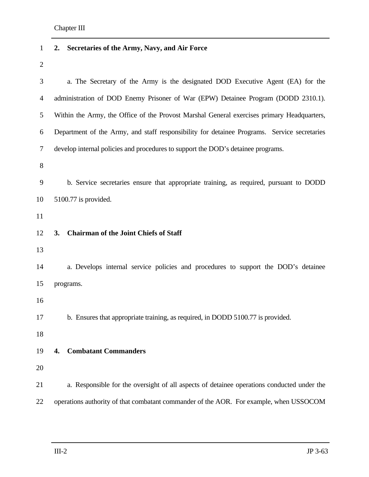| $\mathbf{1}$   | 2. Secretaries of the Army, Navy, and Air Force                                             |
|----------------|---------------------------------------------------------------------------------------------|
| $\overline{2}$ |                                                                                             |
| 3              | a. The Secretary of the Army is the designated DOD Executive Agent (EA) for the             |
| 4              | administration of DOD Enemy Prisoner of War (EPW) Detainee Program (DODD 2310.1).           |
| 5              | Within the Army, the Office of the Provost Marshal General exercises primary Headquarters,  |
| 6              | Department of the Army, and staff responsibility for detainee Programs. Service secretaries |
| 7              | develop internal policies and procedures to support the DOD's detainee programs.            |
| 8              |                                                                                             |
| 9              | b. Service secretaries ensure that appropriate training, as required, pursuant to DODD      |
| 10             | 5100.77 is provided.                                                                        |
| 11             |                                                                                             |
| 12             | <b>Chairman of the Joint Chiefs of Staff</b><br>3.                                          |
| 13             |                                                                                             |
| 14             | a. Develops internal service policies and procedures to support the DOD's detainee          |
| 15             | programs.                                                                                   |
| 16             |                                                                                             |
| 17             | b. Ensures that appropriate training, as required, in DODD 5100.77 is provided.             |
| 18             |                                                                                             |
| 19             | <b>Combatant Commanders</b><br>4.                                                           |
| 20             |                                                                                             |
| 21             | a. Responsible for the oversight of all aspects of detainee operations conducted under the  |
| 22             | operations authority of that combatant commander of the AOR. For example, when USSOCOM      |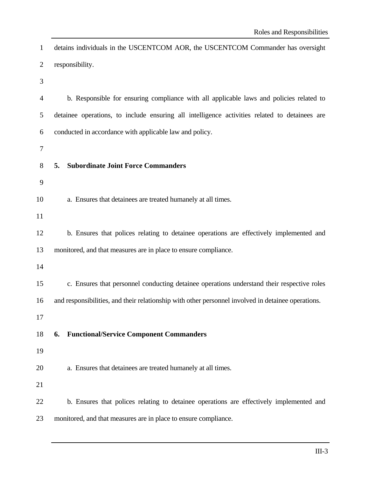| $\mathbf{1}$   | detains individuals in the USCENTCOM AOR, the USCENTCOM Commander has oversight                    |
|----------------|----------------------------------------------------------------------------------------------------|
| $\overline{2}$ | responsibility.                                                                                    |
| 3              |                                                                                                    |
| 4              | b. Responsible for ensuring compliance with all applicable laws and policies related to            |
| 5              | detainee operations, to include ensuring all intelligence activities related to detainees are      |
| 6              | conducted in accordance with applicable law and policy.                                            |
| 7              |                                                                                                    |
| 8              | <b>Subordinate Joint Force Commanders</b><br>5.                                                    |
| 9              |                                                                                                    |
| 10             | a. Ensures that detainees are treated humanely at all times.                                       |
| 11             |                                                                                                    |
| 12             | b. Ensures that polices relating to detainee operations are effectively implemented and            |
| 13             | monitored, and that measures are in place to ensure compliance.                                    |
| 14             |                                                                                                    |
| 15             | c. Ensures that personnel conducting detainee operations understand their respective roles         |
| 16             | and responsibilities, and their relationship with other personnel involved in detainee operations. |
| 17             |                                                                                                    |
| 18             | <b>Functional/Service Component Commanders</b><br>6.                                               |
| 19             |                                                                                                    |
| 20             | a. Ensures that detainees are treated humanely at all times.                                       |
| 21             |                                                                                                    |
| 22             | b. Ensures that polices relating to detainee operations are effectively implemented and            |
| 23             | monitored, and that measures are in place to ensure compliance.                                    |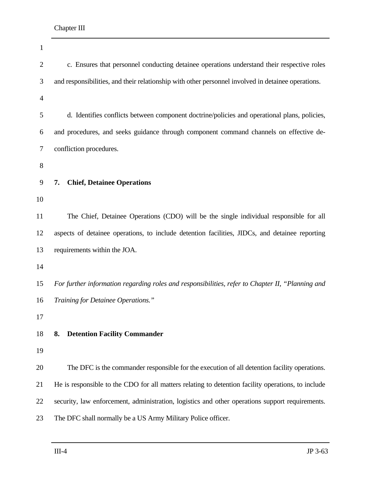| $\bf{l}$       |                                                                                                    |
|----------------|----------------------------------------------------------------------------------------------------|
| $\overline{2}$ | c. Ensures that personnel conducting detainee operations understand their respective roles         |
| 3              | and responsibilities, and their relationship with other personnel involved in detainee operations. |
| 4              |                                                                                                    |
| 5              | d. Identifies conflicts between component doctrine/policies and operational plans, policies,       |
| 6              | and procedures, and seeks guidance through component command channels on effective de-             |
| 7              | confliction procedures.                                                                            |
| 8              |                                                                                                    |
| 9              | <b>Chief, Detainee Operations</b><br>7.                                                            |
| 10             |                                                                                                    |
| 11             | The Chief, Detainee Operations (CDO) will be the single individual responsible for all             |
| 12             | aspects of detainee operations, to include detention facilities, JIDCs, and detainee reporting     |
| 13             | requirements within the JOA.                                                                       |
| 14             |                                                                                                    |
| 15             | For further information regarding roles and responsibilities, refer to Chapter II, "Planning and   |
| 16             | Training for Detainee Operations."                                                                 |
| 17             |                                                                                                    |
| 18             | <b>Detention Facility Commander</b><br>8.                                                          |
| 19             |                                                                                                    |
| 20             | The DFC is the commander responsible for the execution of all detention facility operations.       |
| 21             | He is responsible to the CDO for all matters relating to detention facility operations, to include |
| 22             | security, law enforcement, administration, logistics and other operations support requirements.    |
| 23             | The DFC shall normally be a US Army Military Police officer.                                       |
|                |                                                                                                    |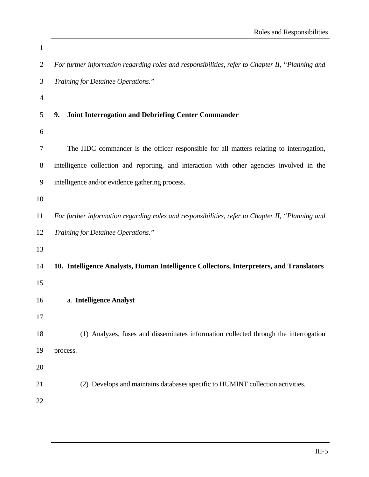| $\mathbf{1}$   |                                                                                                  |
|----------------|--------------------------------------------------------------------------------------------------|
| 2              | For further information regarding roles and responsibilities, refer to Chapter II, "Planning and |
| 3              | Training for Detainee Operations."                                                               |
| $\overline{4}$ |                                                                                                  |
| 5              | <b>Joint Interrogation and Debriefing Center Commander</b><br>9.                                 |
| 6              |                                                                                                  |
| 7              | The JIDC commander is the officer responsible for all matters relating to interrogation,         |
| 8              | intelligence collection and reporting, and interaction with other agencies involved in the       |
| 9              | intelligence and/or evidence gathering process.                                                  |
| 10             |                                                                                                  |
| 11             | For further information regarding roles and responsibilities, refer to Chapter II, "Planning and |
| 12             | Training for Detainee Operations."                                                               |
| 13             |                                                                                                  |
| 14             | 10. Intelligence Analysts, Human Intelligence Collectors, Interpreters, and Translators          |
| 15             |                                                                                                  |
| 16             | a. Intelligence Analyst                                                                          |
| 17             |                                                                                                  |
| 18             | (1) Analyzes, fuses and disseminates information collected through the interrogation             |
| 19             | process.                                                                                         |
| 20             |                                                                                                  |
| 21             | (2) Develops and maintains databases specific to HUMINT collection activities.                   |
| 22             |                                                                                                  |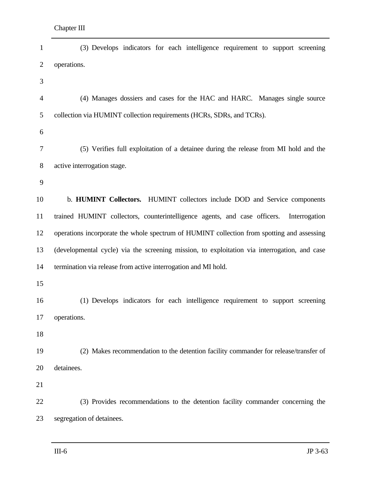| 1     | (3) Develops indicators for each intelligence requirement to support screening               |
|-------|----------------------------------------------------------------------------------------------|
| 2     | operations.                                                                                  |
| 3     |                                                                                              |
| 4     | (4) Manages dossiers and cases for the HAC and HARC. Manages single source                   |
| 5     | collection via HUMINT collection requirements (HCRs, SDRs, and TCRs).                        |
| 6     |                                                                                              |
| 7     | (5) Verifies full exploitation of a detainee during the release from MI hold and the         |
| $8\,$ | active interrogation stage.                                                                  |
| 9     |                                                                                              |
| 10    | b. HUMINT Collectors. HUMINT collectors include DOD and Service components                   |
| 11    | trained HUMINT collectors, counterintelligence agents, and case officers.<br>Interrogation   |
| 12    | operations incorporate the whole spectrum of HUMINT collection from spotting and assessing   |
| 13    | (developmental cycle) via the screening mission, to exploitation via interrogation, and case |
| 14    | termination via release from active interrogation and MI hold.                               |
| 15    |                                                                                              |
| 16    | (1) Develops indicators for each intelligence requirement to support screening               |
| 17    | operations.                                                                                  |
| 18    |                                                                                              |
| 19    | (2) Makes recommendation to the detention facility commander for release/transfer of         |
| 20    | detainees.                                                                                   |
| 21    |                                                                                              |
| 22    | (3) Provides recommendations to the detention facility commander concerning the              |
| 23    | segregation of detainees.                                                                    |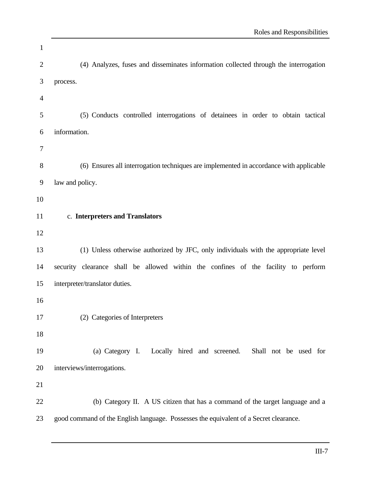| $\mathbf{1}$   |                                                                                        |
|----------------|----------------------------------------------------------------------------------------|
| $\overline{c}$ | (4) Analyzes, fuses and disseminates information collected through the interrogation   |
| 3              | process.                                                                               |
| 4              |                                                                                        |
| 5              | (5) Conducts controlled interrogations of detainees in order to obtain tactical        |
| 6              | information.                                                                           |
| 7              |                                                                                        |
| 8              | (6) Ensures all interrogation techniques are implemented in accordance with applicable |
| 9              | law and policy.                                                                        |
| 10             |                                                                                        |
| 11             | c. Interpreters and Translators                                                        |
| 12             |                                                                                        |
| 13             | (1) Unless otherwise authorized by JFC, only individuals with the appropriate level    |
| 14             | security clearance shall be allowed within the confines of the facility to perform     |
| 15             | interpreter/translator duties.                                                         |
| 16             |                                                                                        |
| 17             | (2) Categories of Interpreters                                                         |
| 18             |                                                                                        |
| 19             | (a) Category I.<br>Locally hired and screened.<br>Shall not be used for                |
| 20             | interviews/interrogations.                                                             |
| 21             |                                                                                        |
| 22             | (b) Category II. A US citizen that has a command of the target language and a          |
| 23             | good command of the English language. Possesses the equivalent of a Secret clearance.  |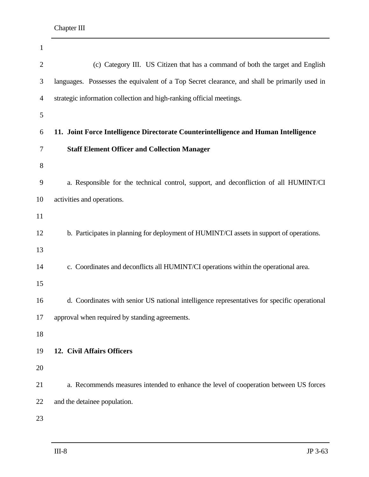| $\mathbf 1$    |                                                                                               |
|----------------|-----------------------------------------------------------------------------------------------|
| $\overline{2}$ | (c) Category III. US Citizen that has a command of both the target and English                |
| 3              | languages. Possesses the equivalent of a Top Secret clearance, and shall be primarily used in |
| $\overline{4}$ | strategic information collection and high-ranking official meetings.                          |
| 5              |                                                                                               |
| 6              | 11. Joint Force Intelligence Directorate Counterintelligence and Human Intelligence           |
| 7              | <b>Staff Element Officer and Collection Manager</b>                                           |
| 8              |                                                                                               |
| 9              | a. Responsible for the technical control, support, and deconfliction of all HUMINT/CI         |
| 10             | activities and operations.                                                                    |
| 11             |                                                                                               |
| 12             | b. Participates in planning for deployment of HUMINT/CI assets in support of operations.      |
| 13             |                                                                                               |
| 14             | c. Coordinates and deconflicts all HUMINT/CI operations within the operational area.          |
| 15             |                                                                                               |
| 16             | d. Coordinates with senior US national intelligence representatives for specific operational  |
| 17             | approval when required by standing agreements.                                                |
| 18             |                                                                                               |
| 19             | 12. Civil Affairs Officers                                                                    |
| 20             |                                                                                               |
| 21             | a. Recommends measures intended to enhance the level of cooperation between US forces         |
| 22             | and the detainee population.                                                                  |
| 23             |                                                                                               |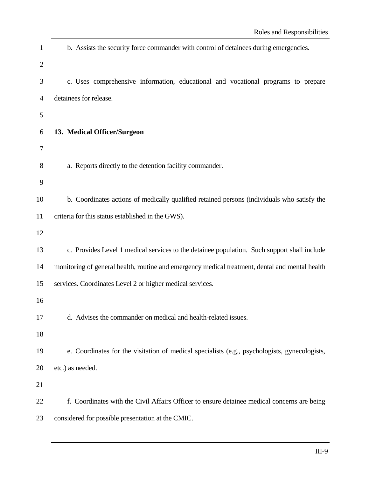| $\mathbf{1}$   | b. Assists the security force commander with control of detainees during emergencies.           |
|----------------|-------------------------------------------------------------------------------------------------|
| $\overline{2}$ |                                                                                                 |
| 3              | c. Uses comprehensive information, educational and vocational programs to prepare               |
| 4              | detainees for release.                                                                          |
| 5              |                                                                                                 |
| 6              | 13. Medical Officer/Surgeon                                                                     |
| 7              |                                                                                                 |
| 8              | a. Reports directly to the detention facility commander.                                        |
| 9              |                                                                                                 |
| 10             | b. Coordinates actions of medically qualified retained persons (individuals who satisfy the     |
| 11             | criteria for this status established in the GWS).                                               |
| 12             |                                                                                                 |
| 13             | c. Provides Level 1 medical services to the detainee population. Such support shall include     |
| 14             | monitoring of general health, routine and emergency medical treatment, dental and mental health |
| 15             | services. Coordinates Level 2 or higher medical services.                                       |
| 16             |                                                                                                 |
| 17             | d. Advises the commander on medical and health-related issues.                                  |
| 18             |                                                                                                 |
| 19             | e. Coordinates for the visitation of medical specialists (e.g., psychologists, gynecologists,   |
| 20             | etc.) as needed.                                                                                |
| 21             |                                                                                                 |
| 22             | f. Coordinates with the Civil Affairs Officer to ensure detainee medical concerns are being     |
| 23             | considered for possible presentation at the CMIC.                                               |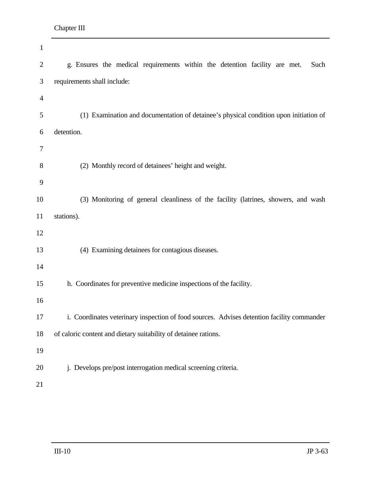| 1              |                                                                                            |
|----------------|--------------------------------------------------------------------------------------------|
| $\overline{2}$ | g. Ensures the medical requirements within the detention facility are met.<br>Such         |
| 3              | requirements shall include:                                                                |
| $\overline{4}$ |                                                                                            |
| 5              | (1) Examination and documentation of detainee's physical condition upon initiation of      |
| 6              | detention.                                                                                 |
| 7              |                                                                                            |
| 8              | (2) Monthly record of detainees' height and weight.                                        |
| 9              |                                                                                            |
| 10             | (3) Monitoring of general cleanliness of the facility (latrines, showers, and wash         |
| 11             | stations).                                                                                 |
| 12             |                                                                                            |
| 13             | (4) Examining detainees for contagious diseases.                                           |
| 14             |                                                                                            |
| 15             | h. Coordinates for preventive medicine inspections of the facility.                        |
| 16             |                                                                                            |
| 17             | i. Coordinates veterinary inspection of food sources. Advises detention facility commander |
| 18             | of caloric content and dietary suitability of detainee rations.                            |
| 19             |                                                                                            |
| 20             | j. Develops pre/post interrogation medical screening criteria.                             |
| 21             |                                                                                            |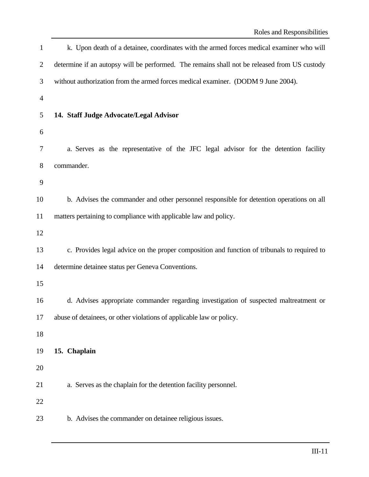| 1              | k. Upon death of a detainee, coordinates with the armed forces medical examiner who will     |
|----------------|----------------------------------------------------------------------------------------------|
| $\overline{2}$ | determine if an autopsy will be performed. The remains shall not be released from US custody |
| 3              | without authorization from the armed forces medical examiner. (DODM 9 June 2004).            |
| $\overline{4}$ |                                                                                              |
| 5              | 14. Staff Judge Advocate/Legal Advisor                                                       |
| 6              |                                                                                              |
| 7              | a. Serves as the representative of the JFC legal advisor for the detention facility          |
| 8              | commander.                                                                                   |
| 9              |                                                                                              |
| 10             | b. Advises the commander and other personnel responsible for detention operations on all     |
| 11             | matters pertaining to compliance with applicable law and policy.                             |
| 12             |                                                                                              |
| 13             | c. Provides legal advice on the proper composition and function of tribunals to required to  |
| 14             | determine detainee status per Geneva Conventions.                                            |
| 15             |                                                                                              |
| 16             | d. Advises appropriate commander regarding investigation of suspected maltreatment or        |
| 17             | abuse of detainees, or other violations of applicable law or policy.                         |
| 18             |                                                                                              |
| 19             | 15. Chaplain                                                                                 |
| 20             |                                                                                              |
| 21             | a. Serves as the chaplain for the detention facility personnel.                              |
| 22             |                                                                                              |
| 23             | b. Advises the commander on detainee religious issues.                                       |
|                |                                                                                              |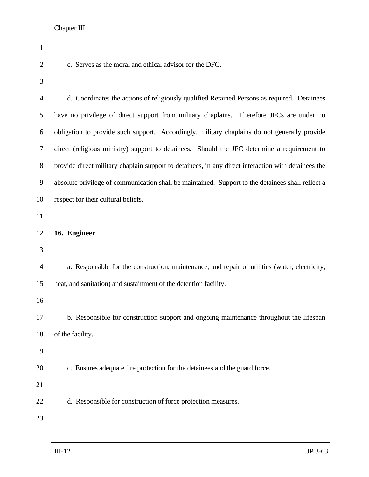| $\mathbf{1}$ |                                                                                                     |
|--------------|-----------------------------------------------------------------------------------------------------|
| 2            | c. Serves as the moral and ethical advisor for the DFC.                                             |
| 3            |                                                                                                     |
| 4            | d. Coordinates the actions of religiously qualified Retained Persons as required. Detainees         |
| 5            | have no privilege of direct support from military chaplains. Therefore JFCs are under no            |
| 6            | obligation to provide such support. Accordingly, military chaplains do not generally provide        |
| 7            | direct (religious ministry) support to detainees. Should the JFC determine a requirement to         |
| 8            | provide direct military chaplain support to detainees, in any direct interaction with detainees the |
| 9            | absolute privilege of communication shall be maintained. Support to the detainees shall reflect a   |
| 10           | respect for their cultural beliefs.                                                                 |
| 11           |                                                                                                     |
| 12           | 16. Engineer                                                                                        |
| 13           |                                                                                                     |
| 14           | a. Responsible for the construction, maintenance, and repair of utilities (water, electricity,      |
| 15           | heat, and sanitation) and sustainment of the detention facility.                                    |
| 16           |                                                                                                     |
| 17           | b. Responsible for construction support and ongoing maintenance throughout the lifespan             |
| 18           | of the facility.                                                                                    |
| 19           |                                                                                                     |
| 20           | c. Ensures adequate fire protection for the detainees and the guard force.                          |
| 21           |                                                                                                     |
| 22           | d. Responsible for construction of force protection measures.                                       |
| 23           |                                                                                                     |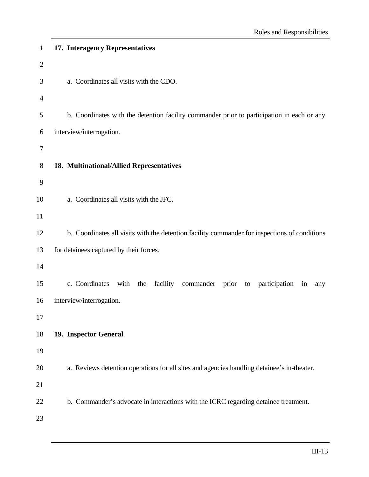| $\mathbf{1}$   | 17. Interagency Representatives                                                               |
|----------------|-----------------------------------------------------------------------------------------------|
| $\overline{2}$ |                                                                                               |
| 3              | a. Coordinates all visits with the CDO.                                                       |
| 4              |                                                                                               |
| 5              | b. Coordinates with the detention facility commander prior to participation in each or any    |
| 6              | interview/interrogation.                                                                      |
| 7              |                                                                                               |
| 8              | 18. Multinational/Allied Representatives                                                      |
| 9              |                                                                                               |
| 10             | a. Coordinates all visits with the JFC.                                                       |
| 11             |                                                                                               |
| 12             | b. Coordinates all visits with the detention facility commander for inspections of conditions |
| 13             | for detainees captured by their forces.                                                       |
| 14             |                                                                                               |
| 15             | c. Coordinates<br>with<br>the<br>facility commander prior to participation<br>in<br>any       |
| 16             | interview/interrogation.                                                                      |
| 17             |                                                                                               |
| 18             | 19. Inspector General                                                                         |
| 19             |                                                                                               |
| 20             | a. Reviews detention operations for all sites and agencies handling detainee's in-theater.    |
| 21             |                                                                                               |
| 22             | b. Commander's advocate in interactions with the ICRC regarding detainee treatment.           |
| 23             |                                                                                               |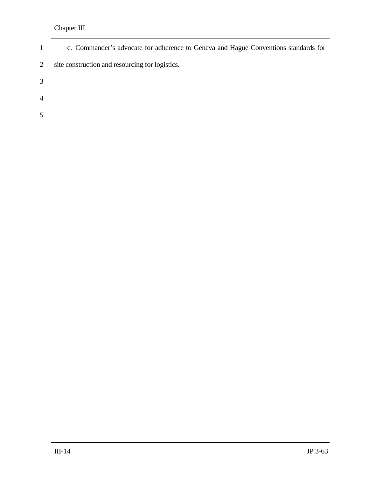# Chapter III

| $\mathbf{1}$   | c. Commander's advocate for adherence to Geneva and Hague Conventions standards for |
|----------------|-------------------------------------------------------------------------------------|
| 2              | site construction and resourcing for logistics.                                     |
| 3              |                                                                                     |
| $\overline{4}$ |                                                                                     |
| 5              |                                                                                     |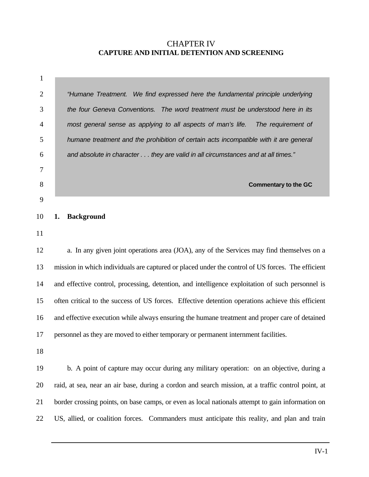## CHAPTER IV **CAPTURE AND INITIAL DETENTION AND SCREENING**

| $\mathbf{1}$   |                                                                                                    |
|----------------|----------------------------------------------------------------------------------------------------|
| $\overline{2}$ | "Humane Treatment. We find expressed here the fundamental principle underlying                     |
| 3              | the four Geneva Conventions. The word treatment must be understood here in its                     |
| 4              | most general sense as applying to all aspects of man's life.<br>The requirement of                 |
| 5              | humane treatment and the prohibition of certain acts incompatible with it are general              |
| 6              | and absolute in character they are valid in all circumstances and at all times."                   |
| 7              |                                                                                                    |
| 8              | <b>Commentary to the GC</b>                                                                        |
| 9              |                                                                                                    |
| 10             | <b>Background</b><br>1.                                                                            |
| 11             |                                                                                                    |
| 12             | a. In any given joint operations area (JOA), any of the Services may find themselves on a          |
| 13             | mission in which individuals are captured or placed under the control of US forces. The efficient  |
| 14             | and effective control, processing, detention, and intelligence exploitation of such personnel is   |
| 15             | often critical to the success of US forces. Effective detention operations achieve this efficient  |
| 16             | and effective execution while always ensuring the humane treatment and proper care of detained     |
| 17             | personnel as they are moved to either temporary or permanent internment facilities.                |
| 18             |                                                                                                    |
| 19             | b. A point of capture may occur during any military operation: on an objective, during a           |
| 20             | raid, at sea, near an air base, during a cordon and search mission, at a traffic control point, at |
| 21             | border crossing points, on base camps, or even as local nationals attempt to gain information on   |
| 22             | US, allied, or coalition forces. Commanders must anticipate this reality, and plan and train       |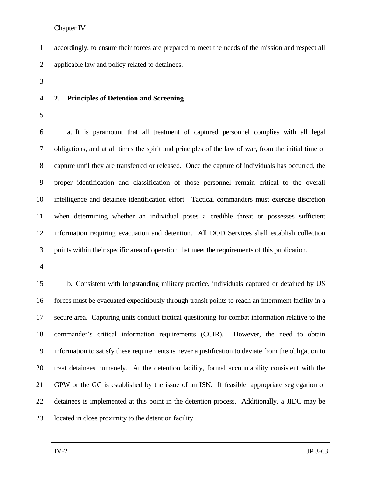1 accordingly, to ensure their forces are prepared to meet the needs of the mission and respect all 2 applicable law and policy related to detainees.

3

### 4 **2. Principles of Detention and Screening**

5

6 a. It is paramount that all treatment of captured personnel complies with all legal 7 obligations, and at all times the spirit and principles of the law of war, from the initial time of 8 capture until they are transferred or released. Once the capture of individuals has occurred, the 9 proper identification and classification of those personnel remain critical to the overall 10 intelligence and detainee identification effort. Tactical commanders must exercise discretion 11 when determining whether an individual poses a credible threat or possesses sufficient 12 information requiring evacuation and detention. All DOD Services shall establish collection 13 points within their specific area of operation that meet the requirements of this publication.

14

15 b. Consistent with longstanding military practice, individuals captured or detained by US 16 forces must be evacuated expeditiously through transit points to reach an internment facility in a 17 secure area. Capturing units conduct tactical questioning for combat information relative to the 18 commander's critical information requirements (CCIR). However, the need to obtain 19 information to satisfy these requirements is never a justification to deviate from the obligation to 20 treat detainees humanely. At the detention facility, formal accountability consistent with the 21 GPW or the GC is established by the issue of an ISN. If feasible, appropriate segregation of 22 detainees is implemented at this point in the detention process. Additionally, a JIDC may be 23 located in close proximity to the detention facility.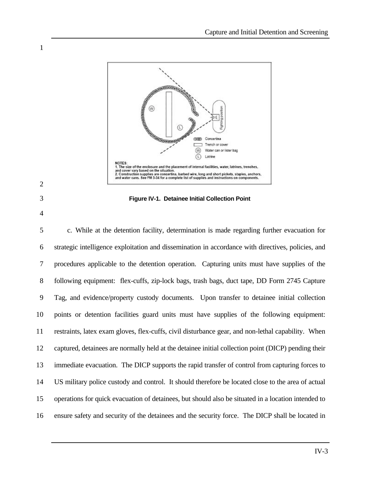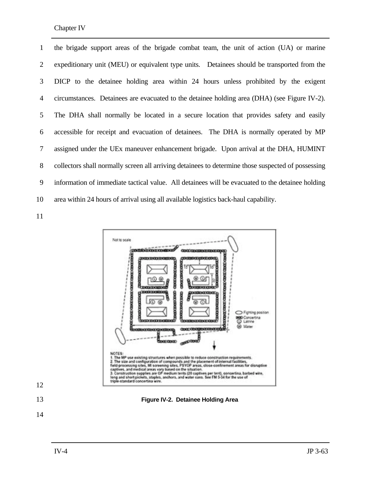1 the brigade support areas of the brigade combat team, the unit of action (UA) or marine 2 expeditionary unit (MEU) or equivalent type units. Detainees should be transported from the 3 DICP to the detainee holding area within 24 hours unless prohibited by the exigent 4 circumstances. Detainees are evacuated to the detainee holding area (DHA) (see Figure IV-2). 5 The DHA shall normally be located in a secure location that provides safety and easily 6 accessible for receipt and evacuation of detainees. The DHA is normally operated by MP 7 assigned under the UEx maneuver enhancement brigade. Upon arrival at the DHA, HUMINT 8 collectors shall normally screen all arriving detainees to determine those suspected of possessing 9 information of immediate tactical value. All detainees will be evacuated to the detainee holding 10 area within 24 hours of arrival using all available logistics back-haul capability.









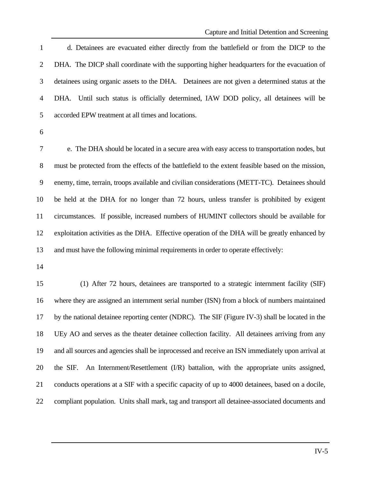1 d. Detainees are evacuated either directly from the battlefield or from the DICP to the 2 DHA. The DICP shall coordinate with the supporting higher headquarters for the evacuation of 3 detainees using organic assets to the DHA. Detainees are not given a determined status at the 4 DHA. Until such status is officially determined, IAW DOD policy, all detainees will be 5 accorded EPW treatment at all times and locations.

6

7 e. The DHA should be located in a secure area with easy access to transportation nodes, but 8 must be protected from the effects of the battlefield to the extent feasible based on the mission, 9 enemy, time, terrain, troops available and civilian considerations (METT-TC). Detainees should 10 be held at the DHA for no longer than 72 hours, unless transfer is prohibited by exigent 11 circumstances. If possible, increased numbers of HUMINT collectors should be available for 12 exploitation activities as the DHA. Effective operation of the DHA will be greatly enhanced by 13 and must have the following minimal requirements in order to operate effectively:

14

15 (1) After 72 hours, detainees are transported to a strategic internment facility (SIF) 16 where they are assigned an internment serial number (ISN) from a block of numbers maintained 17 by the national detainee reporting center (NDRC). The SIF (Figure IV-3) shall be located in the 18 UEy AO and serves as the theater detainee collection facility. All detainees arriving from any 19 and all sources and agencies shall be inprocessed and receive an ISN immediately upon arrival at 20 the SIF. An Internment/Resettlement (I/R) battalion, with the appropriate units assigned, 21 conducts operations at a SIF with a specific capacity of up to 4000 detainees, based on a docile, 22 compliant population. Units shall mark, tag and transport all detainee-associated documents and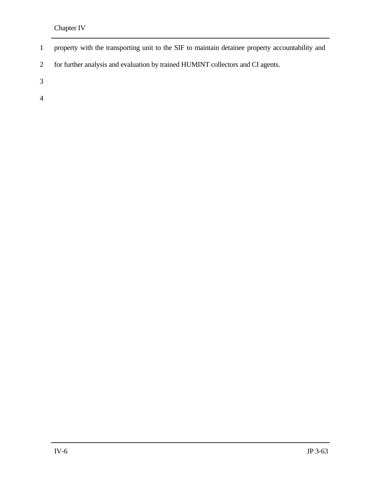- 1 property with the transporting unit to the SIF to maintain detainee property accountability and
- 2 for further analysis and evaluation by trained HUMINT collectors and CI agents.
- 3
- 4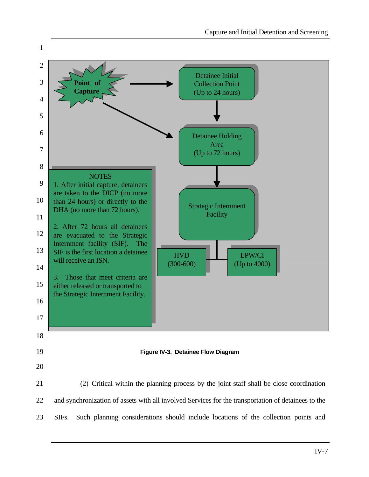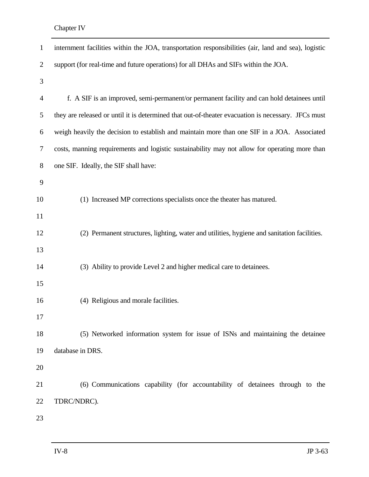| $\mathbf{1}$   | internment facilities within the JOA, transportation responsibilities (air, land and sea), logistic |
|----------------|-----------------------------------------------------------------------------------------------------|
| $\overline{2}$ | support (for real-time and future operations) for all DHAs and SIFs within the JOA.                 |
| 3              |                                                                                                     |
| 4              | f. A SIF is an improved, semi-permanent/or permanent facility and can hold detainees until          |
| 5              | they are released or until it is determined that out-of-theater evacuation is necessary. JFCs must  |
| 6              | weigh heavily the decision to establish and maintain more than one SIF in a JOA. Associated         |
| 7              | costs, manning requirements and logistic sustainability may not allow for operating more than       |
| $8\,$          | one SIF. Ideally, the SIF shall have:                                                               |
| 9              |                                                                                                     |
| 10             | (1) Increased MP corrections specialists once the theater has matured.                              |
| 11             |                                                                                                     |
| 12             | (2) Permanent structures, lighting, water and utilities, hygiene and sanitation facilities.         |
| 13             |                                                                                                     |
| 14             | (3) Ability to provide Level 2 and higher medical care to detainees.                                |
| 15             |                                                                                                     |
| 16             | (4) Religious and morale facilities.                                                                |
| 17             |                                                                                                     |
| 18             | (5) Networked information system for issue of ISNs and maintaining the detainee                     |
| 19             | database in DRS.                                                                                    |
| 20             |                                                                                                     |
| 21             | (6) Communications capability (for accountability of detainees through to the                       |
| 22             | TDRC/NDRC).                                                                                         |
| 23             |                                                                                                     |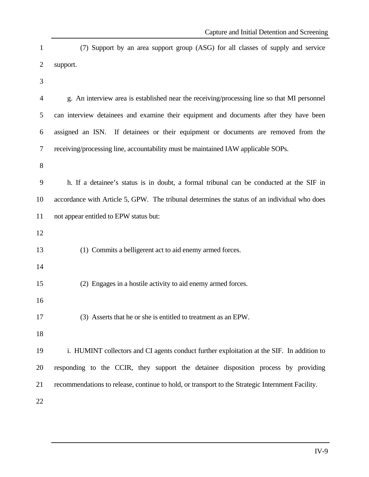| $\mathbf{1}$   | (7) Support by an area support group (ASG) for all classes of supply and service                 |
|----------------|--------------------------------------------------------------------------------------------------|
| $\overline{2}$ | support.                                                                                         |
| 3              |                                                                                                  |
| 4              | g. An interview area is established near the receiving/processing line so that MI personnel      |
| 5              | can interview detainees and examine their equipment and documents after they have been           |
| 6              | assigned an ISN. If detainees or their equipment or documents are removed from the               |
| 7              | receiving/processing line, accountability must be maintained IAW applicable SOPs.                |
| 8              |                                                                                                  |
| 9              | h. If a detainee's status is in doubt, a formal tribunal can be conducted at the SIF in          |
| 10             | accordance with Article 5, GPW. The tribunal determines the status of an individual who does     |
| 11             | not appear entitled to EPW status but:                                                           |
| 12             |                                                                                                  |
| 13             | (1) Commits a belligerent act to aid enemy armed forces.                                         |
| 14             |                                                                                                  |
| 15             | (2) Engages in a hostile activity to aid enemy armed forces.                                     |
| 16             |                                                                                                  |
| 17             | (3) Asserts that he or she is entitled to treatment as an EPW.                                   |
| 18             |                                                                                                  |
| 19             | i. HUMINT collectors and CI agents conduct further exploitation at the SIF. In addition to       |
| 20             | responding to the CCIR, they support the detainee disposition process by providing               |
| 21             | recommendations to release, continue to hold, or transport to the Strategic Internment Facility. |
| 22             |                                                                                                  |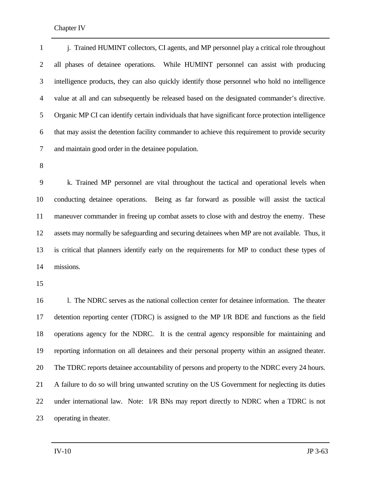1 j. Trained HUMINT collectors, CI agents, and MP personnel play a critical role throughout 2 all phases of detainee operations. While HUMINT personnel can assist with producing 3 intelligence products, they can also quickly identify those personnel who hold no intelligence 4 value at all and can subsequently be released based on the designated commander's directive. 5 Organic MP CI can identify certain individuals that have significant force protection intelligence 6 that may assist the detention facility commander to achieve this requirement to provide security 7 and maintain good order in the detainee population.

8

9 k. Trained MP personnel are vital throughout the tactical and operational levels when 10 conducting detainee operations. Being as far forward as possible will assist the tactical 11 maneuver commander in freeing up combat assets to close with and destroy the enemy. These 12 assets may normally be safeguarding and securing detainees when MP are not available. Thus, it 13 is critical that planners identify early on the requirements for MP to conduct these types of 14 missions.

15

16 l. The NDRC serves as the national collection center for detainee information. The theater 17 detention reporting center (TDRC) is assigned to the MP I/R BDE and functions as the field 18 operations agency for the NDRC. It is the central agency responsible for maintaining and 19 reporting information on all detainees and their personal property within an assigned theater. 20 The TDRC reports detainee accountability of persons and property to the NDRC every 24 hours. 21 A failure to do so will bring unwanted scrutiny on the US Government for neglecting its duties 22 under international law. Note: I/R BNs may report directly to NDRC when a TDRC is not 23 operating in theater.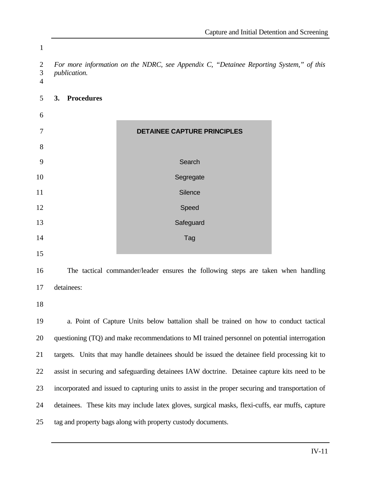1 2 *For more information on the NDRC, see Appendix C, "Detainee Reporting System," of this*  3 *publication.*  4 5 **3. Procedures**  6 7 **DETAINEE CAPTURE PRINCIPLES**  8



15

16 The tactical commander/leader ensures the following steps are taken when handling 17 detainees:

18

19 a. Point of Capture Units below battalion shall be trained on how to conduct tactical 20 questioning (TQ) and make recommendations to MI trained personnel on potential interrogation 21 targets. Units that may handle detainees should be issued the detainee field processing kit to 22 assist in securing and safeguarding detainees IAW doctrine. Detainee capture kits need to be 23 incorporated and issued to capturing units to assist in the proper securing and transportation of 24 detainees. These kits may include latex gloves, surgical masks, flexi-cuffs, ear muffs, capture 25 tag and property bags along with property custody documents.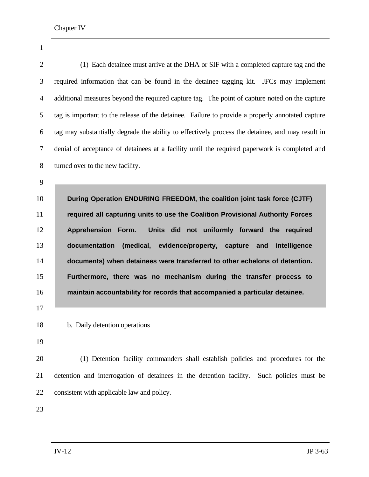1

2 (1) Each detainee must arrive at the DHA or SIF with a completed capture tag and the 3 required information that can be found in the detainee tagging kit. JFCs may implement 4 additional measures beyond the required capture tag. The point of capture noted on the capture 5 tag is important to the release of the detainee. Failure to provide a properly annotated capture 6 tag may substantially degrade the ability to effectively process the detainee, and may result in 7 denial of acceptance of detainees at a facility until the required paperwork is completed and 8 turned over to the new facility. 9 10 **During Operation ENDURING FREEDOM, the coalition joint task force (CJTF)**  11 **required all capturing units to use the Coalition Provisional Authority Forces**  12 **Apprehension Form. Units did not uniformly forward the required**  13 **documentation (medical, evidence/property, capture and intelligence**  14 **documents) when detainees were transferred to other echelons of detention.**  15 **Furthermore, there was no mechanism during the transfer process to**  16 **maintain accountability for records that accompanied a particular detainee.**  17 18 b. Daily detention operations 19 20 (1) Detention facility commanders shall establish policies and procedures for the 21 detention and interrogation of detainees in the detention facility. Such policies must be 22 consistent with applicable law and policy.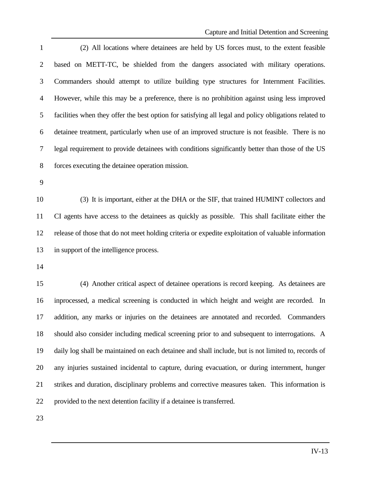- 1 (2) All locations where detainees are held by US forces must, to the extent feasible 2 based on METT-TC, be shielded from the dangers associated with military operations. 3 Commanders should attempt to utilize building type structures for Internment Facilities. 4 However, while this may be a preference, there is no prohibition against using less improved 5 facilities when they offer the best option for satisfying all legal and policy obligations related to 6 detainee treatment, particularly when use of an improved structure is not feasible. There is no 7 legal requirement to provide detainees with conditions significantly better than those of the US 8 forces executing the detainee operation mission.
- 9

10 (3) It is important, either at the DHA or the SIF, that trained HUMINT collectors and 11 CI agents have access to the detainees as quickly as possible. This shall facilitate either the 12 release of those that do not meet holding criteria or expedite exploitation of valuable information 13 in support of the intelligence process.

14

15 (4) Another critical aspect of detainee operations is record keeping. As detainees are 16 inprocessed, a medical screening is conducted in which height and weight are recorded. In 17 addition, any marks or injuries on the detainees are annotated and recorded. Commanders 18 should also consider including medical screening prior to and subsequent to interrogations. A 19 daily log shall be maintained on each detainee and shall include, but is not limited to, records of 20 any injuries sustained incidental to capture, during evacuation, or during internment, hunger 21 strikes and duration, disciplinary problems and corrective measures taken. This information is 22 provided to the next detention facility if a detainee is transferred.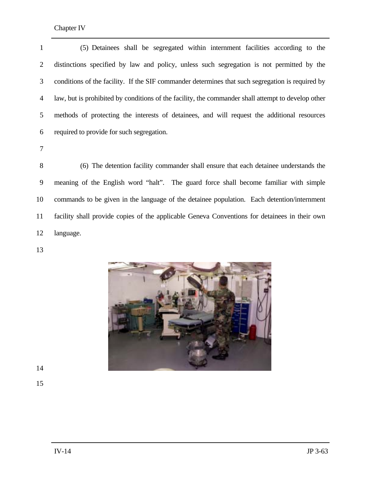1 (5) Detainees shall be segregated within internment facilities according to the 2 distinctions specified by law and policy, unless such segregation is not permitted by the 3 conditions of the facility. If the SIF commander determines that such segregation is required by 4 law, but is prohibited by conditions of the facility, the commander shall attempt to develop other 5 methods of protecting the interests of detainees, and will request the additional resources 6 required to provide for such segregation.

7

8 (6) The detention facility commander shall ensure that each detainee understands the 9 meaning of the English word "halt". The guard force shall become familiar with simple 10 commands to be given in the language of the detainee population. Each detention/internment 11 facility shall provide copies of the applicable Geneva Conventions for detainees in their own 12 language.

13



14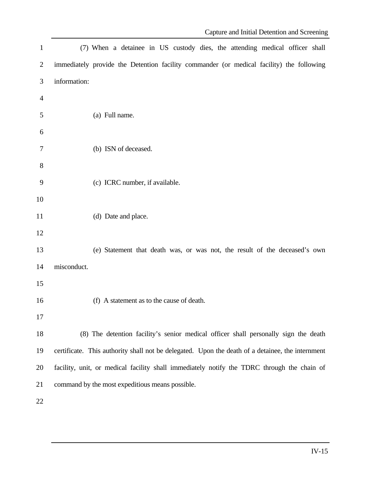| 1              | (7) When a detainee in US custody dies, the attending medical officer shall                      |
|----------------|--------------------------------------------------------------------------------------------------|
| $\overline{2}$ | immediately provide the Detention facility commander (or medical facility) the following         |
| 3              | information:                                                                                     |
| $\overline{4}$ |                                                                                                  |
| 5              | (a) Full name.                                                                                   |
| 6              |                                                                                                  |
| 7              | (b) ISN of deceased.                                                                             |
| $8\,$          |                                                                                                  |
| 9              | (c) ICRC number, if available.                                                                   |
| 10             |                                                                                                  |
| 11             | (d) Date and place.                                                                              |
| 12             |                                                                                                  |
| 13             | (e) Statement that death was, or was not, the result of the deceased's own                       |
| 14             | misconduct.                                                                                      |
| 15             |                                                                                                  |
| 16             | (f) A statement as to the cause of death.                                                        |
| 17             |                                                                                                  |
| 18             | (8) The detention facility's senior medical officer shall personally sign the death              |
| 19             | certificate. This authority shall not be delegated. Upon the death of a detainee, the internment |
| 20             | facility, unit, or medical facility shall immediately notify the TDRC through the chain of       |
| 21             | command by the most expeditious means possible.                                                  |
| 22             |                                                                                                  |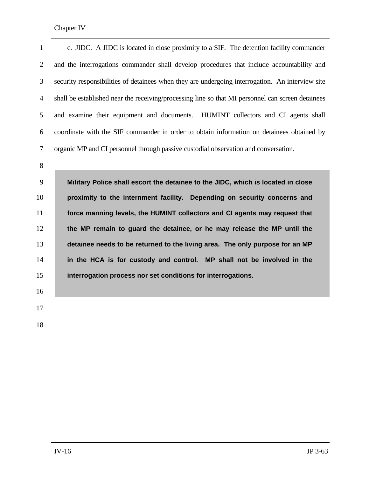| $\mathbf{1}$   | c. JIDC. A JIDC is located in close proximity to a SIF. The detention facility commander          |
|----------------|---------------------------------------------------------------------------------------------------|
| $\overline{2}$ | and the interrogations commander shall develop procedures that include accountability and         |
| 3              | security responsibilities of detainees when they are undergoing interrogation. An interview site  |
| $\overline{4}$ | shall be established near the receiving/processing line so that MI personnel can screen detainees |
| 5              | and examine their equipment and documents. HUMINT collectors and CI agents shall                  |
| 6              | coordinate with the SIF commander in order to obtain information on detainees obtained by         |
| $\tau$         | organic MP and CI personnel through passive custodial observation and conversation.               |
| 8              |                                                                                                   |
| 9              | Military Police shall escort the detainee to the JIDC, which is located in close                  |
| 10             |                                                                                                   |
|                | proximity to the internment facility. Depending on security concerns and                          |
| 11             | force manning levels, the HUMINT collectors and CI agents may request that                        |
|                | the MP remain to guard the detainee, or he may release the MP until the                           |
|                | detainee needs to be returned to the living area. The only purpose for an MP                      |
| 12<br>13<br>14 | in the HCA is for custody and control. MP shall not be involved in the                            |
| 15             | interrogation process nor set conditions for interrogations.                                      |
| 16             |                                                                                                   |

17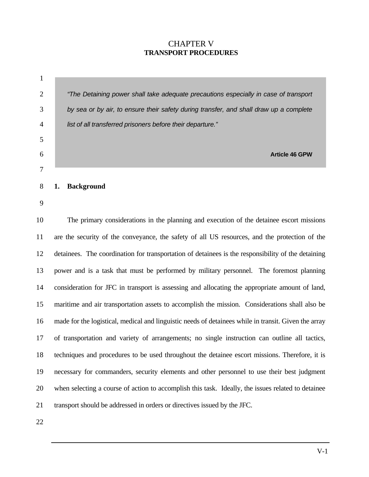### CHAPTER V **TRANSPORT PROCEDURES**

| $\mathbf{1}$   |                                                                                                    |
|----------------|----------------------------------------------------------------------------------------------------|
| $\overline{2}$ | "The Detaining power shall take adequate precautions especially in case of transport               |
| 3              | by sea or by air, to ensure their safety during transfer, and shall draw up a complete             |
| $\overline{4}$ | list of all transferred prisoners before their departure."                                         |
| 5              |                                                                                                    |
| 6              | <b>Article 46 GPW</b>                                                                              |
|                |                                                                                                    |
| 8              | <b>Background</b><br>1.                                                                            |
| 9              |                                                                                                    |
| 10             | The primary considerations in the planning and execution of the detainee escort missions           |
| 11             | are the security of the conveyance, the safety of all US resources, and the protection of the      |
| $12^{\circ}$   | detainees. The coordination for transportation of detainees is the responsibility of the detaining |

12 detainees. The coordination for transportation of detainees is the responsibility of the detaining 13 power and is a task that must be performed by military personnel. The foremost planning 14 consideration for JFC in transport is assessing and allocating the appropriate amount of land, 15 maritime and air transportation assets to accomplish the mission. Considerations shall also be 16 made for the logistical, medical and linguistic needs of detainees while in transit. Given the array 17 of transportation and variety of arrangements; no single instruction can outline all tactics, 18 techniques and procedures to be used throughout the detainee escort missions. Therefore, it is 19 necessary for commanders, security elements and other personnel to use their best judgment 20 when selecting a course of action to accomplish this task. Ideally, the issues related to detainee 21 transport should be addressed in orders or directives issued by the JFC.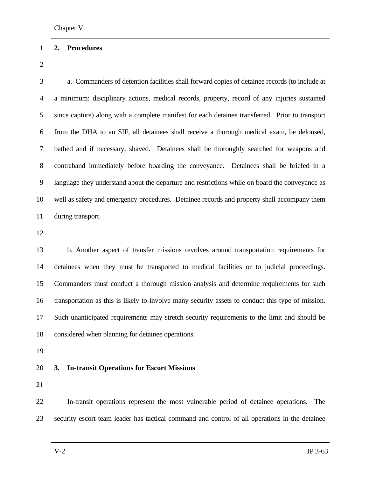### 1 **2. Procedures**

2

3 a. Commanders of detention facilities shall forward copies of detainee records (to include at 4 a minimum: disciplinary actions, medical records, property, record of any injuries sustained 5 since capture) along with a complete manifest for each detainee transferred. Prior to transport 6 from the DHA to an SIF, all detainees shall receive a thorough medical exam, be deloused, 7 bathed and if necessary, shaved. Detainees shall be thoroughly searched for weapons and 8 contraband immediately before boarding the conveyance. Detainees shall be briefed in a 9 language they understand about the departure and restrictions while on board the conveyance as 10 well as safety and emergency procedures. Detainee records and property shall accompany them 11 during transport.

12

13 b. Another aspect of transfer missions revolves around transportation requirements for 14 detainees when they must be transported to medical facilities or to judicial proceedings. 15 Commanders must conduct a thorough mission analysis and determine requirements for such 16 transportation as this is likely to involve many security assets to conduct this type of mission. 17 Such unanticipated requirements may stretch security requirements to the limit and should be 18 considered when planning for detainee operations.

19

### 20 **3. In-transit Operations for Escort Missions**

21

22 In-transit operations represent the most vulnerable period of detainee operations. The 23 security escort team leader has tactical command and control of all operations in the detainee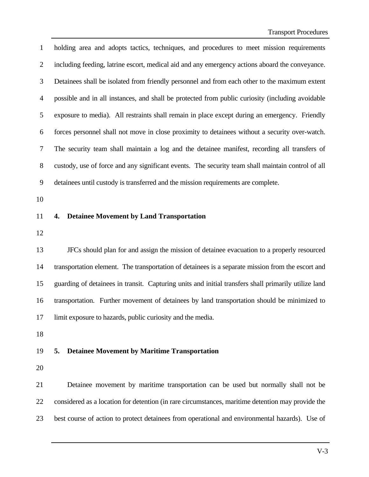1 holding area and adopts tactics, techniques, and procedures to meet mission requirements 2 including feeding, latrine escort, medical aid and any emergency actions aboard the conveyance. 3 Detainees shall be isolated from friendly personnel and from each other to the maximum extent 4 possible and in all instances, and shall be protected from public curiosity (including avoidable 5 exposure to media). All restraints shall remain in place except during an emergency. Friendly 6 forces personnel shall not move in close proximity to detainees without a security over-watch. 7 The security team shall maintain a log and the detainee manifest, recording all transfers of 8 custody, use of force and any significant events. The security team shall maintain control of all 9 detainees until custody is transferred and the mission requirements are complete.

10

#### 11 **4. Detainee Movement by Land Transportation**

12

13 JFCs should plan for and assign the mission of detainee evacuation to a properly resourced 14 transportation element. The transportation of detainees is a separate mission from the escort and 15 guarding of detainees in transit. Capturing units and initial transfers shall primarily utilize land 16 transportation. Further movement of detainees by land transportation should be minimized to 17 limit exposure to hazards, public curiosity and the media.

18

#### 19 **5. Detainee Movement by Maritime Transportation**

20

21 Detainee movement by maritime transportation can be used but normally shall not be 22 considered as a location for detention (in rare circumstances, maritime detention may provide the 23 best course of action to protect detainees from operational and environmental hazards). Use of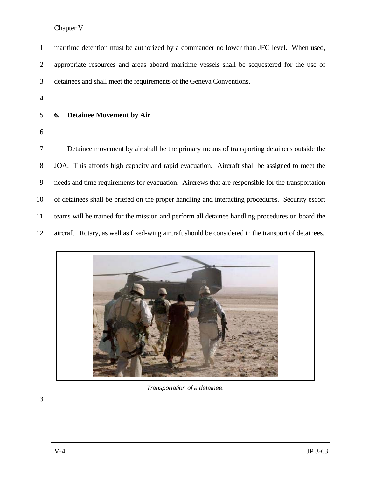| 1              | maritime detention must be authorized by a commander no lower than JFC level. When used,             |
|----------------|------------------------------------------------------------------------------------------------------|
| 2              | appropriate resources and areas aboard maritime vessels shall be sequestered for the use of          |
| 3              | detainees and shall meet the requirements of the Geneva Conventions.                                 |
| $\overline{4}$ |                                                                                                      |
| 5              | 6. Detainee Movement by Air                                                                          |
| 6              |                                                                                                      |
| 7              | Detainee movement by air shall be the primary means of transporting detainees outside the            |
| 8              | JOA. This affords high capacity and rapid evacuation. Aircraft shall be assigned to meet the         |
| 9              | needs and time requirements for evacuation. Aircrews that are responsible for the transportation     |
| 10             | of detainees shall be briefed on the proper handling and interacting procedures. Security escort     |
| 11             | teams will be trained for the mission and perform all detainee handling procedures on board the      |
| 12             | aircraft. Rotary, as well as fixed-wing aircraft should be considered in the transport of detainees. |



*Transportation of a detainee.*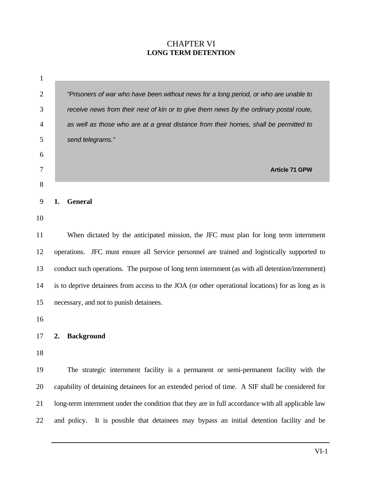# CHAPTER VI **LONG TERM DETENTION**

| $\mathbf{1}$ |                                                                                                   |
|--------------|---------------------------------------------------------------------------------------------------|
| 2            | "Prisoners of war who have been without news for a long period, or who are unable to              |
| 3            | receive news from their next of kin or to give them news by the ordinary postal route,            |
| 4            | as well as those who are at a great distance from their homes, shall be permitted to              |
| 5            | send telegrams."                                                                                  |
| 6            |                                                                                                   |
| 7            | <b>Article 71 GPW</b>                                                                             |
| 8            |                                                                                                   |
| 9            | <b>General</b><br>1.                                                                              |
| 10           |                                                                                                   |
| 11           | When dictated by the anticipated mission, the JFC must plan for long term internment              |
| 12           | operations. JFC must ensure all Service personnel are trained and logistically supported to       |
| 13           | conduct such operations. The purpose of long term internment (as with all detention/internment)   |
| 14           | is to deprive detainees from access to the JOA (or other operational locations) for as long as is |
| 15           | necessary, and not to punish detainees.                                                           |
| 16           |                                                                                                   |
| 17           | <b>Background</b><br>2.                                                                           |
| 18           |                                                                                                   |
| 19           | The strategic internment facility is a permanent or semi-permanent facility with the              |
| 20           | capability of detaining detainees for an extended period of time. A SIF shall be considered for   |
| 21           | long-term internment under the condition that they are in full accordance with all applicable law |
| 22           | It is possible that detainees may bypass an initial detention facility and be<br>and policy.      |
|              |                                                                                                   |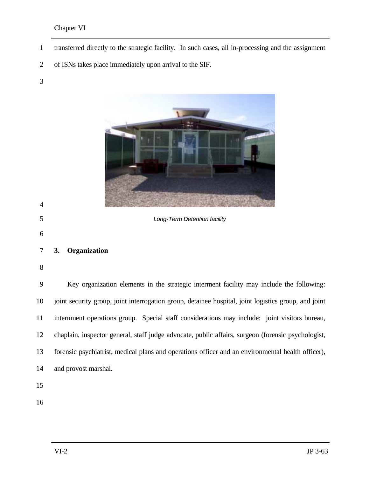- 1 transferred directly to the strategic facility. In such cases, all in-processing and the assignment
- 2 of ISNs takes place immediately upon arrival to the SIF.

### 3



| 5 | <b>Long-Term Detention facility</b> |
|---|-------------------------------------|
|   |                                     |

# 7 **3. Organization**

8

4

6

9 Key organization elements in the strategic interment facility may include the following: 10 joint security group, joint interrogation group, detainee hospital, joint logistics group, and joint 11 internment operations group. Special staff considerations may include: joint visitors bureau, 12 chaplain, inspector general, staff judge advocate, public affairs, surgeon (forensic psychologist, 13 forensic psychiatrist, medical plans and operations officer and an environmental health officer), 14 and provost marshal.

15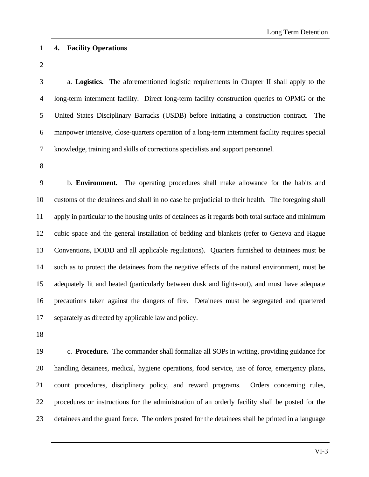#### 1 **4. Facility Operations**

2

3 a. **Logistics.** The aforementioned logistic requirements in Chapter II shall apply to the 4 long-term internment facility. Direct long-term facility construction queries to OPMG or the 5 United States Disciplinary Barracks (USDB) before initiating a construction contract. The 6 manpower intensive, close-quarters operation of a long-term internment facility requires special 7 knowledge, training and skills of corrections specialists and support personnel.

8

9 b. **Environment.** The operating procedures shall make allowance for the habits and 10 customs of the detainees and shall in no case be prejudicial to their health. The foregoing shall 11 apply in particular to the housing units of detainees as it regards both total surface and minimum 12 cubic space and the general installation of bedding and blankets (refer to Geneva and Hague 13 Conventions, DODD and all applicable regulations). Quarters furnished to detainees must be 14 such as to protect the detainees from the negative effects of the natural environment, must be 15 adequately lit and heated (particularly between dusk and lights-out), and must have adequate 16 precautions taken against the dangers of fire. Detainees must be segregated and quartered 17 separately as directed by applicable law and policy.

18

19 c. **Procedure.** The commander shall formalize all SOPs in writing, providing guidance for 20 handling detainees, medical, hygiene operations, food service, use of force, emergency plans, 21 count procedures, disciplinary policy, and reward programs. Orders concerning rules, 22 procedures or instructions for the administration of an orderly facility shall be posted for the 23 detainees and the guard force. The orders posted for the detainees shall be printed in a language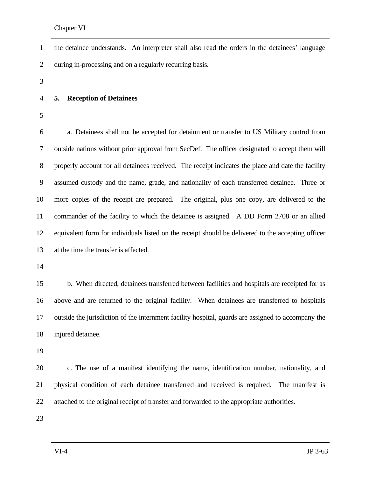| $\mathbf{1}$   | the detainee understands. An interpreter shall also read the orders in the detainees' language     |
|----------------|----------------------------------------------------------------------------------------------------|
| $\overline{2}$ | during in-processing and on a regularly recurring basis.                                           |
| 3              |                                                                                                    |
| 4              | <b>5.</b> Reception of Detainees                                                                   |
| 5              |                                                                                                    |
| 6              | a. Detainees shall not be accepted for detainment or transfer to US Military control from          |
| $\overline{7}$ | outside nations without prior approval from SecDef. The officer designated to accept them will     |
| 8              | properly account for all detainees received. The receipt indicates the place and date the facility |
| 9              | assumed custody and the name, grade, and nationality of each transferred detainee. Three or        |
| 10             | more copies of the receipt are prepared. The original, plus one copy, are delivered to the         |
| 11             | commander of the facility to which the detainee is assigned. A DD Form 2708 or an allied           |
| 12             | equivalent form for individuals listed on the receipt should be delivered to the accepting officer |
| 13             | at the time the transfer is affected.                                                              |
| 14             |                                                                                                    |
| 15             | b. When directed, detainees transferred between facilities and hospitals are receipted for as      |
| 16             | above and are returned to the original facility. When detainees are transferred to hospitals       |
| 17             | outside the jurisdiction of the internment facility hospital, guards are assigned to accompany the |
| 18             | injured detainee.                                                                                  |
| 19             |                                                                                                    |
| 20             | c. The use of a manifest identifying the name, identification number, nationality, and             |
| 21             | physical condition of each detainee transferred and received is required. The manifest is          |
| 22             | attached to the original receipt of transfer and forwarded to the appropriate authorities.         |
| 23             |                                                                                                    |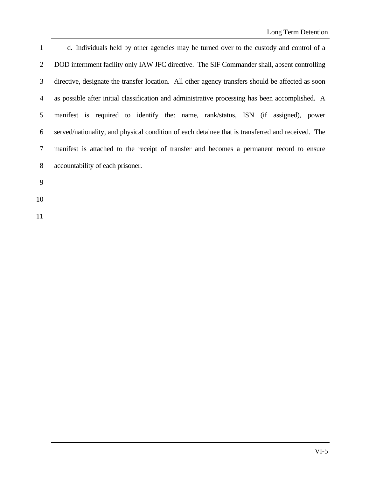1 d. Individuals held by other agencies may be turned over to the custody and control of a 2 DOD internment facility only IAW JFC directive. The SIF Commander shall, absent controlling 3 directive, designate the transfer location. All other agency transfers should be affected as soon 4 as possible after initial classification and administrative processing has been accomplished. A 5 manifest is required to identify the: name, rank/status, ISN (if assigned), power 6 served/nationality, and physical condition of each detainee that is transferred and received. The 7 manifest is attached to the receipt of transfer and becomes a permanent record to ensure 8 accountability of each prisoner.

- 9
- 10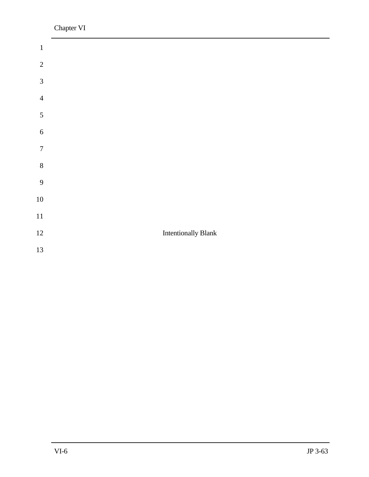| $1\,$            |                            |
|------------------|----------------------------|
| $\sqrt{2}$       |                            |
| $\mathfrak{Z}$   |                            |
| $\overline{4}$   |                            |
| $\sqrt{5}$       |                            |
| $\sqrt{6}$       |                            |
| $\boldsymbol{7}$ |                            |
| $\, 8$           |                            |
| 9                |                            |
| 10               |                            |
| $11\,$           |                            |
| 12               | <b>Intentionally Blank</b> |
| 13               |                            |
|                  |                            |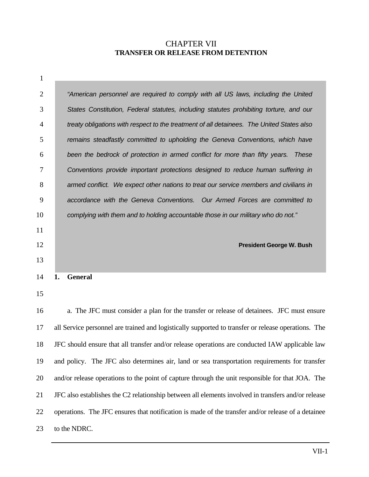## CHAPTER VII **TRANSFER OR RELEASE FROM DETENTION**

| $\mathbf{1}$   |                                                                                                     |
|----------------|-----------------------------------------------------------------------------------------------------|
| $\overline{2}$ | "American personnel are required to comply with all US laws, including the United                   |
| 3              | States Constitution, Federal statutes, including statutes prohibiting torture, and our              |
| 4              | treaty obligations with respect to the treatment of all detainees. The United States also           |
| 5              | remains steadfastly committed to upholding the Geneva Conventions, which have                       |
| 6              | been the bedrock of protection in armed conflict for more than fifty years.<br><b>These</b>         |
| 7              | Conventions provide important protections designed to reduce human suffering in                     |
| 8              | armed conflict. We expect other nations to treat our service members and civilians in               |
| 9              | accordance with the Geneva Conventions. Our Armed Forces are committed to                           |
| 10             | complying with them and to holding accountable those in our military who do not."                   |
| 11             |                                                                                                     |
| 12             | <b>President George W. Bush</b>                                                                     |
| 13             |                                                                                                     |
| 14             | <b>General</b><br>1.                                                                                |
| 15             |                                                                                                     |
| 16             | a. The JFC must consider a plan for the transfer or release of detainees. JFC must ensure           |
| 17             | all Service personnel are trained and logistically supported to transfer or release operations. The |
| 18             | JFC should ensure that all transfer and/or release operations are conducted IAW applicable law      |
| 19             | and policy. The JFC also determines air, land or sea transportation requirements for transfer       |
| 20             | and/or release operations to the point of capture through the unit responsible for that JOA. The    |
| 21             | JFC also establishes the C2 relationship between all elements involved in transfers and/or release  |
| 22             | operations. The JFC ensures that notification is made of the transfer and/or release of a detainee  |
| 23             | to the NDRC.                                                                                        |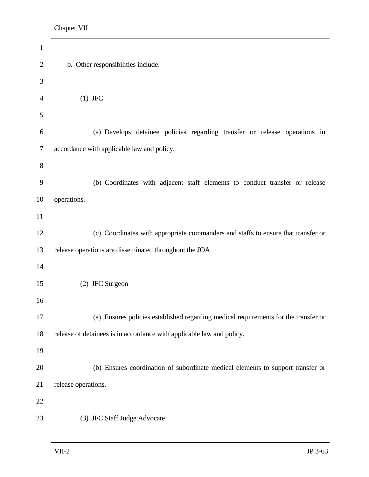| $\mathbf{1}$ |                                                                                     |
|--------------|-------------------------------------------------------------------------------------|
| 2            | b. Other responsibilities include:                                                  |
| 3            |                                                                                     |
| 4            | $(1)$ JFC                                                                           |
| 5            |                                                                                     |
| 6            | (a) Develops detainee policies regarding transfer or release operations in          |
| 7            | accordance with applicable law and policy.                                          |
| 8            |                                                                                     |
| 9            | (b) Coordinates with adjacent staff elements to conduct transfer or release         |
| 10           | operations.                                                                         |
| 11           |                                                                                     |
| 12           | (c) Coordinates with appropriate commanders and staffs to ensure that transfer or   |
| 13           | release operations are disseminated throughout the JOA.                             |
| 14           |                                                                                     |
| 15           | (2) JFC Surgeon                                                                     |
| 16           |                                                                                     |
| 17           | (a) Ensures policies established regarding medical requirements for the transfer or |
| 18           | release of detainees is in accordance with applicable law and policy.               |
| 19           |                                                                                     |
| 20           | (b) Ensures coordination of subordinate medical elements to support transfer or     |
| 21           | release operations.                                                                 |
| 22           |                                                                                     |
| 23           | (3) JFC Staff Judge Advocate                                                        |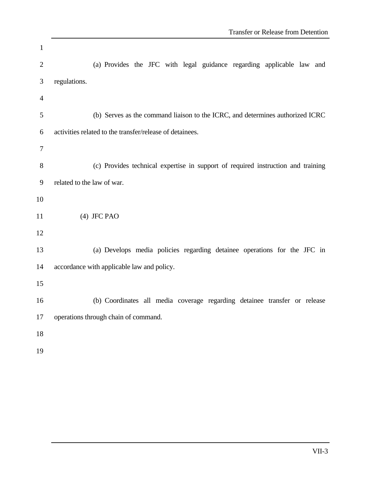| $\mathbf{1}$   |                                                                                  |
|----------------|----------------------------------------------------------------------------------|
| $\overline{c}$ | (a) Provides the JFC with legal guidance regarding applicable law and            |
| 3              | regulations.                                                                     |
| $\overline{4}$ |                                                                                  |
| 5              | (b) Serves as the command liaison to the ICRC, and determines authorized ICRC    |
| 6              | activities related to the transfer/release of detainees.                         |
| $\tau$         |                                                                                  |
| $8\,$          | (c) Provides technical expertise in support of required instruction and training |
| 9              | related to the law of war.                                                       |
| 10             |                                                                                  |
| 11             | (4) JFC PAO                                                                      |
| 12             |                                                                                  |
| 13             | (a) Develops media policies regarding detainee operations for the JFC in         |
| 14             | accordance with applicable law and policy.                                       |
| 15             |                                                                                  |
| 16             | (b) Coordinates all media coverage regarding detainee transfer or release        |
| 17             | operations through chain of command.                                             |
| 18             |                                                                                  |
| 19             |                                                                                  |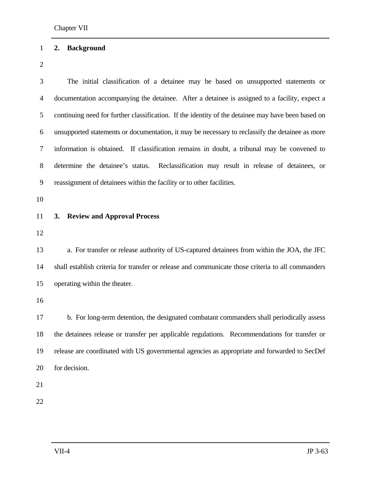### 1 **2. Background**

2

3 The initial classification of a detainee may be based on unsupported statements or 4 documentation accompanying the detainee. After a detainee is assigned to a facility, expect a 5 continuing need for further classification. If the identity of the detainee may have been based on 6 unsupported statements or documentation, it may be necessary to reclassify the detainee as more 7 information is obtained. If classification remains in doubt, a tribunal may be convened to 8 determine the detainee's status. Reclassification may result in release of detainees, or 9 reassignment of detainees within the facility or to other facilities. 10 11 **3. Review and Approval Process**  12 13 a. For transfer or release authority of US-captured detainees from within the JOA, the JFC 14 shall establish criteria for transfer or release and communicate those criteria to all commanders 15 operating within the theater. 16 17 b. For long-term detention, the designated combatant commanders shall periodically assess 18 the detainees release or transfer per applicable regulations. Recommendations for transfer or 19 release are coordinated with US governmental agencies as appropriate and forwarded to SecDef 20 for decision. 21 22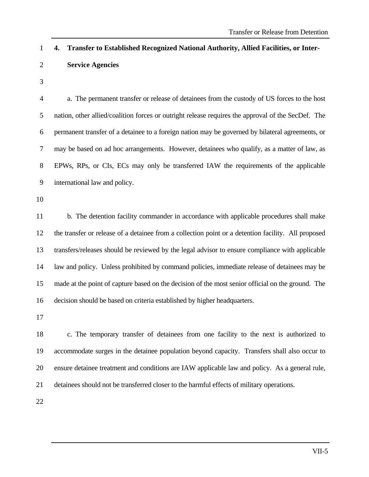# 1 **4. Transfer to Established Recognized National Authority, Allied Facilities, or Inter-**2 **Service Agencies**

3

4 a. The permanent transfer or release of detainees from the custody of US forces to the host 5 nation, other allied/coalition forces or outright release requires the approval of the SecDef. The 6 permanent transfer of a detainee to a foreign nation may be governed by bilateral agreements, or 7 may be based on ad hoc arrangements. However, detainees who qualify, as a matter of law, as 8 EPWs, RPs, or CIs, ECs may only be transferred IAW the requirements of the applicable 9 international law and policy.

10

11 b. The detention facility commander in accordance with applicable procedures shall make 12 the transfer or release of a detainee from a collection point or a detention facility. All proposed 13 transfers/releases should be reviewed by the legal advisor to ensure compliance with applicable 14 law and policy. Unless prohibited by command policies, immediate release of detainees may be 15 made at the point of capture based on the decision of the most senior official on the ground. The 16 decision should be based on criteria established by higher headquarters.

17

18 c. The temporary transfer of detainees from one facility to the next is authorized to 19 accommodate surges in the detainee population beyond capacity. Transfers shall also occur to 20 ensure detainee treatment and conditions are IAW applicable law and policy. As a general rule, 21 detainees should not be transferred closer to the harmful effects of military operations.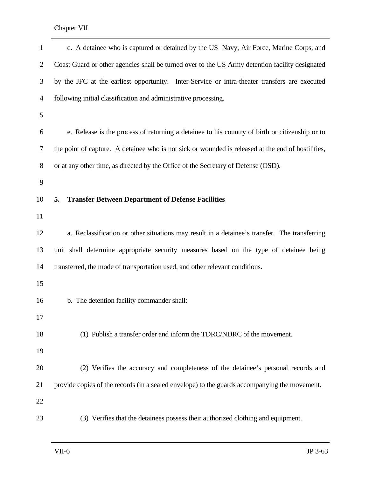## Chapter VII

| $\mathbf{1}$   | d. A detainee who is captured or detained by the US Navy, Air Force, Marine Corps, and             |
|----------------|----------------------------------------------------------------------------------------------------|
| $\overline{2}$ | Coast Guard or other agencies shall be turned over to the US Army detention facility designated    |
| 3              | by the JFC at the earliest opportunity. Inter-Service or intra-theater transfers are executed      |
| $\overline{4}$ | following initial classification and administrative processing.                                    |
| 5              |                                                                                                    |
| 6              | e. Release is the process of returning a detainee to his country of birth or citizenship or to     |
| 7              | the point of capture. A detainee who is not sick or wounded is released at the end of hostilities, |
| 8              | or at any other time, as directed by the Office of the Secretary of Defense (OSD).                 |
| 9              |                                                                                                    |
| 10             | <b>Transfer Between Department of Defense Facilities</b><br>5.                                     |
| 11             |                                                                                                    |
| 12             | a. Reclassification or other situations may result in a detainee's transfer. The transferring      |
| 13             | unit shall determine appropriate security measures based on the type of detainee being             |
| 14             | transferred, the mode of transportation used, and other relevant conditions.                       |
| 15             |                                                                                                    |
| 16             | b. The detention facility commander shall:                                                         |
| 17             |                                                                                                    |
| 18             | (1) Publish a transfer order and inform the TDRC/NDRC of the movement.                             |
| 19             |                                                                                                    |
| 20             | (2) Verifies the accuracy and completeness of the detainee's personal records and                  |
| 21             | provide copies of the records (in a sealed envelope) to the guards accompanying the movement.      |
| 22             |                                                                                                    |
| 23             | (3) Verifies that the detainees possess their authorized clothing and equipment.                   |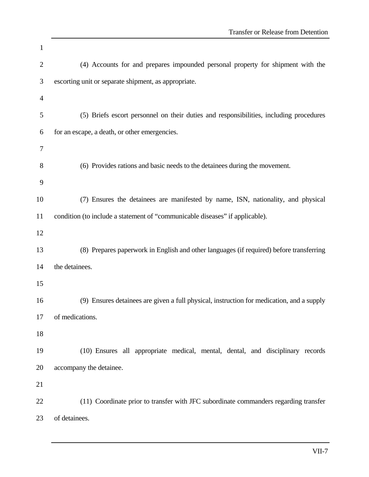| $\mathbf{1}$   |                                                                                           |
|----------------|-------------------------------------------------------------------------------------------|
| $\overline{2}$ | (4) Accounts for and prepares impounded personal property for shipment with the           |
| 3              | escorting unit or separate shipment, as appropriate.                                      |
| 4              |                                                                                           |
| 5              | (5) Briefs escort personnel on their duties and responsibilities, including procedures    |
| 6              | for an escape, a death, or other emergencies.                                             |
| 7              |                                                                                           |
| 8              | (6) Provides rations and basic needs to the detainees during the movement.                |
| 9              |                                                                                           |
| 10             | (7) Ensures the detainees are manifested by name, ISN, nationality, and physical          |
| 11             | condition (to include a statement of "communicable diseases" if applicable).              |
| 12             |                                                                                           |
| 13             | (8) Prepares paperwork in English and other languages (if required) before transferring   |
| 14             | the detainees.                                                                            |
| 15             |                                                                                           |
| 16             | (9) Ensures detainees are given a full physical, instruction for medication, and a supply |
| 17             | of medications.                                                                           |
| 18             |                                                                                           |
| 19             | (10) Ensures all appropriate medical, mental, dental, and disciplinary records            |
| 20             | accompany the detainee.                                                                   |
| 21             |                                                                                           |
| 22             | (11) Coordinate prior to transfer with JFC subordinate commanders regarding transfer      |
| 23             | of detainees.                                                                             |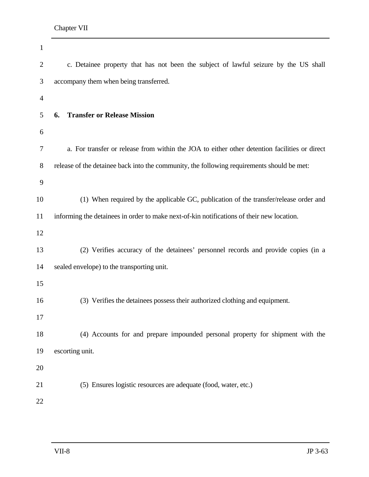| 1              |                                                                                               |
|----------------|-----------------------------------------------------------------------------------------------|
| $\overline{2}$ | c. Detainee property that has not been the subject of lawful seizure by the US shall          |
| 3              | accompany them when being transferred.                                                        |
| 4              |                                                                                               |
| 5              | <b>Transfer or Release Mission</b><br>6.                                                      |
| 6              |                                                                                               |
| 7              | a. For transfer or release from within the JOA to either other detention facilities or direct |
| 8              | release of the detainee back into the community, the following requirements should be met:    |
| 9              |                                                                                               |
| 10             | (1) When required by the applicable GC, publication of the transfer/release order and         |
| 11             | informing the detainees in order to make next-of-kin notifications of their new location.     |
| 12             |                                                                                               |
| 13             | (2) Verifies accuracy of the detainees' personnel records and provide copies (in a            |
| 14             | sealed envelope) to the transporting unit.                                                    |
| 15             |                                                                                               |
| 16             | (3) Verifies the detainees possess their authorized clothing and equipment.                   |
| 17             |                                                                                               |
| 18             | (4) Accounts for and prepare impounded personal property for shipment with the                |
| 19             | escorting unit.                                                                               |
| 20             |                                                                                               |
| 21             | (5) Ensures logistic resources are adequate (food, water, etc.)                               |
| 22             |                                                                                               |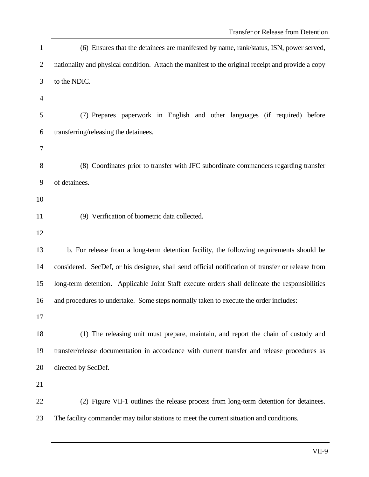| $\mathbf{1}$   | (6) Ensures that the detainees are manifested by name, rank/status, ISN, power served,             |
|----------------|----------------------------------------------------------------------------------------------------|
| $\overline{2}$ | nationality and physical condition. Attach the manifest to the original receipt and provide a copy |
| 3              | to the NDIC.                                                                                       |
| 4              |                                                                                                    |
| 5              | (7) Prepares paperwork in English and other languages (if required) before                         |
| 6              | transferring/releasing the detainees.                                                              |
| 7              |                                                                                                    |
| 8              | (8) Coordinates prior to transfer with JFC subordinate commanders regarding transfer               |
| 9              | of detainees.                                                                                      |
| 10             |                                                                                                    |
| 11             | (9) Verification of biometric data collected.                                                      |
| 12             |                                                                                                    |
| 13             | b. For release from a long-term detention facility, the following requirements should be           |
| 14             | considered. SecDef, or his designee, shall send official notification of transfer or release from  |
| 15             | long-term detention. Applicable Joint Staff execute orders shall delineate the responsibilities    |
| 16             | and procedures to undertake. Some steps normally taken to execute the order includes:              |
| 17             |                                                                                                    |
| 18             | (1) The releasing unit must prepare, maintain, and report the chain of custody and                 |
| 19             | transfer/release documentation in accordance with current transfer and release procedures as       |
| 20             | directed by SecDef.                                                                                |
| 21             |                                                                                                    |
| 22             | (2) Figure VII-1 outlines the release process from long-term detention for detainees.              |
| 23             | The facility commander may tailor stations to meet the current situation and conditions.           |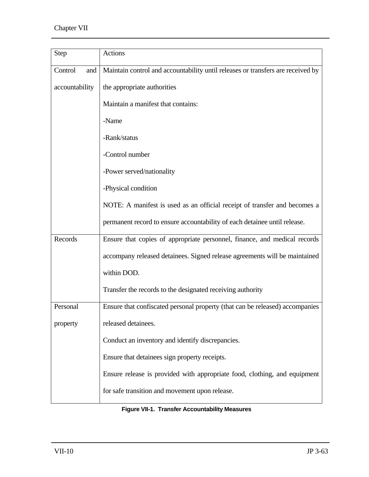| <b>Step</b>    | <b>Actions</b>                                                                  |  |  |
|----------------|---------------------------------------------------------------------------------|--|--|
| Control<br>and | Maintain control and accountability until releases or transfers are received by |  |  |
| accountability | the appropriate authorities                                                     |  |  |
|                | Maintain a manifest that contains:                                              |  |  |
|                | -Name                                                                           |  |  |
|                | -Rank/status                                                                    |  |  |
|                | -Control number                                                                 |  |  |
|                | -Power served/nationality                                                       |  |  |
|                | -Physical condition                                                             |  |  |
|                | NOTE: A manifest is used as an official receipt of transfer and becomes a       |  |  |
|                | permanent record to ensure accountability of each detainee until release.       |  |  |
| Records        | Ensure that copies of appropriate personnel, finance, and medical records       |  |  |
|                | accompany released detainees. Signed release agreements will be maintained      |  |  |
|                | within DOD.                                                                     |  |  |
|                | Transfer the records to the designated receiving authority                      |  |  |
| Personal       | Ensure that confiscated personal property (that can be released) accompanies    |  |  |
| property       | released detainees.                                                             |  |  |
|                | Conduct an inventory and identify discrepancies.                                |  |  |
|                | Ensure that detainees sign property receipts.                                   |  |  |
|                | Ensure release is provided with appropriate food, clothing, and equipment       |  |  |
|                | for safe transition and movement upon release.                                  |  |  |

### **Figure VII-1. Transfer Accountability Measures**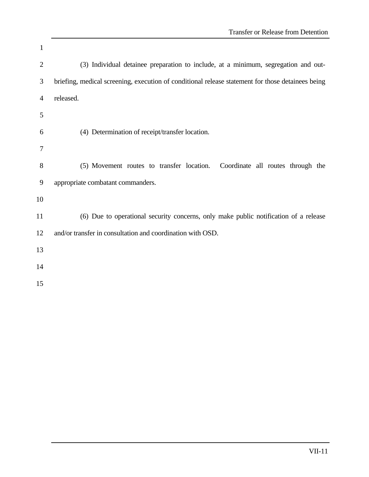| $\mathbf{1}$   |                                                                                                   |
|----------------|---------------------------------------------------------------------------------------------------|
| $\overline{2}$ | (3) Individual detainee preparation to include, at a minimum, segregation and out-                |
| 3              | briefing, medical screening, execution of conditional release statement for those detainees being |
| $\overline{4}$ | released.                                                                                         |
| 5              |                                                                                                   |
| 6              | (4) Determination of receipt/transfer location.                                                   |
| 7              |                                                                                                   |
| 8              | (5) Movement routes to transfer location.<br>Coordinate all routes through the                    |
| 9              | appropriate combatant commanders.                                                                 |
| 10             |                                                                                                   |
| 11             | (6) Due to operational security concerns, only make public notification of a release              |
| 12             | and/or transfer in consultation and coordination with OSD.                                        |
| 13             |                                                                                                   |
| 14             |                                                                                                   |
| 15             |                                                                                                   |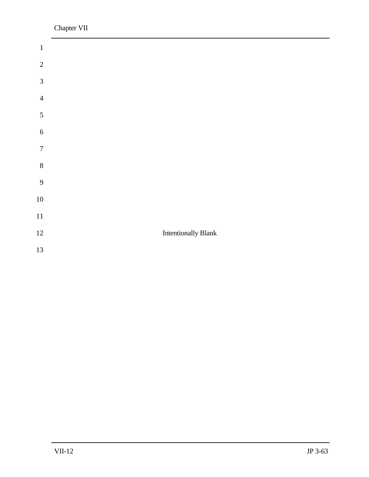| $\,1\,$          |                            |
|------------------|----------------------------|
| $\sqrt{2}$       |                            |
| $\mathfrak{Z}$   |                            |
| $\overline{4}$   |                            |
| $\overline{5}$   |                            |
| $\sqrt{6}$       |                            |
| $\boldsymbol{7}$ |                            |
| $\,8\,$          |                            |
| 9                |                            |
| 10               |                            |
| $11\,$           |                            |
| 12               | <b>Intentionally Blank</b> |
| 13               |                            |
|                  |                            |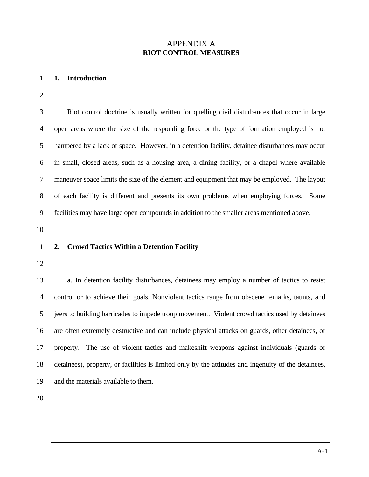### APPENDIX A **RIOT CONTROL MEASURES**

### 1 **1. Introduction**

2

| 3              | Riot control doctrine is usually written for quelling civil disturbances that occur in large         |
|----------------|------------------------------------------------------------------------------------------------------|
| $\overline{4}$ | open areas where the size of the responding force or the type of formation employed is not           |
| 5              | hampered by a lack of space. However, in a detention facility, detainee disturbances may occur       |
| 6              | in small, closed areas, such as a housing area, a dining facility, or a chapel where available       |
| $\overline{7}$ | maneuver space limits the size of the element and equipment that may be employed. The layout         |
| $8\,$          | of each facility is different and presents its own problems when employing forces. Some              |
| 9              | facilities may have large open compounds in addition to the smaller areas mentioned above.           |
| 10             |                                                                                                      |
| 11             | <b>Crowd Tactics Within a Detention Facility</b><br>2.                                               |
| 12             |                                                                                                      |
| 13             | a. In detention facility disturbances, detainees may employ a number of tactics to resist            |
| 14             | control or to achieve their goals. Nonviolent tactics range from obscene remarks, taunts, and        |
| 15             | jeers to building barricades to impede troop movement. Violent crowd tactics used by detainees       |
| 16             | are often extremely destructive and can include physical attacks on guards, other detainees, or      |
| 17             | The use of violent tactics and makeshift weapons against individuals (guards or<br>property.         |
| 18             | detainees), property, or facilities is limited only by the attitudes and ingenuity of the detainees, |
| 19             | and the materials available to them.                                                                 |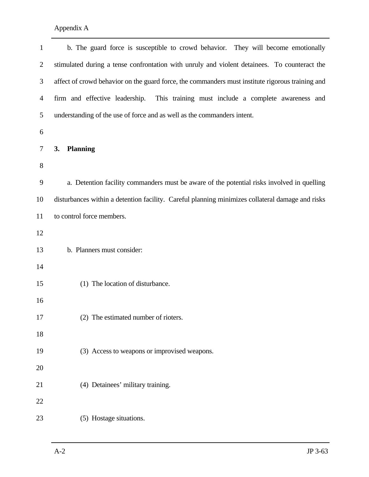# Appendix A

| $\mathbf{1}$   | b. The guard force is susceptible to crowd behavior. They will become emotionally                |
|----------------|--------------------------------------------------------------------------------------------------|
| $\overline{c}$ | stimulated during a tense confrontation with unruly and violent detainees. To counteract the     |
| 3              | affect of crowd behavior on the guard force, the commanders must institute rigorous training and |
| 4              | firm and effective leadership.<br>This training must include a complete awareness and            |
| 5              | understanding of the use of force and as well as the commanders intent.                          |
| 6              |                                                                                                  |
| 7              | 3. Planning                                                                                      |
| 8              |                                                                                                  |
| 9              | a. Detention facility commanders must be aware of the potential risks involved in quelling       |
| 10             | disturbances within a detention facility. Careful planning minimizes collateral damage and risks |
| 11             | to control force members.                                                                        |
| 12             |                                                                                                  |
| 13             | b. Planners must consider:                                                                       |
| 14             |                                                                                                  |
| 15             | (1) The location of disturbance.                                                                 |
| 16             |                                                                                                  |
| 17             | (2) The estimated number of rioters.                                                             |
| 18             |                                                                                                  |
| 19             | (3) Access to weapons or improvised weapons.                                                     |
| 20             |                                                                                                  |
| 21             | (4) Detainees' military training.                                                                |
| 22             |                                                                                                  |
| 23             | (5) Hostage situations.                                                                          |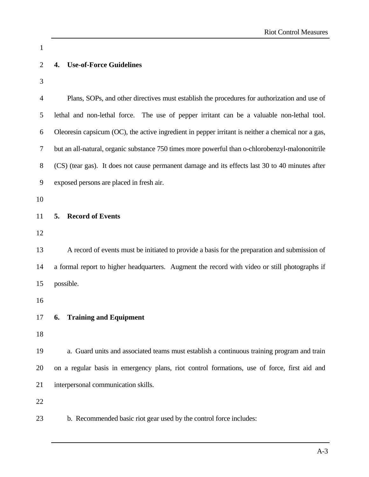# 2 **4. Use-of-Force Guidelines**

3

| $\overline{4}$ | Plans, SOPs, and other directives must establish the procedures for authorization and use of       |
|----------------|----------------------------------------------------------------------------------------------------|
| 5              | lethal and non-lethal force. The use of pepper irritant can be a valuable non-lethal tool.         |
| 6              | Oleoresin capsicum (OC), the active ingredient in pepper irritant is neither a chemical nor a gas, |
| 7              | but an all-natural, organic substance 750 times more powerful than o-chlorobenzyl-malononitrile    |
| $8\,$          | (CS) (tear gas). It does not cause permanent damage and its effects last 30 to 40 minutes after    |
| 9              | exposed persons are placed in fresh air.                                                           |
| 10             |                                                                                                    |
| 11             | <b>Record of Events</b><br>5.                                                                      |
| 12             |                                                                                                    |
| 13             | A record of events must be initiated to provide a basis for the preparation and submission of      |
| 14             | a formal report to higher headquarters. Augment the record with video or still photographs if      |
| 15             | possible.                                                                                          |
| 16             |                                                                                                    |
| 17             | <b>Training and Equipment</b><br>6.                                                                |
| 18             |                                                                                                    |
| 19             | a. Guard units and associated teams must establish a continuous training program and train         |
| 20             | on a regular basis in emergency plans, riot control formations, use of force, first aid and        |
| 21             | interpersonal communication skills.                                                                |
| 22             |                                                                                                    |
|                |                                                                                                    |

23 b. Recommended basic riot gear used by the control force includes: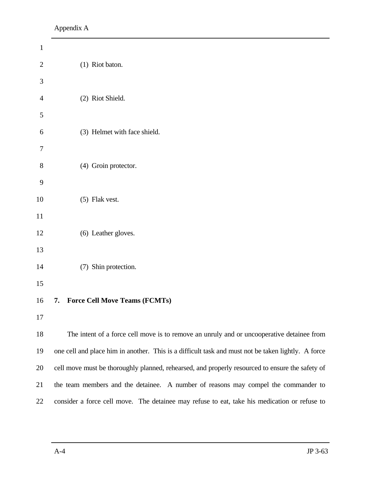| $\mathbf{1}$   |                                                                                                    |
|----------------|----------------------------------------------------------------------------------------------------|
| $\overline{2}$ | (1) Riot baton.                                                                                    |
| 3              |                                                                                                    |
| $\overline{4}$ | (2) Riot Shield.                                                                                   |
| 5              |                                                                                                    |
| 6              | (3) Helmet with face shield.                                                                       |
| 7              |                                                                                                    |
| 8              | (4) Groin protector.                                                                               |
| 9              |                                                                                                    |
| 10             | $(5)$ Flak vest.                                                                                   |
| 11             |                                                                                                    |
| 12             | (6) Leather gloves.                                                                                |
| 13             |                                                                                                    |
| 14             | (7) Shin protection.                                                                               |
| 15             |                                                                                                    |
| 16             | <b>Force Cell Move Teams (FCMTs)</b><br>7.                                                         |
| 17             |                                                                                                    |
| 18             | The intent of a force cell move is to remove an unruly and or uncooperative detainee from          |
| 19             | one cell and place him in another. This is a difficult task and must not be taken lightly. A force |
| 20             | cell move must be thoroughly planned, rehearsed, and properly resourced to ensure the safety of    |
| 21             | the team members and the detainee. A number of reasons may compel the commander to                 |
| 22             | consider a force cell move. The detainee may refuse to eat, take his medication or refuse to       |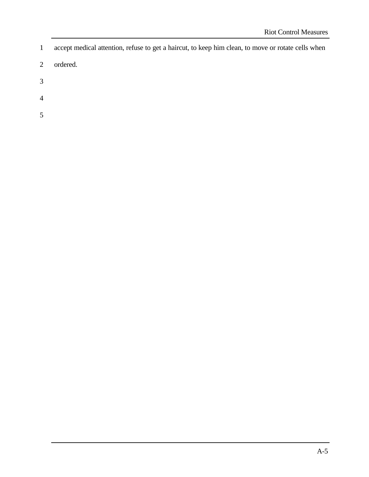- 1 accept medical attention, refuse to get a haircut, to keep him clean, to move or rotate cells when
- 2 ordered.
- 3
- 
- 4
- 5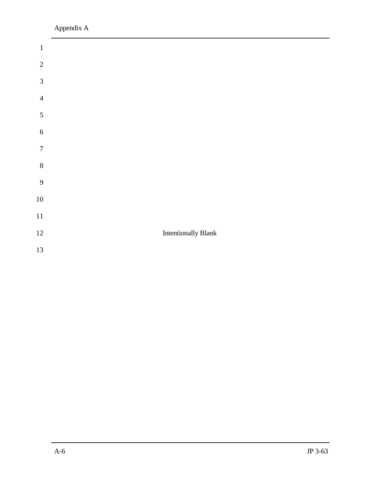| $\mathbf{1}$     |                            |
|------------------|----------------------------|
| $\sqrt{2}$       |                            |
| $\mathfrak{Z}$   |                            |
| $\overline{4}$   |                            |
| $\overline{5}$   |                            |
| $\sqrt{6}$       |                            |
| $\boldsymbol{7}$ |                            |
| $\,8\,$          |                            |
| 9                |                            |
| 10               |                            |
| 11               |                            |
| 12               | <b>Intentionally Blank</b> |
| 13               |                            |
|                  |                            |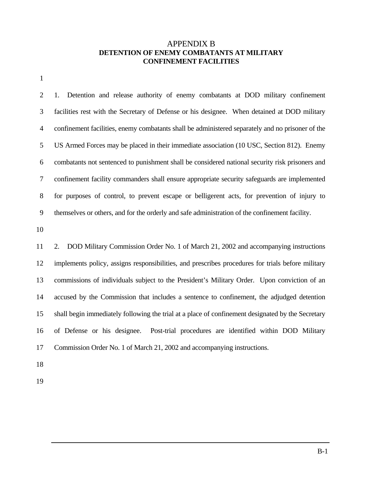#### APPENDIX B **DETENTION OF ENEMY COMBATANTS AT MILITARY CONFINEMENT FACILITIES**

1

2 1. Detention and release authority of enemy combatants at DOD military confinement 3 facilities rest with the Secretary of Defense or his designee. When detained at DOD military 4 confinement facilities, enemy combatants shall be administered separately and no prisoner of the 5 US Armed Forces may be placed in their immediate association (10 USC, Section 812). Enemy 6 combatants not sentenced to punishment shall be considered national security risk prisoners and 7 confinement facility commanders shall ensure appropriate security safeguards are implemented 8 for purposes of control, to prevent escape or belligerent acts, for prevention of injury to 9 themselves or others, and for the orderly and safe administration of the confinement facility.

10

11 2. DOD Military Commission Order No. 1 of March 21, 2002 and accompanying instructions 12 implements policy, assigns responsibilities, and prescribes procedures for trials before military 13 commissions of individuals subject to the President's Military Order. Upon conviction of an 14 accused by the Commission that includes a sentence to confinement, the adjudged detention 15 shall begin immediately following the trial at a place of confinement designated by the Secretary 16 of Defense or his designee. Post-trial procedures are identified within DOD Military 17 Commission Order No. 1 of March 21, 2002 and accompanying instructions.

18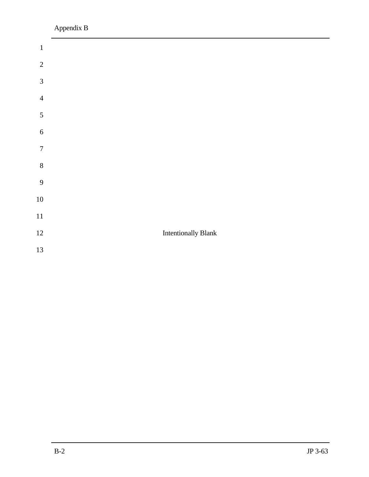| $\,1\,$          |                            |
|------------------|----------------------------|
| $\sqrt{2}$       |                            |
| $\mathfrak{Z}$   |                            |
| $\overline{4}$   |                            |
| $\overline{5}$   |                            |
| $\sqrt{6}$       |                            |
| $\boldsymbol{7}$ |                            |
| $\,8\,$          |                            |
| 9                |                            |
| 10               |                            |
| $11\,$           |                            |
| 12               | <b>Intentionally Blank</b> |
| 13               |                            |
|                  |                            |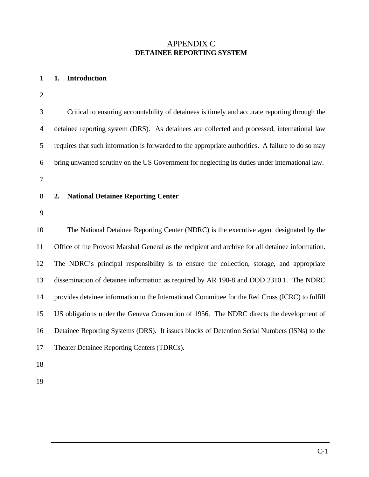### APPENDIX C **DETAINEE REPORTING SYSTEM**

### 1 **1. Introduction**

2

| 3              | Critical to ensuring accountability of detainees is timely and accurate reporting through the      |
|----------------|----------------------------------------------------------------------------------------------------|
| $\overline{4}$ | detainee reporting system (DRS). As detainees are collected and processed, international law       |
| 5              | requires that such information is forwarded to the appropriate authorities. A failure to do so may |
| 6              | bring unwanted scrutiny on the US Government for neglecting its duties under international law.    |
| 7              |                                                                                                    |
| 8              | <b>National Detainee Reporting Center</b><br>2.                                                    |
| 9              |                                                                                                    |
| 10             | The National Detainee Reporting Center (NDRC) is the executive agent designated by the             |
| 11             | Office of the Provost Marshal General as the recipient and archive for all detainee information.   |
| 12             | The NDRC's principal responsibility is to ensure the collection, storage, and appropriate          |
| 13             | dissemination of detainee information as required by AR 190-8 and DOD 2310.1. The NDRC             |
| 14             | provides detainee information to the International Committee for the Red Cross (ICRC) to fulfill   |
| 15             | US obligations under the Geneva Convention of 1956. The NDRC directs the development of            |
| 16             | Detainee Reporting Systems (DRS). It issues blocks of Detention Serial Numbers (ISNs) to the       |
| 17             | Theater Detainee Reporting Centers (TDRCs).                                                        |
| 18             |                                                                                                    |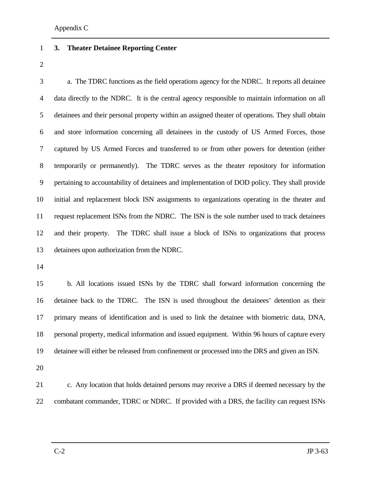Appendix C

#### 1 **3. Theater Detainee Reporting Center**

2

3 a. The TDRC functions as the field operations agency for the NDRC. It reports all detainee 4 data directly to the NDRC. It is the central agency responsible to maintain information on all 5 detainees and their personal property within an assigned theater of operations. They shall obtain 6 and store information concerning all detainees in the custody of US Armed Forces, those 7 captured by US Armed Forces and transferred to or from other powers for detention (either 8 temporarily or permanently). The TDRC serves as the theater repository for information 9 pertaining to accountability of detainees and implementation of DOD policy. They shall provide 10 initial and replacement block ISN assignments to organizations operating in the theater and 11 request replacement ISNs from the NDRC. The ISN is the sole number used to track detainees 12 and their property. The TDRC shall issue a block of ISNs to organizations that process 13 detainees upon authorization from the NDRC.

14

15 b. All locations issued ISNs by the TDRC shall forward information concerning the 16 detainee back to the TDRC. The ISN is used throughout the detainees' detention as their 17 primary means of identification and is used to link the detainee with biometric data, DNA, 18 personal property, medical information and issued equipment. Within 96 hours of capture every 19 detainee will either be released from confinement or processed into the DRS and given an ISN.

20

21 c. Any location that holds detained persons may receive a DRS if deemed necessary by the 22 combatant commander, TDRC or NDRC. If provided with a DRS, the facility can request ISNs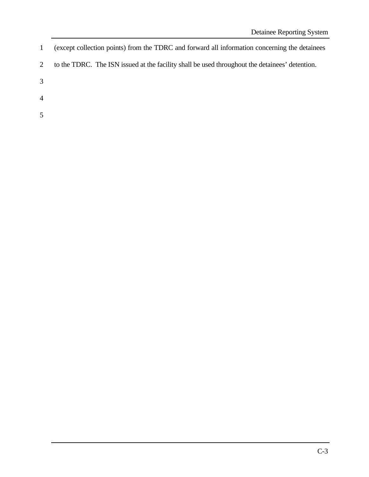- 1 (except collection points) from the TDRC and forward all information concerning the detainees
- 2 to the TDRC. The ISN issued at the facility shall be used throughout the detainees' detention.
- 3
- 
- 4
- 5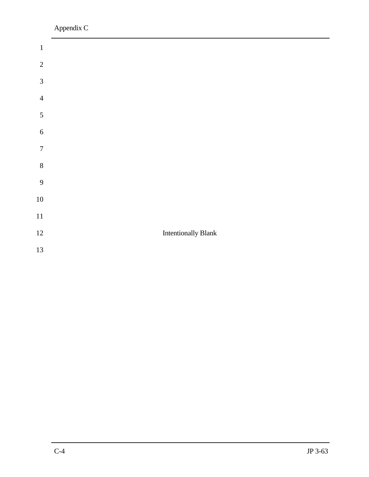| $\mathbf{1}$     |                            |
|------------------|----------------------------|
| $\overline{2}$   |                            |
| $\mathfrak{Z}$   |                            |
| $\overline{4}$   |                            |
| $\sqrt{5}$       |                            |
| $\sqrt{6}$       |                            |
| $\boldsymbol{7}$ |                            |
| $\,8\,$          |                            |
| 9                |                            |
| 10               |                            |
| 11               |                            |
| 12               | <b>Intentionally Blank</b> |
| 13               |                            |
|                  |                            |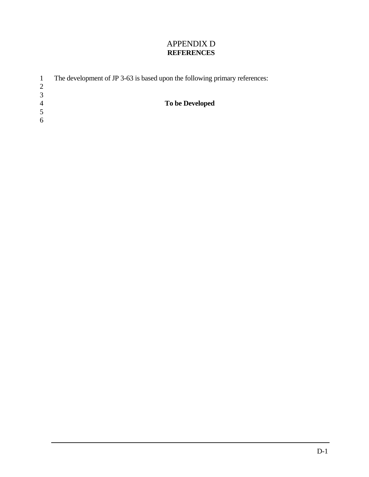### APPENDIX D **REFERENCES**

| The development of JP 3-63 is based upon the following primary references: |
|----------------------------------------------------------------------------|
|                                                                            |
|                                                                            |
| To be Developed                                                            |
|                                                                            |
|                                                                            |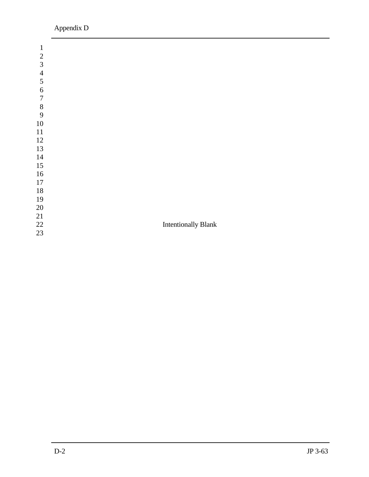| $\mathbf{1}$     |                            |
|------------------|----------------------------|
| $\overline{2}$   |                            |
| 3                |                            |
|                  |                            |
| $\overline{4}$   |                            |
| 5                |                            |
| 6                |                            |
| $\boldsymbol{7}$ |                            |
| 8                |                            |
| 9                |                            |
| 10               |                            |
| 11               |                            |
|                  |                            |
| 12               |                            |
| 13               |                            |
| $14\,$           |                            |
| 15               |                            |
| 16               |                            |
| 17               |                            |
| 18               |                            |
| 19               |                            |
|                  |                            |
| 20               |                            |
|                  |                            |
|                  | <b>Intentionally Blank</b> |
| 21<br>22<br>23   |                            |
|                  |                            |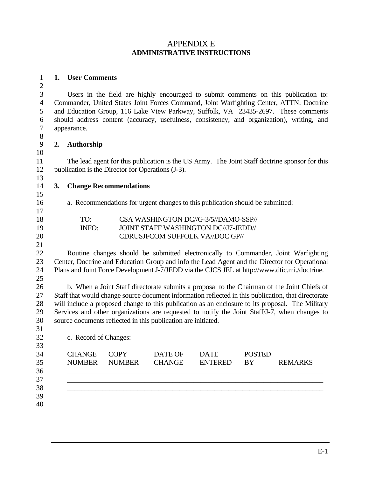### APPENDIX E **ADMINISTRATIVE INSTRUCTIONS**

#### 1 **1. User Comments**

- 3 Users in the field are highly encouraged to submit comments on this publication to: 4 Commander, United States Joint Forces Command, Joint Warfighting Center, ATTN: Doctrine 5 and Education Group, 116 Lake View Parkway, Suffolk, VA 23435-2697. These comments 6 should address content (accuracy, usefulness, consistency, and organization), writing, and 7 appearance.
- 8

2

9 **2. Authorship**  10

11 The lead agent for this publication is the US Army. The Joint Staff doctrine sponsor for this 12 publication is the Director for Operations (J-3).

14 **3. Change Recommendations** 

16 a. Recommendations for urgent changes to this publication should be submitted:

- 18 TO: CSA WASHINGTON DC//G-3/5//DAMO-SSP// 19 INFO: JOINT STAFF WASHINGTON DC//J7-JEDD// 20 CDRUSJFCOM SUFFOLK VA//DOC GP//
- 21

13

15

17

22 Routine changes should be submitted electronically to Commander, Joint Warfighting 23 Center, Doctrine and Education Group and info the Lead Agent and the Director for Operational 24 Plans and Joint Force Development J-7/JEDD via the CJCS JEL at http://www.dtic.mi./doctrine. 25

26 b. When a Joint Staff directorate submits a proposal to the Chairman of the Joint Chiefs of 27 Staff that would change source document information reflected in this publication, that directorate 28 will include a proposed change to this publication as an enclosure to its proposal. The Military 29 Services and other organizations are requested to notify the Joint Staff/J-7, when changes to 30 source documents reflected in this publication are initiated.

31 32 c. Record of Changes:

- 33 34 CHANGE COPY DATE OF DATE POSTED 35 NUMBER NUMBER CHANGE ENTERED BY REMARKS 36 \_\_\_\_\_\_\_\_\_\_\_\_\_\_\_\_\_\_\_\_\_\_\_\_\_\_\_\_\_\_\_\_\_\_\_\_\_\_\_\_\_\_\_\_\_\_\_\_\_\_\_\_\_\_\_\_\_\_\_\_\_\_\_\_\_\_\_\_\_\_\_\_\_ 37 \_\_\_\_\_\_\_\_\_\_\_\_\_\_\_\_\_\_\_\_\_\_\_\_\_\_\_\_\_\_\_\_\_\_\_\_\_\_\_\_\_\_\_\_\_\_\_\_\_\_\_\_\_\_\_\_\_\_\_\_\_\_\_\_\_\_\_\_\_\_\_\_\_ 38 \_\_\_\_\_\_\_\_\_\_\_\_\_\_\_\_\_\_\_\_\_\_\_\_\_\_\_\_\_\_\_\_\_\_\_\_\_\_\_\_\_\_\_\_\_\_\_\_\_\_\_\_\_\_\_\_\_\_\_\_\_\_\_\_\_\_\_\_\_\_\_\_\_
- 39
- 40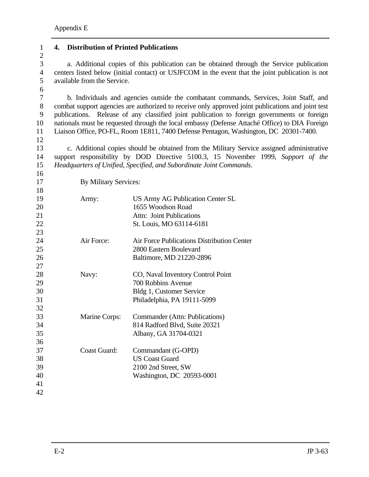| $\mathbf{1}$<br>$\overline{c}$ | <b>Distribution of Printed Publications</b><br>4.                                                |                                                                                                   |  |
|--------------------------------|--------------------------------------------------------------------------------------------------|---------------------------------------------------------------------------------------------------|--|
| 3                              | a. Additional copies of this publication can be obtained through the Service publication         |                                                                                                   |  |
| $\overline{4}$                 | centers listed below (initial contact) or USJFCOM in the event that the joint publication is not |                                                                                                   |  |
| 5                              | available from the Service.                                                                      |                                                                                                   |  |
| 6                              |                                                                                                  |                                                                                                   |  |
| $\tau$                         |                                                                                                  | b. Individuals and agencies outside the combatant commands, Services, Joint Staff, and            |  |
| $8\,$                          |                                                                                                  | combat support agencies are authorized to receive only approved joint publications and joint test |  |
| 9                              |                                                                                                  | publications. Release of any classified joint publication to foreign governments or foreign       |  |
| 10                             |                                                                                                  | nationals must be requested through the local embassy (Defense Attaché Office) to DIA Foreign     |  |
| 11                             |                                                                                                  | Liaison Office, PO-FL, Room 1E811, 7400 Defense Pentagon, Washington, DC 20301-7400.              |  |
| 12                             |                                                                                                  |                                                                                                   |  |
| 13                             |                                                                                                  | c. Additional copies should be obtained from the Military Service assigned administrative         |  |
| 14                             |                                                                                                  | support responsibility by DOD Directive 5100.3, 15 November 1999, Support of the                  |  |
| 15                             |                                                                                                  | Headquarters of Unified, Specified, and Subordinate Joint Commands.                               |  |
| 16                             |                                                                                                  |                                                                                                   |  |
| 17                             | <b>By Military Services:</b>                                                                     |                                                                                                   |  |
| 18                             |                                                                                                  |                                                                                                   |  |
| 19                             | Army:                                                                                            | US Army AG Publication Center SL                                                                  |  |
| 20                             |                                                                                                  | 1655 Woodson Road                                                                                 |  |
| 21                             |                                                                                                  | <b>Attn: Joint Publications</b>                                                                   |  |
| 22                             |                                                                                                  | St. Louis, MO 63114-6181                                                                          |  |
| 23                             |                                                                                                  |                                                                                                   |  |
| 24<br>25                       | Air Force:                                                                                       | Air Force Publications Distribution Center<br>2800 Eastern Boulevard                              |  |
| 26                             |                                                                                                  |                                                                                                   |  |
| 27                             |                                                                                                  | Baltimore, MD 21220-2896                                                                          |  |
| 28                             | Navy:                                                                                            | CO, Naval Inventory Control Point                                                                 |  |
| 29                             |                                                                                                  | 700 Robbins Avenue                                                                                |  |
| 30                             |                                                                                                  | Bldg 1, Customer Service                                                                          |  |
| 31                             |                                                                                                  | Philadelphia, PA 19111-5099                                                                       |  |
| 32                             |                                                                                                  |                                                                                                   |  |
| 33                             | Marine Corps:                                                                                    | Commander (Attn: Publications)                                                                    |  |
| 34                             |                                                                                                  | 814 Radford Blvd, Suite 20321                                                                     |  |
| 35                             |                                                                                                  | Albany, GA 31704-0321                                                                             |  |
| 36                             |                                                                                                  |                                                                                                   |  |
| 37                             | <b>Coast Guard:</b>                                                                              | Commandant (G-OPD)                                                                                |  |
| 38                             |                                                                                                  | <b>US Coast Guard</b>                                                                             |  |
| 39                             |                                                                                                  | 2100 2nd Street, SW                                                                               |  |
| 40                             |                                                                                                  | Washington, DC 20593-0001                                                                         |  |
| 41                             |                                                                                                  |                                                                                                   |  |
| 42                             |                                                                                                  |                                                                                                   |  |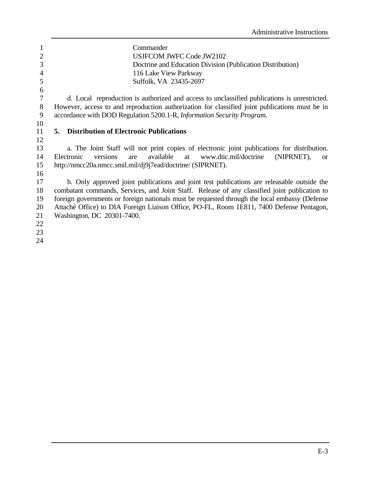| 1              | Commander                                                                                            |
|----------------|------------------------------------------------------------------------------------------------------|
| $\overline{2}$ | <b>USJFCOM JWFC Code JW2102</b>                                                                      |
| 3              | Doctrine and Education Division (Publication Distribution)                                           |
| $\overline{4}$ | 116 Lake View Parkway                                                                                |
| 5              | Suffolk, VA 23435-2697                                                                               |
| 6              |                                                                                                      |
| 7              | d. Local reproduction is authorized and access to unclassified publications is unrestricted.         |
| 8              | However, access to and reproduction authorization for classified joint publications must be in       |
| 9              | accordance with DOD Regulation 5200.1-R, Information Security Program.                               |
| 10             |                                                                                                      |
| 11             | <b>Distribution of Electronic Publications</b><br>5.                                                 |
| 12             |                                                                                                      |
| 13             | a. The Joint Staff will not print copies of electronic joint publications for distribution.          |
| 14             | available<br>www.dtic.mil/doctrine<br>Electronic<br>versions<br>(NIPRNET),<br>at<br>are<br><b>or</b> |
| 15             | http://nmcc20a.nmcc.smil.mil/dj9j7ead/doctrine/ (SIPRNET).                                           |
| 16             |                                                                                                      |
| 17             | b. Only approved joint publications and joint test publications are releasable outside the           |
| 18             | combatant commands, Services, and Joint Staff. Release of any classified joint publication to        |
| 19             | foreign governments or foreign nationals must be requested through the local embassy (Defense        |
| 20             | Attaché Office) to DIA Foreign Liaison Office, PO-FL, Room 1E811, 7400 Defense Pentagon,             |
| 21             | Washington, DC 20301-7400.                                                                           |
| 22             |                                                                                                      |
| າາ             |                                                                                                      |

23 24

 $\frac{21}{22}$ 

 $\frac{10}{11}$ 

 $\frac{12}{13}$ 

 $\frac{16}{17}$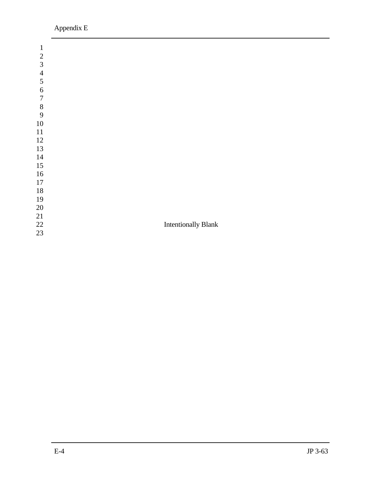| $\mathbf{1}$     |                            |
|------------------|----------------------------|
| $\sqrt{2}$       |                            |
| $\overline{3}$   |                            |
| $\overline{4}$   |                            |
| $\sqrt{5}$       |                            |
| 6                |                            |
| $\boldsymbol{7}$ |                            |
| $\, 8$           |                            |
| 9                |                            |
| 10               |                            |
| $11\,$           |                            |
| 12               |                            |
| 13               |                            |
| 14               |                            |
| 15               |                            |
| 16               |                            |
| $17\,$           |                            |
| 18               |                            |
| 19               |                            |
| $20\,$           |                            |
| 21               |                            |
| 22               | <b>Intentionally Blank</b> |
| 23               |                            |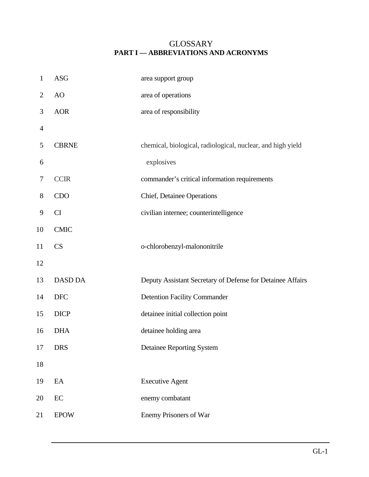### GLOSSARY **PART I — ABBREVIATIONS AND ACRONYMS**

| $\mathbf{1}$   | <b>ASG</b>   | area support group                                          |
|----------------|--------------|-------------------------------------------------------------|
| $\overline{c}$ | AO           | area of operations                                          |
| 3              | <b>AOR</b>   | area of responsibility                                      |
| 4              |              |                                                             |
| 5              | <b>CBRNE</b> | chemical, biological, radiological, nuclear, and high yield |
| 6              |              | explosives                                                  |
| 7              | <b>CCIR</b>  | commander's critical information requirements               |
| $8\,$          | CDO          | <b>Chief, Detainee Operations</b>                           |
| 9              | CI           | civilian internee; counterintelligence                      |
| 10             | <b>CMIC</b>  |                                                             |
| 11             | <b>CS</b>    | o-chlorobenzyl-malononitrile                                |
| 12             |              |                                                             |
| 13             | DASD DA      | Deputy Assistant Secretary of Defense for Detainee Affairs  |
| 14             | <b>DFC</b>   | <b>Detention Facility Commander</b>                         |
| 15             | <b>DICP</b>  | detainee initial collection point                           |
| 16             | <b>DHA</b>   | detainee holding area                                       |
| 17             | <b>DRS</b>   | <b>Detainee Reporting System</b>                            |
| 18             |              |                                                             |
| 19             | EA           | <b>Executive Agent</b>                                      |
| 20             | EC           | enemy combatant                                             |
| 21             | <b>EPOW</b>  | Enemy Prisoners of War                                      |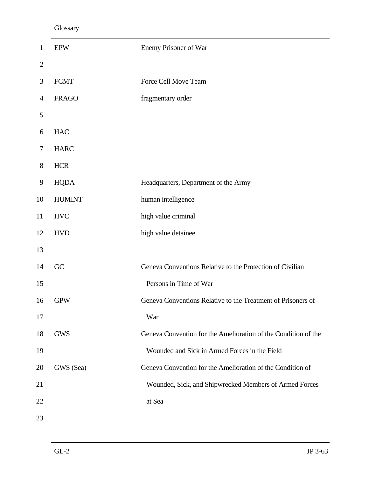| $\mathbf{1}$ | <b>EPW</b>    | Enemy Prisoner of War                                          |
|--------------|---------------|----------------------------------------------------------------|
| $\mathbf{2}$ |               |                                                                |
| 3            | <b>FCMT</b>   | Force Cell Move Team                                           |
| 4            | <b>FRAGO</b>  | fragmentary order                                              |
| 5            |               |                                                                |
| 6            | <b>HAC</b>    |                                                                |
| $\tau$       | <b>HARC</b>   |                                                                |
| $8\,$        | <b>HCR</b>    |                                                                |
| 9            | <b>HQDA</b>   | Headquarters, Department of the Army                           |
| 10           | <b>HUMINT</b> | human intelligence                                             |
| 11           | <b>HVC</b>    | high value criminal                                            |
| 12           | <b>HVD</b>    | high value detainee                                            |
| 13           |               |                                                                |
| 14           | GC            | Geneva Conventions Relative to the Protection of Civilian      |
| 15           |               | Persons in Time of War                                         |
| 16           | <b>GPW</b>    | Geneva Conventions Relative to the Treatment of Prisoners of   |
| 17           |               | War                                                            |
| 18           | <b>GWS</b>    | Geneva Convention for the Amelioration of the Condition of the |
| 19           |               | Wounded and Sick in Armed Forces in the Field                  |
| 20           | GWS (Sea)     | Geneva Convention for the Amelioration of the Condition of     |
| 21           |               | Wounded, Sick, and Shipwrecked Members of Armed Forces         |
| 22           |               | at Sea                                                         |
| 23           |               |                                                                |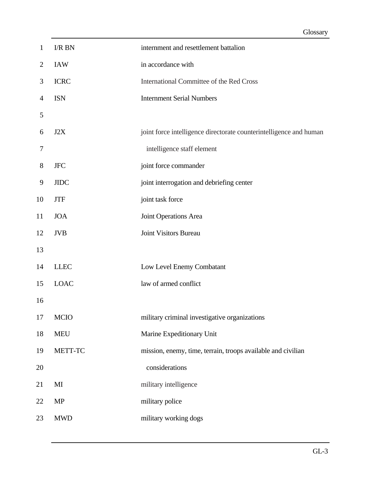| $\mathbf{1}$   | I/R BN       | internment and resettlement battalion                              |
|----------------|--------------|--------------------------------------------------------------------|
| $\overline{2}$ | <b>IAW</b>   | in accordance with                                                 |
| 3              | <b>ICRC</b>  | International Committee of the Red Cross                           |
| 4              | <b>ISN</b>   | <b>Internment Serial Numbers</b>                                   |
| 5              |              |                                                                    |
| 6              | J2X          | joint force intelligence directorate counterintelligence and human |
| 7              |              | intelligence staff element                                         |
| 8              | $_{\rm JFC}$ | joint force commander                                              |
| 9              | $\rm JIDC$   | joint interrogation and debriefing center                          |
| 10             | <b>JTF</b>   | joint task force                                                   |
| 11             | <b>JOA</b>   | Joint Operations Area                                              |
| 12             | <b>JVB</b>   | Joint Visitors Bureau                                              |
| 13             |              |                                                                    |
| 14             | <b>LLEC</b>  | Low Level Enemy Combatant                                          |
| 15             | <b>LOAC</b>  | law of armed conflict                                              |
| 16             |              |                                                                    |
| 17             | <b>MCIO</b>  | military criminal investigative organizations                      |
| 18             | <b>MEU</b>   | Marine Expeditionary Unit                                          |
| 19             | METT-TC      | mission, enemy, time, terrain, troops available and civilian       |
| 20             |              | considerations                                                     |
| 21             | MI           | military intelligence                                              |
| 22             | <b>MP</b>    | military police                                                    |
| 23             | <b>MWD</b>   | military working dogs                                              |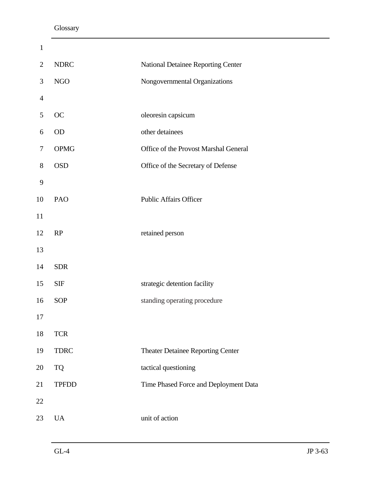| $\mathbf{1}$   |              |                                          |
|----------------|--------------|------------------------------------------|
| $\overline{2}$ | <b>NDRC</b>  | National Detainee Reporting Center       |
| 3              | <b>NGO</b>   | Nongovernmental Organizations            |
| $\overline{4}$ |              |                                          |
| 5              | <b>OC</b>    | oleoresin capsicum                       |
| 6              | <b>OD</b>    | other detainees                          |
| $\tau$         | <b>OPMG</b>  | Office of the Provost Marshal General    |
| $8\,$          | <b>OSD</b>   | Office of the Secretary of Defense       |
| 9              |              |                                          |
| 10             | PAO          | Public Affairs Officer                   |
| 11             |              |                                          |
| 12             | RP           | retained person                          |
| 13             |              |                                          |
| 14             | <b>SDR</b>   |                                          |
| 15             | <b>SIF</b>   | strategic detention facility             |
| 16             | SOP          | standing operating procedure             |
| 17             |              |                                          |
| 18             | <b>TCR</b>   |                                          |
| 19             | <b>TDRC</b>  | <b>Theater Detainee Reporting Center</b> |
| 20             | <b>TQ</b>    | tactical questioning                     |
| 21             | <b>TPFDD</b> | Time Phased Force and Deployment Data    |
| 22             |              |                                          |
| 23             | <b>UA</b>    | unit of action                           |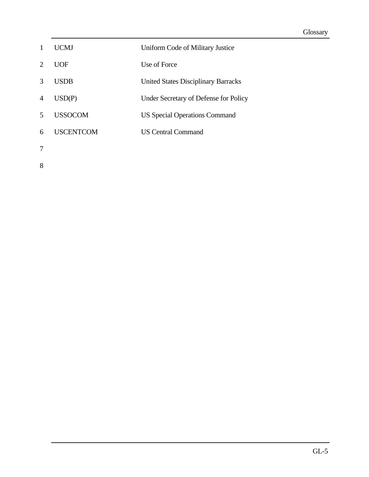| 1              | <b>UCMJ</b>      | Uniform Code of Military Justice           |
|----------------|------------------|--------------------------------------------|
| 2              | UOF              | Use of Force                               |
| 3              | <b>USDB</b>      | <b>United States Disciplinary Barracks</b> |
| $\overline{4}$ | USD(P)           | Under Secretary of Defense for Policy      |
| $\mathfrak{S}$ | <b>USSOCOM</b>   | <b>US Special Operations Command</b>       |
| 6              | <b>USCENTCOM</b> | <b>US Central Command</b>                  |
|                |                  |                                            |

- 7
- 8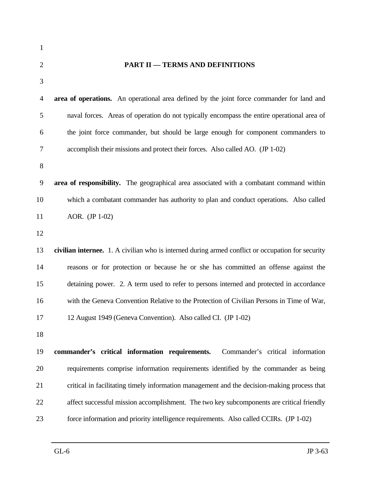| $\mathbf{1}$   |                                                                                                   |
|----------------|---------------------------------------------------------------------------------------------------|
| $\overline{2}$ | <b>PART II — TERMS AND DEFINITIONS</b>                                                            |
| $\mathfrak{Z}$ |                                                                                                   |
| $\overline{4}$ | area of operations. An operational area defined by the joint force commander for land and         |
| 5              | naval forces. Areas of operation do not typically encompass the entire operational area of        |
| 6              | the joint force commander, but should be large enough for component commanders to                 |
| 7              | accomplish their missions and protect their forces. Also called AO. (JP 1-02)                     |
| 8              |                                                                                                   |
| 9              | area of responsibility. The geographical area associated with a combatant command within          |
| 10             | which a combatant commander has authority to plan and conduct operations. Also called             |
| 11             | AOR. (JP 1-02)                                                                                    |
| 12             |                                                                                                   |
| 13             | civilian internee. 1. A civilian who is interned during armed conflict or occupation for security |
| 14             | reasons or for protection or because he or she has committed an offense against the               |
| 15             | detaining power. 2. A term used to refer to persons interned and protected in accordance          |
| 16             | with the Geneva Convention Relative to the Protection of Civilian Persons in Time of War,         |
| 17             | 12 August 1949 (Geneva Convention). Also called CI. (JP 1-02)                                     |
| 18             |                                                                                                   |
| 19             | commander's critical information requirements.<br>Commander's critical information                |
| 20             | requirements comprise information requirements identified by the commander as being               |
| 21             | critical in facilitating timely information management and the decision-making process that       |
| 22             | affect successful mission accomplishment. The two key subcomponents are critical friendly         |
| 23             | force information and priority intelligence requirements. Also called CCIRs. (JP 1-02)            |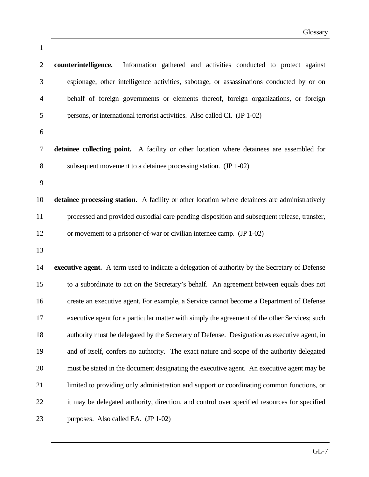| 2              | Information gathered and activities conducted to protect against<br>counterintelligence.              |
|----------------|-------------------------------------------------------------------------------------------------------|
| 3              | espionage, other intelligence activities, sabotage, or assassinations conducted by or on              |
| $\overline{4}$ | behalf of foreign governments or elements thereof, foreign organizations, or foreign                  |
| 5              | persons, or international terrorist activities. Also called CI. (JP 1-02)                             |
| 6              |                                                                                                       |
| 7              | <b>detainee collecting point.</b> A facility or other location where detainees are assembled for      |
| 8              | subsequent movement to a detainee processing station. (JP 1-02)                                       |
| 9              |                                                                                                       |
| 10             | <b>detainee processing station.</b> A facility or other location where detainees are administratively |
| 11             | processed and provided custodial care pending disposition and subsequent release, transfer,           |
| 12             | or movement to a prisoner-of-war or civilian internee camp. (JP 1-02)                                 |
| 13             |                                                                                                       |
| 14             | executive agent. A term used to indicate a delegation of authority by the Secretary of Defense        |
| 15             | to a subordinate to act on the Secretary's behalf. An agreement between equals does not               |
| 16             | create an executive agent. For example, a Service cannot become a Department of Defense               |
| 17             | executive agent for a particular matter with simply the agreement of the other Services; such         |
| 18             | authority must be delegated by the Secretary of Defense. Designation as executive agent, in           |
| 19             | and of itself, confers no authority. The exact nature and scope of the authority delegated            |
| 20             | must be stated in the document designating the executive agent. An executive agent may be             |
| 21             | limited to providing only administration and support or coordinating common functions, or             |
| 22             | it may be delegated authority, direction, and control over specified resources for specified          |
| 23             | purposes. Also called EA. (JP 1-02)                                                                   |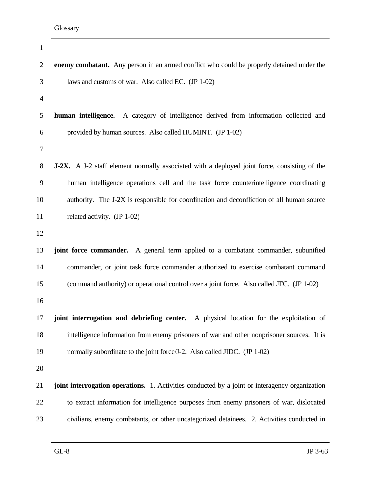| $\mathbf{1}$   |                                                                                                     |
|----------------|-----------------------------------------------------------------------------------------------------|
| $\mathfrak{2}$ | enemy combatant. Any person in an armed conflict who could be properly detained under the           |
| 3              | laws and customs of war. Also called EC. (JP 1-02)                                                  |
| $\overline{4}$ |                                                                                                     |
| 5              | human intelligence. A category of intelligence derived from information collected and               |
| 6              | provided by human sources. Also called HUMINT. (JP 1-02)                                            |
| 7              |                                                                                                     |
| $8\,$          | <b>J-2X.</b> A J-2 staff element normally associated with a deployed joint force, consisting of the |
| 9              | human intelligence operations cell and the task force counterintelligence coordinating              |
| 10             | authority. The J-2X is responsible for coordination and deconfliction of all human source           |
| 11             | related activity. (JP 1-02)                                                                         |
| 12             |                                                                                                     |
| 13             | joint force commander. A general term applied to a combatant commander, subunified                  |
| 14             | commander, or joint task force commander authorized to exercise combatant command                   |
| 15             | (command authority) or operational control over a joint force. Also called JFC. (JP 1-02)           |
| 16             |                                                                                                     |
| 17             | joint interrogation and debriefing center. A physical location for the exploitation of              |
| 18             | intelligence information from enemy prisoners of war and other nonprisoner sources. It is           |
| 19             | normally subordinate to the joint force/J-2. Also called JIDC. (JP 1-02)                            |
| 20             |                                                                                                     |
| 21             | joint interrogation operations. 1. Activities conducted by a joint or interagency organization      |
| 22             | to extract information for intelligence purposes from enemy prisoners of war, dislocated            |
| 23             | civilians, enemy combatants, or other uncategorized detainees. 2. Activities conducted in           |
|                |                                                                                                     |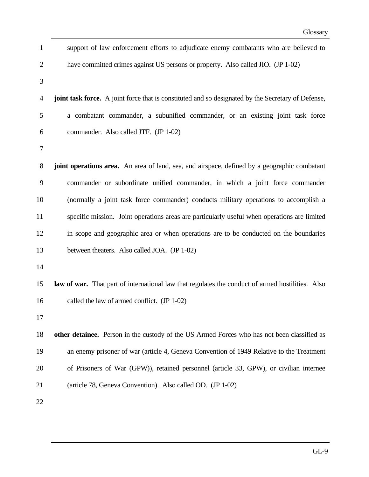| $\mathbf{1}$   | support of law enforcement efforts to adjudicate enemy combatants who are believed to              |
|----------------|----------------------------------------------------------------------------------------------------|
| $\overline{2}$ | have committed crimes against US persons or property. Also called JIO. (JP 1-02)                   |
| 3              |                                                                                                    |
| $\overline{4}$ | joint task force. A joint force that is constituted and so designated by the Secretary of Defense, |
| 5              | a combatant commander, a subunified commander, or an existing joint task force                     |
| 6              | commander. Also called JTF. (JP 1-02)                                                              |
| 7              |                                                                                                    |
| $8\,$          | joint operations area. An area of land, sea, and airspace, defined by a geographic combatant       |
| 9              | commander or subordinate unified commander, in which a joint force commander                       |
| 10             | (normally a joint task force commander) conducts military operations to accomplish a               |
| 11             | specific mission. Joint operations areas are particularly useful when operations are limited       |
| 12             | in scope and geographic area or when operations are to be conducted on the boundaries              |
| 13             | between theaters. Also called JOA. (JP 1-02)                                                       |
| 14             |                                                                                                    |
| 15             | law of war. That part of international law that regulates the conduct of armed hostilities. Also   |
| 16             | called the law of armed conflict. (JP 1-02)                                                        |
| 17             |                                                                                                    |
| 18             | other detainee. Person in the custody of the US Armed Forces who has not been classified as        |
| 19             | an enemy prisoner of war (article 4, Geneva Convention of 1949 Relative to the Treatment           |
| 20             | of Prisoners of War (GPW)), retained personnel (article 33, GPW), or civilian internee             |
| 21             | (article 78, Geneva Convention). Also called OD. (JP 1-02)                                         |
| 22             |                                                                                                    |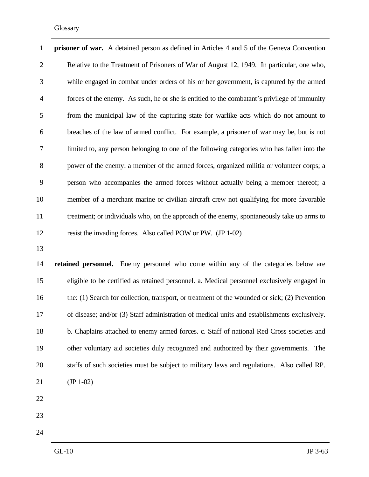| $\mathbf{1}$   | prisoner of war. A detained person as defined in Articles 4 and 5 of the Geneva Convention   |
|----------------|----------------------------------------------------------------------------------------------|
| $\overline{2}$ | Relative to the Treatment of Prisoners of War of August 12, 1949. In particular, one who,    |
| 3              | while engaged in combat under orders of his or her government, is captured by the armed      |
| $\overline{4}$ | forces of the enemy. As such, he or she is entitled to the combatant's privilege of immunity |
| 5              | from the municipal law of the capturing state for warlike acts which do not amount to        |
| 6              | breaches of the law of armed conflict. For example, a prisoner of war may be, but is not     |
| 7              | limited to, any person belonging to one of the following categories who has fallen into the  |
| 8              | power of the enemy: a member of the armed forces, organized militia or volunteer corps; a    |
| 9              | person who accompanies the armed forces without actually being a member thereof; a           |
| 10             | member of a merchant marine or civilian aircraft crew not qualifying for more favorable      |
| 11             | treatment; or individuals who, on the approach of the enemy, spontaneously take up arms to   |
| 12             | resist the invading forces. Also called POW or PW. (JP 1-02)                                 |

13

14 **retained personnel.** Enemy personnel who come within any of the categories below are 15 eligible to be certified as retained personnel. a. Medical personnel exclusively engaged in 16 the: (1) Search for collection, transport, or treatment of the wounded or sick; (2) Prevention 17 of disease; and/or (3) Staff administration of medical units and establishments exclusively. 18 b. Chaplains attached to enemy armed forces. c. Staff of national Red Cross societies and 19 other voluntary aid societies duly recognized and authorized by their governments. The 20 staffs of such societies must be subject to military laws and regulations. Also called RP. 21 (JP 1-02) 22

- 23
- 24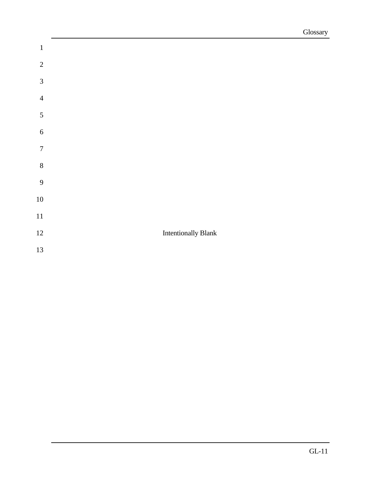| $\mathbf{1}$     |                            |
|------------------|----------------------------|
| $\sqrt{2}$       |                            |
| $\mathfrak{Z}$   |                            |
| $\overline{4}$   |                            |
| $\sqrt{5}$       |                            |
| $\sqrt{6}$       |                            |
| $\boldsymbol{7}$ |                            |
| $8\,$            |                            |
| $\overline{9}$   |                            |
| $10\,$           |                            |
| $11\,$           |                            |
| 12               | <b>Intentionally Blank</b> |
| 13               |                            |
|                  |                            |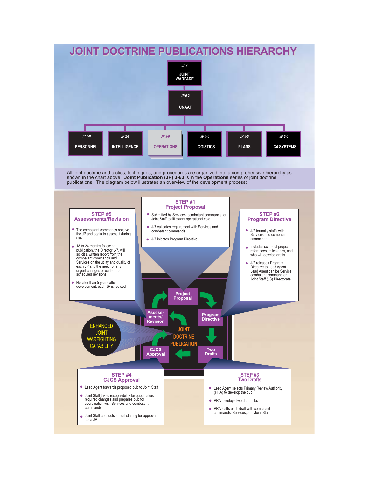